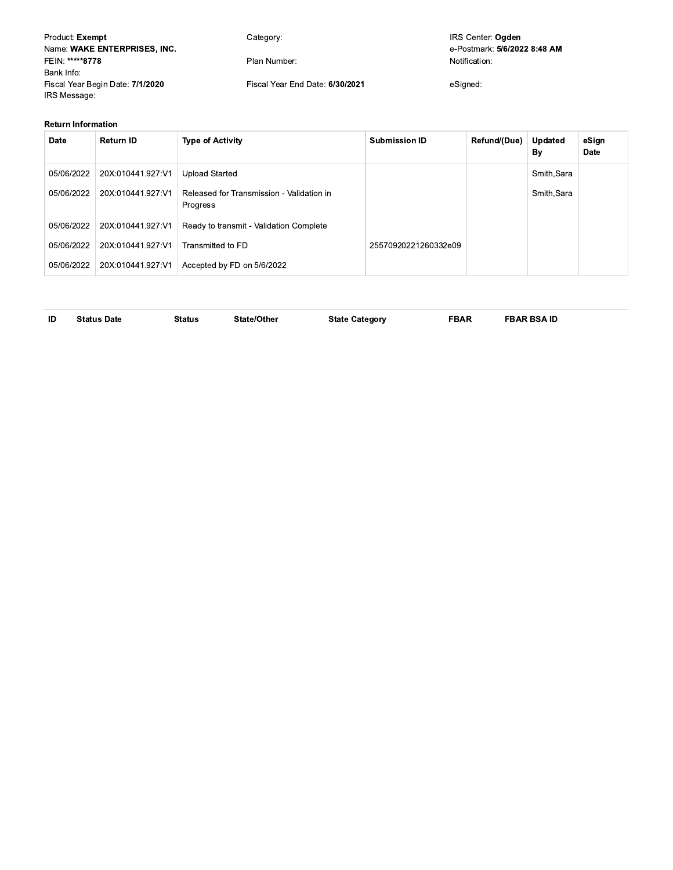| Category:                       | IRS Center: Ogden            |
|---------------------------------|------------------------------|
|                                 | e-Postmark: 5/6/2022 8:48 AM |
| Plan Number:                    | Notification:                |
|                                 |                              |
| Fiscal Year End Date: 6/30/2021 | eSigned:                     |
|                                 |                              |
|                                 |                              |
|                                 |                              |

#### Return Information

| Date       | Return ID          | <b>Type of Activity</b>                               | <b>Submission ID</b> | Refund/(Due) | <b>Updated</b><br>By | eSign<br>Date |
|------------|--------------------|-------------------------------------------------------|----------------------|--------------|----------------------|---------------|
| 05/06/2022 | 20X:010441.927:V1  | <b>Upload Started</b>                                 |                      |              | Smith Sara           |               |
| 05/06/2022 | 20X:010441.927:V1  | Released for Transmission - Validation in<br>Progress |                      |              | Smith, Sara          |               |
| 05/06/2022 | 20X:010441.927:V1  | Ready to transmit - Validation Complete               |                      |              |                      |               |
| 05/06/2022 | 20X:010441.927:V1  | Transmitted to FD                                     | 25570920221260332e09 |              |                      |               |
| 05/06/2022 | 20X:010441.927:V1  | Accepted by FD on 5/6/2022                            |                      |              |                      |               |
| ID         | <b>Status Date</b> | <b>Status</b><br>State/Other<br><b>State Category</b> | <b>FBAR</b>          |              | <b>FBAR BSA ID</b>   |               |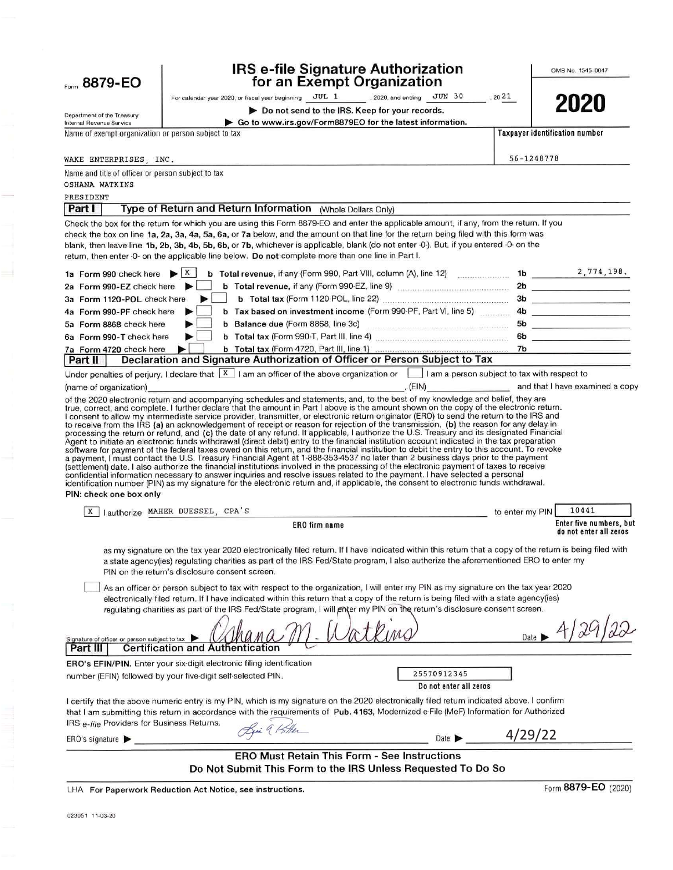# IRS e-file Signature Authorization

| Form 8879-EO                                                     | <b>IRS e-file Signature Authorization</b><br>for an Exempt Organization                                                                                                                                                                                                                                                                                                                                                                                                                                                                                                                                                                                                                                                                                                                                                                                                                                                                                                                                                                                                                                                                   |                 | OMB No. 1545-0047                     |
|------------------------------------------------------------------|-------------------------------------------------------------------------------------------------------------------------------------------------------------------------------------------------------------------------------------------------------------------------------------------------------------------------------------------------------------------------------------------------------------------------------------------------------------------------------------------------------------------------------------------------------------------------------------------------------------------------------------------------------------------------------------------------------------------------------------------------------------------------------------------------------------------------------------------------------------------------------------------------------------------------------------------------------------------------------------------------------------------------------------------------------------------------------------------------------------------------------------------|-----------------|---------------------------------------|
|                                                                  |                                                                                                                                                                                                                                                                                                                                                                                                                                                                                                                                                                                                                                                                                                                                                                                                                                                                                                                                                                                                                                                                                                                                           |                 |                                       |
|                                                                  | For calendar year 2020, or fiscal year beginning JUL 1 . 2020, and ending JUN 30                                                                                                                                                                                                                                                                                                                                                                                                                                                                                                                                                                                                                                                                                                                                                                                                                                                                                                                                                                                                                                                          | .2021           | 2020                                  |
| Department of the Treasury<br>Internal Revenue Service           | Do not send to the IRS. Keep for your records.<br>Go to www.irs.gov/Form8879EO for the latest information.                                                                                                                                                                                                                                                                                                                                                                                                                                                                                                                                                                                                                                                                                                                                                                                                                                                                                                                                                                                                                                |                 |                                       |
| Name of exempt organization or person subject to tax             |                                                                                                                                                                                                                                                                                                                                                                                                                                                                                                                                                                                                                                                                                                                                                                                                                                                                                                                                                                                                                                                                                                                                           |                 | Taxpayer identification number        |
|                                                                  |                                                                                                                                                                                                                                                                                                                                                                                                                                                                                                                                                                                                                                                                                                                                                                                                                                                                                                                                                                                                                                                                                                                                           |                 |                                       |
| WAKE ENTERPRISES, INC.                                           |                                                                                                                                                                                                                                                                                                                                                                                                                                                                                                                                                                                                                                                                                                                                                                                                                                                                                                                                                                                                                                                                                                                                           | 56-1248778      |                                       |
| Name and title of officer or person subject to tax               |                                                                                                                                                                                                                                                                                                                                                                                                                                                                                                                                                                                                                                                                                                                                                                                                                                                                                                                                                                                                                                                                                                                                           |                 |                                       |
| OSHANA WATKINS                                                   |                                                                                                                                                                                                                                                                                                                                                                                                                                                                                                                                                                                                                                                                                                                                                                                                                                                                                                                                                                                                                                                                                                                                           |                 |                                       |
| PRESIDENT<br>Part I                                              | Type of Return and Return Information (Whole Dollars Only)                                                                                                                                                                                                                                                                                                                                                                                                                                                                                                                                                                                                                                                                                                                                                                                                                                                                                                                                                                                                                                                                                |                 |                                       |
|                                                                  | Check the box for the return for which you are using this Form 8879-EO and enter the applicable amount, if any, from the return. If you                                                                                                                                                                                                                                                                                                                                                                                                                                                                                                                                                                                                                                                                                                                                                                                                                                                                                                                                                                                                   |                 |                                       |
|                                                                  | check the box on line 1a, 2a, 3a, 4a, 5a, 6a, or 7a below, and the amount on that line for the return being filed with this form was                                                                                                                                                                                                                                                                                                                                                                                                                                                                                                                                                                                                                                                                                                                                                                                                                                                                                                                                                                                                      |                 |                                       |
|                                                                  | blank, then leave line 1b, 2b, 3b, 4b, 5b, 6b, or 7b, whichever is applicable, blank (do not enter -0-). But, if you entered -0- on the                                                                                                                                                                                                                                                                                                                                                                                                                                                                                                                                                                                                                                                                                                                                                                                                                                                                                                                                                                                                   |                 |                                       |
|                                                                  | return, then enter 0- on the applicable line below. Do not complete more than one line in Part I.                                                                                                                                                                                                                                                                                                                                                                                                                                                                                                                                                                                                                                                                                                                                                                                                                                                                                                                                                                                                                                         |                 |                                       |
| 1a Form 990 check here $\blacktriangleright$ $\lfloor x \rfloor$ |                                                                                                                                                                                                                                                                                                                                                                                                                                                                                                                                                                                                                                                                                                                                                                                                                                                                                                                                                                                                                                                                                                                                           |                 |                                       |
| 2a Form 990-EZ check here ▶                                      |                                                                                                                                                                                                                                                                                                                                                                                                                                                                                                                                                                                                                                                                                                                                                                                                                                                                                                                                                                                                                                                                                                                                           |                 |                                       |
| 3a Form 1120-POL check here                                      |                                                                                                                                                                                                                                                                                                                                                                                                                                                                                                                                                                                                                                                                                                                                                                                                                                                                                                                                                                                                                                                                                                                                           |                 |                                       |
| 4a Form 990-PF check here                                        | b Tax based on investment income (Form 990-PF, Part VI, line 5) _________ 4b ____________________                                                                                                                                                                                                                                                                                                                                                                                                                                                                                                                                                                                                                                                                                                                                                                                                                                                                                                                                                                                                                                         |                 |                                       |
| 5a Form 8868 check here                                          |                                                                                                                                                                                                                                                                                                                                                                                                                                                                                                                                                                                                                                                                                                                                                                                                                                                                                                                                                                                                                                                                                                                                           |                 |                                       |
| 6a Form 990-T check here                                         |                                                                                                                                                                                                                                                                                                                                                                                                                                                                                                                                                                                                                                                                                                                                                                                                                                                                                                                                                                                                                                                                                                                                           |                 |                                       |
| 7a Form 4720 check here                                          |                                                                                                                                                                                                                                                                                                                                                                                                                                                                                                                                                                                                                                                                                                                                                                                                                                                                                                                                                                                                                                                                                                                                           |                 |                                       |
| Part II                                                          | Declaration and Signature Authorization of Officer or Person Subject to Tax                                                                                                                                                                                                                                                                                                                                                                                                                                                                                                                                                                                                                                                                                                                                                                                                                                                                                                                                                                                                                                                               |                 |                                       |
|                                                                  | Under penalties of perjury, I declare that $\boxed{X}$ I am an officer of the above organization or I am a person subject to tax with respect to                                                                                                                                                                                                                                                                                                                                                                                                                                                                                                                                                                                                                                                                                                                                                                                                                                                                                                                                                                                          |                 |                                       |
| (name of organization)                                           | (EIN)                                                                                                                                                                                                                                                                                                                                                                                                                                                                                                                                                                                                                                                                                                                                                                                                                                                                                                                                                                                                                                                                                                                                     |                 | and that I have examined a copy       |
| PIN: check one box only                                          | to receive from the IRS (a) an acknowledgement of receipt or reason for rejection of the transmission, (b) the reason for any delay in<br>processing the return or retund, and (c) the date of any retund. If applicable, I authorize the U.S. Treasury and its designated Financial<br>Agent to initiate an electronic funds withdrawal (direct debit) entry to the financial institution account indicated in the tax preparation<br>software for payment of the federal taxes owed on this return, and the financial institution to debit the entry to this account. To revoke<br>a payment, I must contact the U.S. Treasury Financial Agent at 1-888-353-4537 no later than 2 business days prior to the payment<br>(settlement) date, I also authorize the financial institutions involved in the processing of the electronic payment of taxes to receive<br>confidential information necessary to answer inquiries and resolve issues related to the payment. I have selected a personal<br>identification number (PIN) as my signature for the electronic return and, if applicable, the consent to electronic funds withdrawal. |                 |                                       |
| X                                                                | l authorize MAHER DUESSEL, CPA'S<br>the control of the control of the control of the control of the control of the control of the control of the control of the control of the control of the control of the control of the control of the control of the control                                                                                                                                                                                                                                                                                                                                                                                                                                                                                                                                                                                                                                                                                                                                                                                                                                                                         | to enter my PIN | 10441                                 |
|                                                                  | <b>ERO</b> firm name                                                                                                                                                                                                                                                                                                                                                                                                                                                                                                                                                                                                                                                                                                                                                                                                                                                                                                                                                                                                                                                                                                                      |                 | Enter five numbers, but               |
|                                                                  |                                                                                                                                                                                                                                                                                                                                                                                                                                                                                                                                                                                                                                                                                                                                                                                                                                                                                                                                                                                                                                                                                                                                           |                 | do not enter all zeros                |
|                                                                  | as my signature on the tax year 2020 electronically filed return. If I have indicated within this return that a copy of the return is being filed with<br>a state agency(ies) regulating charities as part of the IRS Fed/State program, I also authorize the aforementioned ERO to enter my<br>PIN on the return's disclosure consent screen.                                                                                                                                                                                                                                                                                                                                                                                                                                                                                                                                                                                                                                                                                                                                                                                            |                 |                                       |
|                                                                  | As an officer or person subject to tax with respect to the organization, I will enter my PIN as my signature on the tax year 2020<br>electronically filed return. If I have indicated within this return that a copy of the return is being filed with a state agency(ies)<br>regulating charities as part of the IRS Fed/State program, I will enter my PIN on the return's disclosure consent screen.                                                                                                                                                                                                                                                                                                                                                                                                                                                                                                                                                                                                                                                                                                                                   |                 |                                       |
| Signature of officer or person subject to tax<br>Part III        | <b>Certification and Authentication</b>                                                                                                                                                                                                                                                                                                                                                                                                                                                                                                                                                                                                                                                                                                                                                                                                                                                                                                                                                                                                                                                                                                   |                 | 4/29/22<br>Date $\blacktriangleright$ |
|                                                                  | ERO's EFIN/PIN. Enter your six-digit electronic filing identification                                                                                                                                                                                                                                                                                                                                                                                                                                                                                                                                                                                                                                                                                                                                                                                                                                                                                                                                                                                                                                                                     |                 |                                       |
|                                                                  | 25570912345<br>number (EFIN) followed by your five-digit self-selected PIN.                                                                                                                                                                                                                                                                                                                                                                                                                                                                                                                                                                                                                                                                                                                                                                                                                                                                                                                                                                                                                                                               |                 |                                       |
|                                                                  | Do not enter all zeros                                                                                                                                                                                                                                                                                                                                                                                                                                                                                                                                                                                                                                                                                                                                                                                                                                                                                                                                                                                                                                                                                                                    |                 |                                       |
| IRS e-file Providers for Business Returns.                       | I certify that the above numeric entry is my PIN, which is my signature on the 2020 electronically filed return indicated above. I confirm<br>that I am submitting this return in accordance with the requirements of Pub. 4163, Modernized e-File (MeF) Information for Authorized                                                                                                                                                                                                                                                                                                                                                                                                                                                                                                                                                                                                                                                                                                                                                                                                                                                       |                 |                                       |
|                                                                  | April 9 Killer                                                                                                                                                                                                                                                                                                                                                                                                                                                                                                                                                                                                                                                                                                                                                                                                                                                                                                                                                                                                                                                                                                                            | 4/29/22         |                                       |
| ERO's signature                                                  | Date $\blacktriangleright$                                                                                                                                                                                                                                                                                                                                                                                                                                                                                                                                                                                                                                                                                                                                                                                                                                                                                                                                                                                                                                                                                                                |                 |                                       |
|                                                                  | ERO Must Retain This Form - See Instructions                                                                                                                                                                                                                                                                                                                                                                                                                                                                                                                                                                                                                                                                                                                                                                                                                                                                                                                                                                                                                                                                                              |                 |                                       |

Do Not Submit This Form to the IRS Unless Requested To Do So

LHA For Paperwork Reduction Act Notice, see instructions.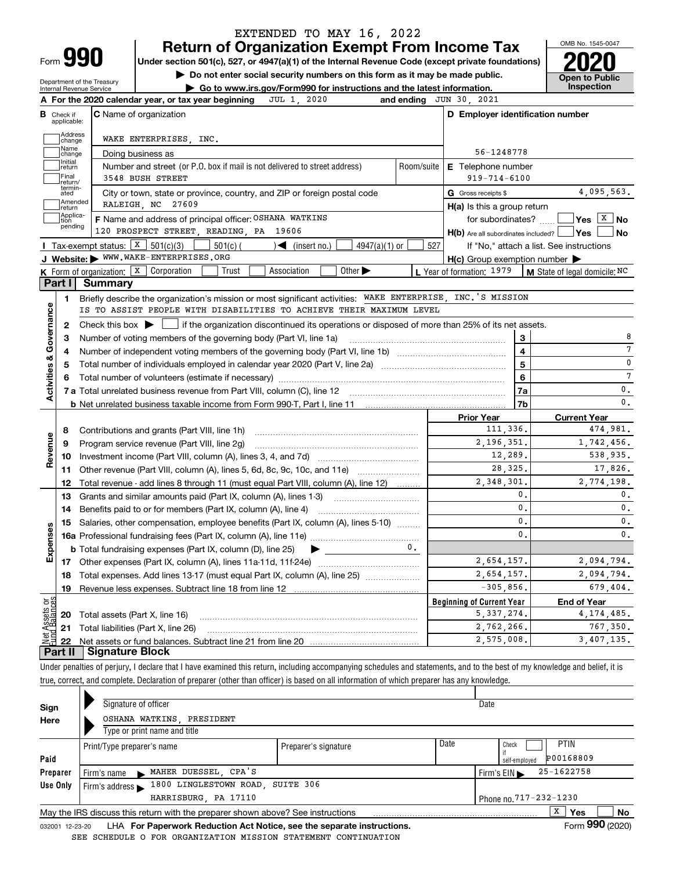| Form |  |
|------|--|
|      |  |

### **Return of Organization Exempt From Income Tax** EXTENDED TO MAY 16, 2022

**Under section 501(c), 527, or 4947(a)(1) of the Internal Revenue Code (except private foundations) 2020**

**| Do not enter social security numbers on this form as it may be made public.**

Department of the Treasury Internal Revenue Service

**| Go to www.irs.gov/Form990 for instructions and the latest information. Inspection**



|                         |                             | A For the 2020 calendar year, or tax year beginning JUL 1, 2020                                                                                                                                                                |            | and ending JUN 30, 2021                                                          |                |                               |
|-------------------------|-----------------------------|--------------------------------------------------------------------------------------------------------------------------------------------------------------------------------------------------------------------------------|------------|----------------------------------------------------------------------------------|----------------|-------------------------------|
| <b>B</b> Check if       | applicable:                 | <b>C</b> Name of organization                                                                                                                                                                                                  |            | D Employer identification number                                                 |                |                               |
|                         | Address<br>change           | WAKE ENTERPRISES, INC.                                                                                                                                                                                                         |            |                                                                                  |                |                               |
|                         | Name<br>change              | Doing business as                                                                                                                                                                                                              |            | 56-1248778                                                                       |                |                               |
|                         | Initial<br>return           | Number and street (or P.O. box if mail is not delivered to street address)                                                                                                                                                     | Room/suite | <b>E</b> Telephone number                                                        |                |                               |
|                         | Final<br>return/            | 3548 BUSH STREET                                                                                                                                                                                                               |            | $919 - 714 - 6100$                                                               |                |                               |
|                         | termin-<br>ated             | City or town, state or province, country, and ZIP or foreign postal code                                                                                                                                                       |            | G Gross receipts \$                                                              |                | 4.095.563.                    |
|                         | Amended<br>return           | RALEIGH NC 27609                                                                                                                                                                                                               |            | $H(a)$ is this a group return                                                    |                |                               |
|                         | Applica-<br>tion<br>pending | F Name and address of principal officer: OSHANA WATKINS<br>120 PROSPECT STREET, READING, PA 19606                                                                                                                              |            | for subordinates? $\frac{\Box}{\Box}$                                            |                | $Yes \boxed{X}$ No            |
|                         |                             | Tax-exempt status: $X \over 3$ 501(c)(3)                                                                                                                                                                                       |            | $H(b)$ Are all subordinates included? $\Box$ Yes                                 |                | ∣No                           |
|                         |                             | $501(c)$ (<br>$4947(a)(1)$ or<br>$\sqrt{\frac{1}{1}}$ (insert no.)<br>J Website: WWW.WAKE-ENTERPRISES.ORG                                                                                                                      | 527        | If "No," attach a list. See instructions                                         |                |                               |
|                         |                             | K Form of organization: X Corporation<br>Other $\blacktriangleright$<br>Trust<br>Association                                                                                                                                   |            | $H(c)$ Group exemption number $\blacktriangleright$<br>L Year of formation: 1979 |                | M State of legal domicile: NC |
| Part I                  |                             | Summary                                                                                                                                                                                                                        |            |                                                                                  |                |                               |
|                         |                             | Briefly describe the organization's mission or most significant activities: WAKE ENTERPRISE, INC. 'S MISSION                                                                                                                   |            |                                                                                  |                |                               |
|                         | 1.                          | IS TO ASSIST PEOPLE WITH DISABILITIES TO ACHIEVE THEIR MAXIMUM LEVEL                                                                                                                                                           |            |                                                                                  |                |                               |
|                         | 2                           | Check this box $\blacktriangleright$ $\blacksquare$ if the organization discontinued its operations or disposed of more than 25% of its net assets.                                                                            |            |                                                                                  |                |                               |
| Activities & Governance | 3                           | Number of voting members of the governing body (Part VI, line 1a)                                                                                                                                                              |            |                                                                                  | 3              | 8                             |
|                         | 4                           | Number of independent voting members of the governing body (Part VI, line 1b)                                                                                                                                                  |            |                                                                                  | $\overline{4}$ | 7                             |
|                         | 5                           |                                                                                                                                                                                                                                |            |                                                                                  | 5              | $\mathbf 0$                   |
|                         |                             | Total number of volunteers (estimate if necessary) manufactured content to the content of volunteers (estimate if necessary) manufactured content to the content of the content of the content of the content of the content o |            |                                                                                  | 6              | $\overline{7}$                |
|                         |                             |                                                                                                                                                                                                                                |            |                                                                                  | 7a             | $\mathfrak o$ .               |
|                         |                             | <b>b</b> Net unrelated business taxable income from Form 990-T, Part I, line 11 <b>Marting the Control of the Control</b> of                                                                                                   |            |                                                                                  | 7b             | 0.                            |
|                         |                             |                                                                                                                                                                                                                                |            | <b>Prior Year</b>                                                                |                | <b>Current Year</b>           |
|                         | 8                           | Contributions and grants (Part VIII, line 1h)                                                                                                                                                                                  |            | 111,336.                                                                         |                | 474,981.                      |
| Revenue                 | 9                           | Program service revenue (Part VIII, line 2g)                                                                                                                                                                                   |            | 2, 196, 351.                                                                     |                | 1,742,456.                    |
|                         | 10                          |                                                                                                                                                                                                                                |            | 12,289.                                                                          |                | 538,935.                      |
|                         | 11                          | Other revenue (Part VIII, column (A), lines 5, 6d, 8c, 9c, 10c, and 11e)                                                                                                                                                       |            | 28,325.                                                                          |                | 17,826.                       |
|                         | 12                          | Total revenue - add lines 8 through 11 (must equal Part VIII, column (A), line 12)                                                                                                                                             |            | 2,348,301.                                                                       |                | 2,774,198.                    |
|                         | 13                          | Grants and similar amounts paid (Part IX, column (A), lines 1-3)                                                                                                                                                               |            |                                                                                  | $\mathbf{0}$ . | $\mathbf{0}$ .                |
|                         | 14                          |                                                                                                                                                                                                                                |            |                                                                                  | $\mathbf{0}$ . | $\mathbf{0}$ .                |
|                         | 15                          | Salaries, other compensation, employee benefits (Part IX, column (A), lines 5-10)                                                                                                                                              |            |                                                                                  | $\mathbf{0}$ . | $\mathbf{0}$ .                |
|                         |                             |                                                                                                                                                                                                                                |            |                                                                                  | $\mathbf{0}$ . | $\mathbf{0}$ .                |
| Expenses                |                             | <b>b</b> Total fundraising expenses (Part IX, column (D), line 25)<br>▶                                                                                                                                                        | 0.         |                                                                                  |                |                               |
|                         |                             |                                                                                                                                                                                                                                |            | 2,654,157.                                                                       |                | 2,094,794.                    |
|                         | 18                          | Total expenses. Add lines 13-17 (must equal Part IX, column (A), line 25)                                                                                                                                                      |            | 2,654,157.                                                                       |                | 2,094,794.                    |
|                         | 19                          |                                                                                                                                                                                                                                |            | $-305,856.$                                                                      |                | 679,404.                      |
| έğ                      |                             |                                                                                                                                                                                                                                |            | <b>Beginning of Current Year</b>                                                 |                | <b>End of Year</b>            |
|                         |                             | 20 Total assets (Part X, line 16)                                                                                                                                                                                              |            | 5, 337, 274.                                                                     |                | 4, 174, 485.                  |
|                         | 21                          | Total liabilities (Part X, line 26)                                                                                                                                                                                            |            | 2,762,266.                                                                       |                | 767,350.                      |
|                         | 22                          |                                                                                                                                                                                                                                |            | 2,575,008.                                                                       |                | 3,407,135.                    |
|                         | Part II                     | <b>Signature Block</b>                                                                                                                                                                                                         |            |                                                                                  |                |                               |

Under penalties of perjury, I declare that I have examined this return, including accompanying schedules and statements, and to the best of my knowledge and belief, it is true, correct, and complete. Declaration of preparer (other than officer) is based on all information of which preparer has any knowledge.

| Sign                 | Signature of officer                                                                                         |                      |      | Date                       |  |  |
|----------------------|--------------------------------------------------------------------------------------------------------------|----------------------|------|----------------------------|--|--|
| Here                 | OSHANA WATKINS, PRESIDENT                                                                                    |                      |      |                            |  |  |
|                      | Type or print name and title                                                                                 |                      |      |                            |  |  |
|                      | Print/Type preparer's name                                                                                   | Preparer's signature | Date | <b>PTIN</b><br>Check       |  |  |
| Paid                 |                                                                                                              |                      |      | P00168809<br>self-emploved |  |  |
| Preparer             | MAHER DUESSEL, CPA'S<br>Firm's name                                                                          |                      |      | 25-1622758<br>Firm's $EIN$ |  |  |
| Use Only             | 1800 LINGLESTOWN ROAD, SUITE 306<br>Firm's address                                                           |                      |      |                            |  |  |
| HARRISBURG, PA 17110 |                                                                                                              |                      |      | Phone no. 717-232-1230     |  |  |
|                      | X<br>No<br><b>Yes</b><br>May the IRS discuss this return with the preparer shown above? See instructions     |                      |      |                            |  |  |
|                      | Form 990 (2020)<br>LHA For Paperwork Reduction Act Notice, see the separate instructions.<br>032001 12-23-20 |                      |      |                            |  |  |

SEE SCHEDULE O FOR ORGANIZATION MISSION STATEMENT CONTINUATION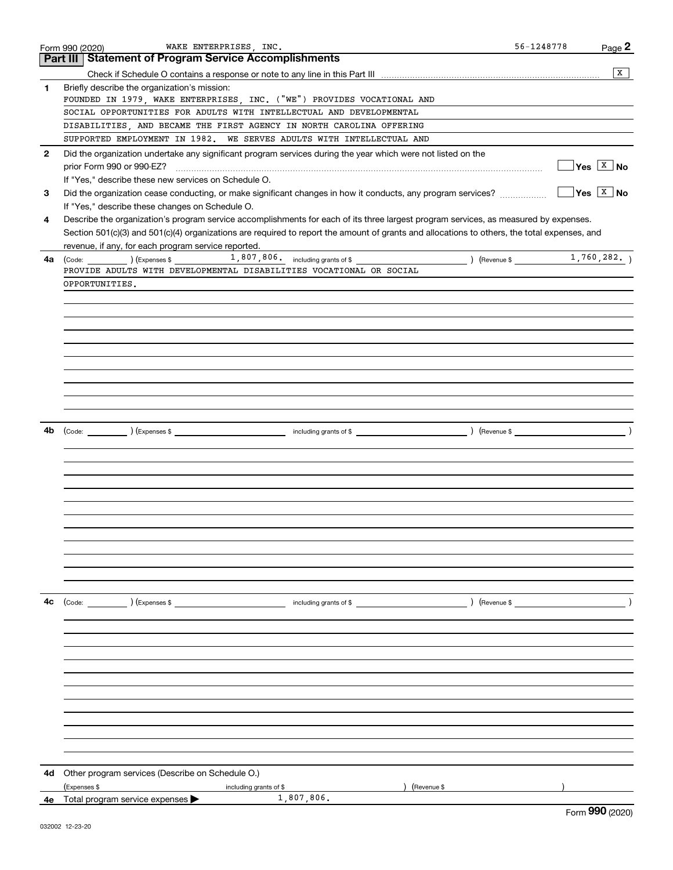|              | WAKE ENTERPRISES, INC.<br>Form 990 (2020)                                                                                                    | 56-1248778 | Page 2                                 |
|--------------|----------------------------------------------------------------------------------------------------------------------------------------------|------------|----------------------------------------|
|              | Part III   Statement of Program Service Accomplishments                                                                                      |            |                                        |
|              |                                                                                                                                              |            | x                                      |
| 1.           | Briefly describe the organization's mission:                                                                                                 |            |                                        |
|              | FOUNDED IN 1979, WAKE ENTERPRISES, INC. ("WE") PROVIDES VOCATIONAL AND                                                                       |            |                                        |
|              | SOCIAL OPPORTUNITIES FOR ADULTS WITH INTELLECTUAL AND DEVELOPMENTAL                                                                          |            |                                        |
|              | DISABILITIES, AND BECAME THE FIRST AGENCY IN NORTH CAROLINA OFFERING                                                                         |            |                                        |
|              | SUPPORTED EMPLOYMENT IN 1982. WE SERVES ADULTS WITH INTELLECTUAL AND                                                                         |            |                                        |
| $\mathbf{2}$ | Did the organization undertake any significant program services during the year which were not listed on the                                 |            |                                        |
|              | prior Form 990 or 990-EZ?                                                                                                                    |            | $\sqrt{ }$ Yes $\boxed{\text{X}}$ No   |
|              | If "Yes," describe these new services on Schedule O.                                                                                         |            |                                        |
| 3            | Did the organization cease conducting, or make significant changes in how it conducts, any program services?                                 |            | $\sqrt{}$ Yes $\sqrt{}$ X $\sqrt{}$ No |
|              | If "Yes," describe these changes on Schedule O.                                                                                              |            |                                        |
| 4            | Describe the organization's program service accomplishments for each of its three largest program services, as measured by expenses.         |            |                                        |
|              | Section 501(c)(3) and 501(c)(4) organizations are required to report the amount of grants and allocations to others, the total expenses, and |            |                                        |
|              | revenue, if any, for each program service reported.<br><u> 1980 - Johann Barbara, martxa al</u>                                              |            |                                        |
| 4a           |                                                                                                                                              |            |                                        |
|              | PROVIDE ADULTS WITH DEVELOPMENTAL DISABILITIES VOCATIONAL OR SOCIAL                                                                          |            |                                        |
|              | OPPORTUNITIES.                                                                                                                               |            |                                        |
|              |                                                                                                                                              |            |                                        |
|              |                                                                                                                                              |            |                                        |
|              |                                                                                                                                              |            |                                        |
|              |                                                                                                                                              |            |                                        |
|              |                                                                                                                                              |            |                                        |
|              |                                                                                                                                              |            |                                        |
|              |                                                                                                                                              |            |                                        |
|              |                                                                                                                                              |            |                                        |
|              |                                                                                                                                              |            |                                        |
|              |                                                                                                                                              |            |                                        |
| 4b           |                                                                                                                                              |            |                                        |
|              |                                                                                                                                              |            |                                        |
|              |                                                                                                                                              |            |                                        |
|              |                                                                                                                                              |            |                                        |
|              |                                                                                                                                              |            |                                        |
|              |                                                                                                                                              |            |                                        |
|              |                                                                                                                                              |            |                                        |
|              |                                                                                                                                              |            |                                        |
|              |                                                                                                                                              |            |                                        |
|              |                                                                                                                                              |            |                                        |
|              |                                                                                                                                              |            |                                        |
|              |                                                                                                                                              |            |                                        |
|              |                                                                                                                                              |            |                                        |
|              |                                                                                                                                              |            |                                        |
| 4с           |                                                                                                                                              |            |                                        |
|              |                                                                                                                                              |            |                                        |
|              |                                                                                                                                              |            |                                        |
|              |                                                                                                                                              |            |                                        |
|              |                                                                                                                                              |            |                                        |
|              |                                                                                                                                              |            |                                        |
|              |                                                                                                                                              |            |                                        |
|              |                                                                                                                                              |            |                                        |
|              |                                                                                                                                              |            |                                        |
|              |                                                                                                                                              |            |                                        |
|              |                                                                                                                                              |            |                                        |
|              |                                                                                                                                              |            |                                        |
|              |                                                                                                                                              |            |                                        |
| 4d           | Other program services (Describe on Schedule O.)                                                                                             |            |                                        |
|              | (Expenses \$<br>(Revenue \$<br>including grants of \$                                                                                        |            |                                        |
| 4е           | 1,807,806.<br>Total program service expenses                                                                                                 |            | nnn.                                   |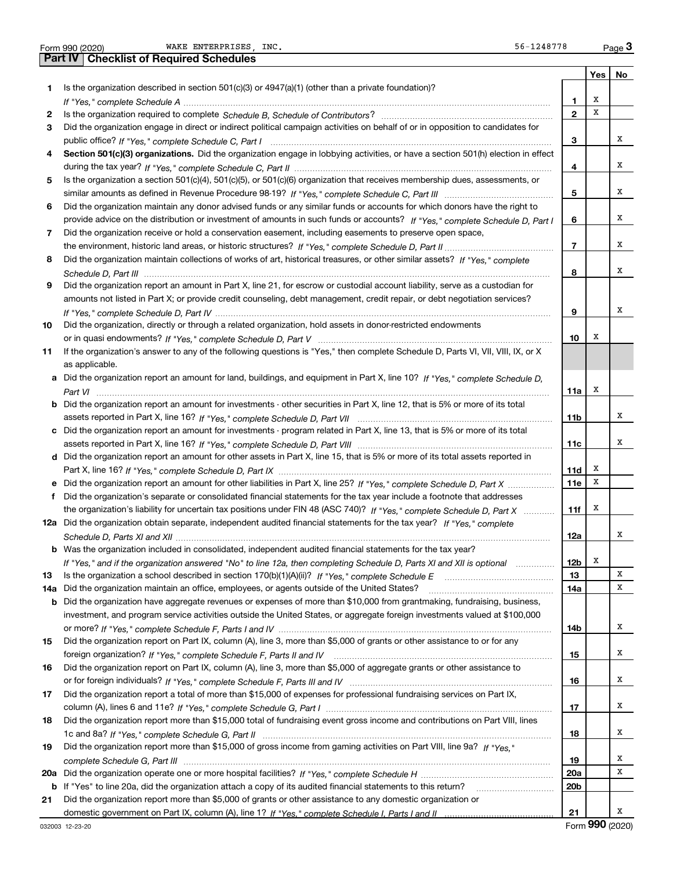|  | Form 990 (2020) |
|--|-----------------|

Form 990 (2020) WAKE ENTERPRISES,INC. 56-1248778 Page Form 990 (2020) **MAKE ENTERPRISES, INC.**<br> **Part IV** Checklist of Required Schedules<br>
Part IV Checklist of Required Schedules

|         |                                                                                                                                                                                                                             |              | Yes                 | No     |
|---------|-----------------------------------------------------------------------------------------------------------------------------------------------------------------------------------------------------------------------------|--------------|---------------------|--------|
| 1       | Is the organization described in section $501(c)(3)$ or $4947(a)(1)$ (other than a private foundation)?                                                                                                                     |              |                     |        |
|         |                                                                                                                                                                                                                             | 1            | х                   |        |
| 2       |                                                                                                                                                                                                                             | $\mathbf{2}$ | х                   |        |
| 3       | Did the organization engage in direct or indirect political campaign activities on behalf of or in opposition to candidates for                                                                                             |              |                     |        |
|         |                                                                                                                                                                                                                             | 3            |                     | x      |
| 4       | Section 501(c)(3) organizations. Did the organization engage in lobbying activities, or have a section 501(h) election in effect                                                                                            |              |                     |        |
|         |                                                                                                                                                                                                                             | 4            |                     | x      |
| 5       | Is the organization a section 501(c)(4), 501(c)(5), or 501(c)(6) organization that receives membership dues, assessments, or                                                                                                |              |                     |        |
|         |                                                                                                                                                                                                                             | 5            |                     | х      |
| 6       | Did the organization maintain any donor advised funds or any similar funds or accounts for which donors have the right to                                                                                                   |              |                     |        |
|         | provide advice on the distribution or investment of amounts in such funds or accounts? If "Yes," complete Schedule D, Part I                                                                                                | 6            |                     | x      |
| 7       | Did the organization receive or hold a conservation easement, including easements to preserve open space,                                                                                                                   |              |                     | х      |
|         |                                                                                                                                                                                                                             | 7            |                     |        |
| 8       | Did the organization maintain collections of works of art, historical treasures, or other similar assets? If "Yes," complete                                                                                                |              |                     | x      |
| 9       | Did the organization report an amount in Part X, line 21, for escrow or custodial account liability, serve as a custodian for                                                                                               | 8            |                     |        |
|         | amounts not listed in Part X; or provide credit counseling, debt management, credit repair, or debt negotiation services?                                                                                                   |              |                     |        |
|         |                                                                                                                                                                                                                             | 9            |                     | x      |
| 10      | If "Yes," complete Schedule D, Part IV ……………………………………………………………………………………<br>Did the organization, directly or through a related organization, hold assets in donor-restricted endowments                                     |              |                     |        |
|         |                                                                                                                                                                                                                             | 10           | х                   |        |
| 11      | If the organization's answer to any of the following questions is "Yes," then complete Schedule D, Parts VI, VIII, VIII, IX, or X                                                                                           |              |                     |        |
|         | as applicable.                                                                                                                                                                                                              |              |                     |        |
|         | a Did the organization report an amount for land, buildings, and equipment in Part X, line 10? If "Yes," complete Schedule D,                                                                                               |              |                     |        |
|         |                                                                                                                                                                                                                             | 11a          | х                   |        |
|         | <b>b</b> Did the organization report an amount for investments - other securities in Part X, line 12, that is 5% or more of its total                                                                                       |              |                     |        |
|         |                                                                                                                                                                                                                             | 11b          |                     | x      |
|         | c Did the organization report an amount for investments - program related in Part X, line 13, that is 5% or more of its total                                                                                               |              |                     |        |
|         |                                                                                                                                                                                                                             | 11c          |                     | х      |
|         | d Did the organization report an amount for other assets in Part X, line 15, that is 5% or more of its total assets reported in                                                                                             |              |                     |        |
|         |                                                                                                                                                                                                                             | 11d          | х                   |        |
|         | e Did the organization report an amount for other liabilities in Part X, line 25? If "Yes," complete Schedule D, Part X                                                                                                     | 11e          | X                   |        |
|         | f Did the organization's separate or consolidated financial statements for the tax year include a footnote that addresses                                                                                                   |              |                     |        |
|         | the organization's liability for uncertain tax positions under FIN 48 (ASC 740)? If "Yes," complete Schedule D, Part X                                                                                                      | 11f          | х                   |        |
|         | 12a Did the organization obtain separate, independent audited financial statements for the tax year? If "Yes," complete                                                                                                     |              |                     | x      |
|         |                                                                                                                                                                                                                             | 12a          |                     |        |
|         | <b>b</b> Was the organization included in consolidated, independent audited financial statements for the tax year?                                                                                                          | 12b          | х                   |        |
| 13      | If "Yes," and if the organization answered "No" to line 12a, then completing Schedule D, Parts XI and XII is optional <i>maniman</i> .                                                                                      | 13           |                     | х      |
| 14a     | Did the organization maintain an office, employees, or agents outside of the United States?                                                                                                                                 | 14a          |                     | Х      |
| b       | Did the organization have aggregate revenues or expenses of more than \$10,000 from grantmaking, fundraising, business,                                                                                                     |              |                     |        |
|         | investment, and program service activities outside the United States, or aggregate foreign investments valued at \$100,000                                                                                                  |              |                     |        |
|         |                                                                                                                                                                                                                             | 14b          |                     | х      |
| 15      | Did the organization report on Part IX, column (A), line 3, more than \$5,000 of grants or other assistance to or for any                                                                                                   |              |                     |        |
|         |                                                                                                                                                                                                                             | 15           |                     | х      |
| 16      | Did the organization report on Part IX, column (A), line 3, more than \$5,000 of aggregate grants or other assistance to                                                                                                    |              |                     |        |
|         |                                                                                                                                                                                                                             | 16           |                     | х      |
| 17      | Did the organization report a total of more than \$15,000 of expenses for professional fundraising services on Part IX,                                                                                                     |              |                     |        |
|         |                                                                                                                                                                                                                             | 17           |                     | х      |
| 18      | Did the organization report more than \$15,000 total of fundraising event gross income and contributions on Part VIII, lines                                                                                                |              |                     |        |
|         |                                                                                                                                                                                                                             | 18           |                     | х      |
| 19      | Did the organization report more than \$15,000 of gross income from gaming activities on Part VIII, line 9a? If "Yes."                                                                                                      |              |                     |        |
|         |                                                                                                                                                                                                                             | 19           |                     | х<br>х |
| 20a     |                                                                                                                                                                                                                             | <b>20a</b>   |                     |        |
| b<br>21 | If "Yes" to line 20a, did the organization attach a copy of its audited financial statements to this return?<br>Did the organization report more than \$5,000 of grants or other assistance to any domestic organization or | 20b          |                     |        |
|         |                                                                                                                                                                                                                             | 21           |                     | х      |
|         |                                                                                                                                                                                                                             |              | $000 \text{ years}$ |        |

Form (2020) **990**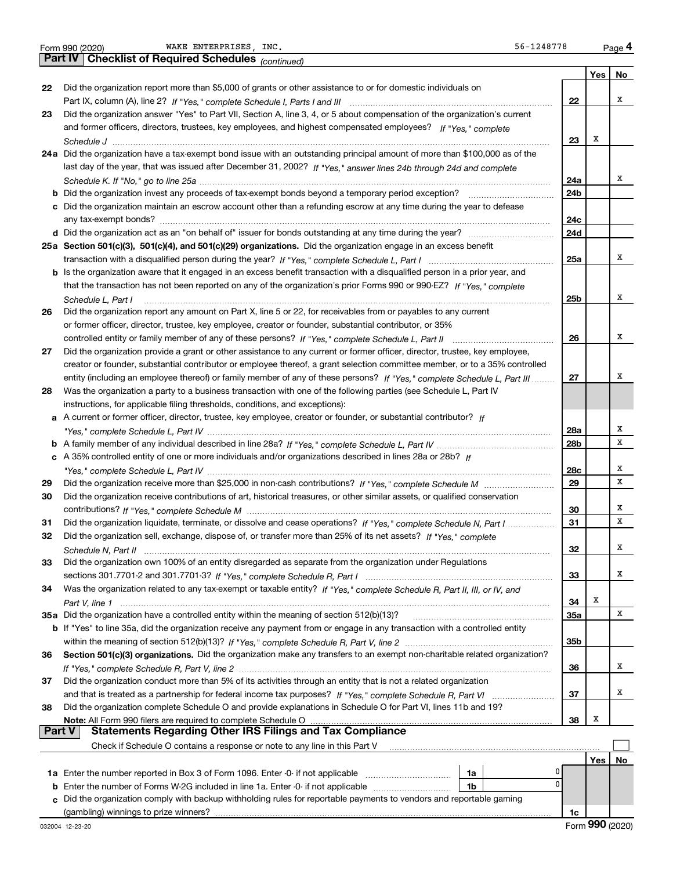|  | Form 990 (2020) |
|--|-----------------|
|  |                 |

| Part IV<br>Yes<br>No<br>Did the organization report more than \$5,000 of grants or other assistance to or for domestic individuals on<br>22<br>х<br>22<br>Did the organization answer "Yes" to Part VII, Section A, line 3, 4, or 5 about compensation of the organization's current<br>23<br>and former officers, directors, trustees, key employees, and highest compensated employees? If "Yes," complete<br>Х<br>23<br>24a Did the organization have a tax-exempt bond issue with an outstanding principal amount of more than \$100,000 as of the<br>last day of the year, that was issued after December 31, 2002? If "Yes," answer lines 24b through 24d and complete<br>х<br>24a<br>24b<br>b<br>c Did the organization maintain an escrow account other than a refunding escrow at any time during the year to defease<br>24c<br>24d<br>25a Section 501(c)(3), 501(c)(4), and 501(c)(29) organizations. Did the organization engage in an excess benefit<br>х<br>25a<br>b Is the organization aware that it engaged in an excess benefit transaction with a disqualified person in a prior year, and<br>that the transaction has not been reported on any of the organization's prior Forms 990 or 990-EZ? If "Yes," complete<br>Χ<br>25b<br>Schedule L, Part I<br>Did the organization report any amount on Part X, line 5 or 22, for receivables from or payables to any current<br>26<br>or former officer, director, trustee, key employee, creator or founder, substantial contributor, or 35%<br>х<br>26<br>Did the organization provide a grant or other assistance to any current or former officer, director, trustee, key employee,<br>27<br>creator or founder, substantial contributor or employee thereof, a grant selection committee member, or to a 35% controlled<br>х<br>entity (including an employee thereof) or family member of any of these persons? If "Yes," complete Schedule L, Part III<br>27<br>Was the organization a party to a business transaction with one of the following parties (see Schedule L, Part IV<br>28<br>instructions, for applicable filing thresholds, conditions, and exceptions):<br>A current or former officer, director, trustee, key employee, creator or founder, or substantial contributor? If<br>Χ<br>28a<br>х<br>28b<br>c A 35% controlled entity of one or more individuals and/or organizations described in lines 28a or 28b? If<br>Χ<br>28c<br>X<br>29<br>29<br>Did the organization receive contributions of art, historical treasures, or other similar assets, or qualified conservation<br>30<br>х<br>30<br>X<br>Did the organization liquidate, terminate, or dissolve and cease operations? If "Yes," complete Schedule N, Part I<br>31<br>31<br>Did the organization sell, exchange, dispose of, or transfer more than 25% of its net assets? If "Yes," complete<br>32<br>Χ<br>32<br>Did the organization own 100% of an entity disregarded as separate from the organization under Regulations<br>33<br>x<br>33<br>Was the organization related to any tax-exempt or taxable entity? If "Yes," complete Schedule R, Part II, III, or IV, and<br>34<br>Х<br>34<br>х<br>35a Did the organization have a controlled entity within the meaning of section 512(b)(13)?<br>35a<br>b If "Yes" to line 35a, did the organization receive any payment from or engage in any transaction with a controlled entity<br>35b<br>Section 501(c)(3) organizations. Did the organization make any transfers to an exempt non-charitable related organization?<br>36<br>х<br>36<br>Did the organization conduct more than 5% of its activities through an entity that is not a related organization<br>37<br>х<br>37<br>Did the organization complete Schedule O and provide explanations in Schedule O for Part VI, lines 11b and 19?<br>38<br>x<br>Note: All Form 990 filers are required to complete Schedule O<br>38<br><b>Part V</b> | 56-1248778<br>WAKE ENTERPRISES, INC.<br>Form 990 (2020)          |  | Page 4 |
|---------------------------------------------------------------------------------------------------------------------------------------------------------------------------------------------------------------------------------------------------------------------------------------------------------------------------------------------------------------------------------------------------------------------------------------------------------------------------------------------------------------------------------------------------------------------------------------------------------------------------------------------------------------------------------------------------------------------------------------------------------------------------------------------------------------------------------------------------------------------------------------------------------------------------------------------------------------------------------------------------------------------------------------------------------------------------------------------------------------------------------------------------------------------------------------------------------------------------------------------------------------------------------------------------------------------------------------------------------------------------------------------------------------------------------------------------------------------------------------------------------------------------------------------------------------------------------------------------------------------------------------------------------------------------------------------------------------------------------------------------------------------------------------------------------------------------------------------------------------------------------------------------------------------------------------------------------------------------------------------------------------------------------------------------------------------------------------------------------------------------------------------------------------------------------------------------------------------------------------------------------------------------------------------------------------------------------------------------------------------------------------------------------------------------------------------------------------------------------------------------------------------------------------------------------------------------------------------------------------------------------------------------------------------------------------------------------------------------------------------------------------------------------------------------------------------------------------------------------------------------------------------------------------------------------------------------------------------------------------------------------------------------------------------------------------------------------------------------------------------------------------------------------------------------------------------------------------------------------------------------------------------------------------------------------------------------------------------------------------------------------------------------------------------------------------------------------------------------------------------------------------------------------------------------------------------------------------------------------------------------------------------------------------------------------------------------------------------------------------------------------------------------------------------------------------------------------------------------------------------------------------------------------|------------------------------------------------------------------|--|--------|
|                                                                                                                                                                                                                                                                                                                                                                                                                                                                                                                                                                                                                                                                                                                                                                                                                                                                                                                                                                                                                                                                                                                                                                                                                                                                                                                                                                                                                                                                                                                                                                                                                                                                                                                                                                                                                                                                                                                                                                                                                                                                                                                                                                                                                                                                                                                                                                                                                                                                                                                                                                                                                                                                                                                                                                                                                                                                                                                                                                                                                                                                                                                                                                                                                                                                                                                                                                                                                                                                                                                                                                                                                                                                                                                                                                                                                                                                                                         | <b>Checklist of Required Schedules (continued)</b>               |  |        |
|                                                                                                                                                                                                                                                                                                                                                                                                                                                                                                                                                                                                                                                                                                                                                                                                                                                                                                                                                                                                                                                                                                                                                                                                                                                                                                                                                                                                                                                                                                                                                                                                                                                                                                                                                                                                                                                                                                                                                                                                                                                                                                                                                                                                                                                                                                                                                                                                                                                                                                                                                                                                                                                                                                                                                                                                                                                                                                                                                                                                                                                                                                                                                                                                                                                                                                                                                                                                                                                                                                                                                                                                                                                                                                                                                                                                                                                                                                         |                                                                  |  |        |
|                                                                                                                                                                                                                                                                                                                                                                                                                                                                                                                                                                                                                                                                                                                                                                                                                                                                                                                                                                                                                                                                                                                                                                                                                                                                                                                                                                                                                                                                                                                                                                                                                                                                                                                                                                                                                                                                                                                                                                                                                                                                                                                                                                                                                                                                                                                                                                                                                                                                                                                                                                                                                                                                                                                                                                                                                                                                                                                                                                                                                                                                                                                                                                                                                                                                                                                                                                                                                                                                                                                                                                                                                                                                                                                                                                                                                                                                                                         |                                                                  |  |        |
|                                                                                                                                                                                                                                                                                                                                                                                                                                                                                                                                                                                                                                                                                                                                                                                                                                                                                                                                                                                                                                                                                                                                                                                                                                                                                                                                                                                                                                                                                                                                                                                                                                                                                                                                                                                                                                                                                                                                                                                                                                                                                                                                                                                                                                                                                                                                                                                                                                                                                                                                                                                                                                                                                                                                                                                                                                                                                                                                                                                                                                                                                                                                                                                                                                                                                                                                                                                                                                                                                                                                                                                                                                                                                                                                                                                                                                                                                                         |                                                                  |  |        |
|                                                                                                                                                                                                                                                                                                                                                                                                                                                                                                                                                                                                                                                                                                                                                                                                                                                                                                                                                                                                                                                                                                                                                                                                                                                                                                                                                                                                                                                                                                                                                                                                                                                                                                                                                                                                                                                                                                                                                                                                                                                                                                                                                                                                                                                                                                                                                                                                                                                                                                                                                                                                                                                                                                                                                                                                                                                                                                                                                                                                                                                                                                                                                                                                                                                                                                                                                                                                                                                                                                                                                                                                                                                                                                                                                                                                                                                                                                         |                                                                  |  |        |
|                                                                                                                                                                                                                                                                                                                                                                                                                                                                                                                                                                                                                                                                                                                                                                                                                                                                                                                                                                                                                                                                                                                                                                                                                                                                                                                                                                                                                                                                                                                                                                                                                                                                                                                                                                                                                                                                                                                                                                                                                                                                                                                                                                                                                                                                                                                                                                                                                                                                                                                                                                                                                                                                                                                                                                                                                                                                                                                                                                                                                                                                                                                                                                                                                                                                                                                                                                                                                                                                                                                                                                                                                                                                                                                                                                                                                                                                                                         |                                                                  |  |        |
|                                                                                                                                                                                                                                                                                                                                                                                                                                                                                                                                                                                                                                                                                                                                                                                                                                                                                                                                                                                                                                                                                                                                                                                                                                                                                                                                                                                                                                                                                                                                                                                                                                                                                                                                                                                                                                                                                                                                                                                                                                                                                                                                                                                                                                                                                                                                                                                                                                                                                                                                                                                                                                                                                                                                                                                                                                                                                                                                                                                                                                                                                                                                                                                                                                                                                                                                                                                                                                                                                                                                                                                                                                                                                                                                                                                                                                                                                                         |                                                                  |  |        |
|                                                                                                                                                                                                                                                                                                                                                                                                                                                                                                                                                                                                                                                                                                                                                                                                                                                                                                                                                                                                                                                                                                                                                                                                                                                                                                                                                                                                                                                                                                                                                                                                                                                                                                                                                                                                                                                                                                                                                                                                                                                                                                                                                                                                                                                                                                                                                                                                                                                                                                                                                                                                                                                                                                                                                                                                                                                                                                                                                                                                                                                                                                                                                                                                                                                                                                                                                                                                                                                                                                                                                                                                                                                                                                                                                                                                                                                                                                         |                                                                  |  |        |
|                                                                                                                                                                                                                                                                                                                                                                                                                                                                                                                                                                                                                                                                                                                                                                                                                                                                                                                                                                                                                                                                                                                                                                                                                                                                                                                                                                                                                                                                                                                                                                                                                                                                                                                                                                                                                                                                                                                                                                                                                                                                                                                                                                                                                                                                                                                                                                                                                                                                                                                                                                                                                                                                                                                                                                                                                                                                                                                                                                                                                                                                                                                                                                                                                                                                                                                                                                                                                                                                                                                                                                                                                                                                                                                                                                                                                                                                                                         |                                                                  |  |        |
|                                                                                                                                                                                                                                                                                                                                                                                                                                                                                                                                                                                                                                                                                                                                                                                                                                                                                                                                                                                                                                                                                                                                                                                                                                                                                                                                                                                                                                                                                                                                                                                                                                                                                                                                                                                                                                                                                                                                                                                                                                                                                                                                                                                                                                                                                                                                                                                                                                                                                                                                                                                                                                                                                                                                                                                                                                                                                                                                                                                                                                                                                                                                                                                                                                                                                                                                                                                                                                                                                                                                                                                                                                                                                                                                                                                                                                                                                                         |                                                                  |  |        |
|                                                                                                                                                                                                                                                                                                                                                                                                                                                                                                                                                                                                                                                                                                                                                                                                                                                                                                                                                                                                                                                                                                                                                                                                                                                                                                                                                                                                                                                                                                                                                                                                                                                                                                                                                                                                                                                                                                                                                                                                                                                                                                                                                                                                                                                                                                                                                                                                                                                                                                                                                                                                                                                                                                                                                                                                                                                                                                                                                                                                                                                                                                                                                                                                                                                                                                                                                                                                                                                                                                                                                                                                                                                                                                                                                                                                                                                                                                         |                                                                  |  |        |
|                                                                                                                                                                                                                                                                                                                                                                                                                                                                                                                                                                                                                                                                                                                                                                                                                                                                                                                                                                                                                                                                                                                                                                                                                                                                                                                                                                                                                                                                                                                                                                                                                                                                                                                                                                                                                                                                                                                                                                                                                                                                                                                                                                                                                                                                                                                                                                                                                                                                                                                                                                                                                                                                                                                                                                                                                                                                                                                                                                                                                                                                                                                                                                                                                                                                                                                                                                                                                                                                                                                                                                                                                                                                                                                                                                                                                                                                                                         |                                                                  |  |        |
|                                                                                                                                                                                                                                                                                                                                                                                                                                                                                                                                                                                                                                                                                                                                                                                                                                                                                                                                                                                                                                                                                                                                                                                                                                                                                                                                                                                                                                                                                                                                                                                                                                                                                                                                                                                                                                                                                                                                                                                                                                                                                                                                                                                                                                                                                                                                                                                                                                                                                                                                                                                                                                                                                                                                                                                                                                                                                                                                                                                                                                                                                                                                                                                                                                                                                                                                                                                                                                                                                                                                                                                                                                                                                                                                                                                                                                                                                                         |                                                                  |  |        |
|                                                                                                                                                                                                                                                                                                                                                                                                                                                                                                                                                                                                                                                                                                                                                                                                                                                                                                                                                                                                                                                                                                                                                                                                                                                                                                                                                                                                                                                                                                                                                                                                                                                                                                                                                                                                                                                                                                                                                                                                                                                                                                                                                                                                                                                                                                                                                                                                                                                                                                                                                                                                                                                                                                                                                                                                                                                                                                                                                                                                                                                                                                                                                                                                                                                                                                                                                                                                                                                                                                                                                                                                                                                                                                                                                                                                                                                                                                         |                                                                  |  |        |
|                                                                                                                                                                                                                                                                                                                                                                                                                                                                                                                                                                                                                                                                                                                                                                                                                                                                                                                                                                                                                                                                                                                                                                                                                                                                                                                                                                                                                                                                                                                                                                                                                                                                                                                                                                                                                                                                                                                                                                                                                                                                                                                                                                                                                                                                                                                                                                                                                                                                                                                                                                                                                                                                                                                                                                                                                                                                                                                                                                                                                                                                                                                                                                                                                                                                                                                                                                                                                                                                                                                                                                                                                                                                                                                                                                                                                                                                                                         |                                                                  |  |        |
|                                                                                                                                                                                                                                                                                                                                                                                                                                                                                                                                                                                                                                                                                                                                                                                                                                                                                                                                                                                                                                                                                                                                                                                                                                                                                                                                                                                                                                                                                                                                                                                                                                                                                                                                                                                                                                                                                                                                                                                                                                                                                                                                                                                                                                                                                                                                                                                                                                                                                                                                                                                                                                                                                                                                                                                                                                                                                                                                                                                                                                                                                                                                                                                                                                                                                                                                                                                                                                                                                                                                                                                                                                                                                                                                                                                                                                                                                                         |                                                                  |  |        |
|                                                                                                                                                                                                                                                                                                                                                                                                                                                                                                                                                                                                                                                                                                                                                                                                                                                                                                                                                                                                                                                                                                                                                                                                                                                                                                                                                                                                                                                                                                                                                                                                                                                                                                                                                                                                                                                                                                                                                                                                                                                                                                                                                                                                                                                                                                                                                                                                                                                                                                                                                                                                                                                                                                                                                                                                                                                                                                                                                                                                                                                                                                                                                                                                                                                                                                                                                                                                                                                                                                                                                                                                                                                                                                                                                                                                                                                                                                         |                                                                  |  |        |
|                                                                                                                                                                                                                                                                                                                                                                                                                                                                                                                                                                                                                                                                                                                                                                                                                                                                                                                                                                                                                                                                                                                                                                                                                                                                                                                                                                                                                                                                                                                                                                                                                                                                                                                                                                                                                                                                                                                                                                                                                                                                                                                                                                                                                                                                                                                                                                                                                                                                                                                                                                                                                                                                                                                                                                                                                                                                                                                                                                                                                                                                                                                                                                                                                                                                                                                                                                                                                                                                                                                                                                                                                                                                                                                                                                                                                                                                                                         |                                                                  |  |        |
|                                                                                                                                                                                                                                                                                                                                                                                                                                                                                                                                                                                                                                                                                                                                                                                                                                                                                                                                                                                                                                                                                                                                                                                                                                                                                                                                                                                                                                                                                                                                                                                                                                                                                                                                                                                                                                                                                                                                                                                                                                                                                                                                                                                                                                                                                                                                                                                                                                                                                                                                                                                                                                                                                                                                                                                                                                                                                                                                                                                                                                                                                                                                                                                                                                                                                                                                                                                                                                                                                                                                                                                                                                                                                                                                                                                                                                                                                                         |                                                                  |  |        |
|                                                                                                                                                                                                                                                                                                                                                                                                                                                                                                                                                                                                                                                                                                                                                                                                                                                                                                                                                                                                                                                                                                                                                                                                                                                                                                                                                                                                                                                                                                                                                                                                                                                                                                                                                                                                                                                                                                                                                                                                                                                                                                                                                                                                                                                                                                                                                                                                                                                                                                                                                                                                                                                                                                                                                                                                                                                                                                                                                                                                                                                                                                                                                                                                                                                                                                                                                                                                                                                                                                                                                                                                                                                                                                                                                                                                                                                                                                         |                                                                  |  |        |
|                                                                                                                                                                                                                                                                                                                                                                                                                                                                                                                                                                                                                                                                                                                                                                                                                                                                                                                                                                                                                                                                                                                                                                                                                                                                                                                                                                                                                                                                                                                                                                                                                                                                                                                                                                                                                                                                                                                                                                                                                                                                                                                                                                                                                                                                                                                                                                                                                                                                                                                                                                                                                                                                                                                                                                                                                                                                                                                                                                                                                                                                                                                                                                                                                                                                                                                                                                                                                                                                                                                                                                                                                                                                                                                                                                                                                                                                                                         |                                                                  |  |        |
|                                                                                                                                                                                                                                                                                                                                                                                                                                                                                                                                                                                                                                                                                                                                                                                                                                                                                                                                                                                                                                                                                                                                                                                                                                                                                                                                                                                                                                                                                                                                                                                                                                                                                                                                                                                                                                                                                                                                                                                                                                                                                                                                                                                                                                                                                                                                                                                                                                                                                                                                                                                                                                                                                                                                                                                                                                                                                                                                                                                                                                                                                                                                                                                                                                                                                                                                                                                                                                                                                                                                                                                                                                                                                                                                                                                                                                                                                                         |                                                                  |  |        |
|                                                                                                                                                                                                                                                                                                                                                                                                                                                                                                                                                                                                                                                                                                                                                                                                                                                                                                                                                                                                                                                                                                                                                                                                                                                                                                                                                                                                                                                                                                                                                                                                                                                                                                                                                                                                                                                                                                                                                                                                                                                                                                                                                                                                                                                                                                                                                                                                                                                                                                                                                                                                                                                                                                                                                                                                                                                                                                                                                                                                                                                                                                                                                                                                                                                                                                                                                                                                                                                                                                                                                                                                                                                                                                                                                                                                                                                                                                         |                                                                  |  |        |
|                                                                                                                                                                                                                                                                                                                                                                                                                                                                                                                                                                                                                                                                                                                                                                                                                                                                                                                                                                                                                                                                                                                                                                                                                                                                                                                                                                                                                                                                                                                                                                                                                                                                                                                                                                                                                                                                                                                                                                                                                                                                                                                                                                                                                                                                                                                                                                                                                                                                                                                                                                                                                                                                                                                                                                                                                                                                                                                                                                                                                                                                                                                                                                                                                                                                                                                                                                                                                                                                                                                                                                                                                                                                                                                                                                                                                                                                                                         |                                                                  |  |        |
|                                                                                                                                                                                                                                                                                                                                                                                                                                                                                                                                                                                                                                                                                                                                                                                                                                                                                                                                                                                                                                                                                                                                                                                                                                                                                                                                                                                                                                                                                                                                                                                                                                                                                                                                                                                                                                                                                                                                                                                                                                                                                                                                                                                                                                                                                                                                                                                                                                                                                                                                                                                                                                                                                                                                                                                                                                                                                                                                                                                                                                                                                                                                                                                                                                                                                                                                                                                                                                                                                                                                                                                                                                                                                                                                                                                                                                                                                                         |                                                                  |  |        |
|                                                                                                                                                                                                                                                                                                                                                                                                                                                                                                                                                                                                                                                                                                                                                                                                                                                                                                                                                                                                                                                                                                                                                                                                                                                                                                                                                                                                                                                                                                                                                                                                                                                                                                                                                                                                                                                                                                                                                                                                                                                                                                                                                                                                                                                                                                                                                                                                                                                                                                                                                                                                                                                                                                                                                                                                                                                                                                                                                                                                                                                                                                                                                                                                                                                                                                                                                                                                                                                                                                                                                                                                                                                                                                                                                                                                                                                                                                         |                                                                  |  |        |
|                                                                                                                                                                                                                                                                                                                                                                                                                                                                                                                                                                                                                                                                                                                                                                                                                                                                                                                                                                                                                                                                                                                                                                                                                                                                                                                                                                                                                                                                                                                                                                                                                                                                                                                                                                                                                                                                                                                                                                                                                                                                                                                                                                                                                                                                                                                                                                                                                                                                                                                                                                                                                                                                                                                                                                                                                                                                                                                                                                                                                                                                                                                                                                                                                                                                                                                                                                                                                                                                                                                                                                                                                                                                                                                                                                                                                                                                                                         |                                                                  |  |        |
|                                                                                                                                                                                                                                                                                                                                                                                                                                                                                                                                                                                                                                                                                                                                                                                                                                                                                                                                                                                                                                                                                                                                                                                                                                                                                                                                                                                                                                                                                                                                                                                                                                                                                                                                                                                                                                                                                                                                                                                                                                                                                                                                                                                                                                                                                                                                                                                                                                                                                                                                                                                                                                                                                                                                                                                                                                                                                                                                                                                                                                                                                                                                                                                                                                                                                                                                                                                                                                                                                                                                                                                                                                                                                                                                                                                                                                                                                                         |                                                                  |  |        |
|                                                                                                                                                                                                                                                                                                                                                                                                                                                                                                                                                                                                                                                                                                                                                                                                                                                                                                                                                                                                                                                                                                                                                                                                                                                                                                                                                                                                                                                                                                                                                                                                                                                                                                                                                                                                                                                                                                                                                                                                                                                                                                                                                                                                                                                                                                                                                                                                                                                                                                                                                                                                                                                                                                                                                                                                                                                                                                                                                                                                                                                                                                                                                                                                                                                                                                                                                                                                                                                                                                                                                                                                                                                                                                                                                                                                                                                                                                         |                                                                  |  |        |
|                                                                                                                                                                                                                                                                                                                                                                                                                                                                                                                                                                                                                                                                                                                                                                                                                                                                                                                                                                                                                                                                                                                                                                                                                                                                                                                                                                                                                                                                                                                                                                                                                                                                                                                                                                                                                                                                                                                                                                                                                                                                                                                                                                                                                                                                                                                                                                                                                                                                                                                                                                                                                                                                                                                                                                                                                                                                                                                                                                                                                                                                                                                                                                                                                                                                                                                                                                                                                                                                                                                                                                                                                                                                                                                                                                                                                                                                                                         |                                                                  |  |        |
|                                                                                                                                                                                                                                                                                                                                                                                                                                                                                                                                                                                                                                                                                                                                                                                                                                                                                                                                                                                                                                                                                                                                                                                                                                                                                                                                                                                                                                                                                                                                                                                                                                                                                                                                                                                                                                                                                                                                                                                                                                                                                                                                                                                                                                                                                                                                                                                                                                                                                                                                                                                                                                                                                                                                                                                                                                                                                                                                                                                                                                                                                                                                                                                                                                                                                                                                                                                                                                                                                                                                                                                                                                                                                                                                                                                                                                                                                                         |                                                                  |  |        |
|                                                                                                                                                                                                                                                                                                                                                                                                                                                                                                                                                                                                                                                                                                                                                                                                                                                                                                                                                                                                                                                                                                                                                                                                                                                                                                                                                                                                                                                                                                                                                                                                                                                                                                                                                                                                                                                                                                                                                                                                                                                                                                                                                                                                                                                                                                                                                                                                                                                                                                                                                                                                                                                                                                                                                                                                                                                                                                                                                                                                                                                                                                                                                                                                                                                                                                                                                                                                                                                                                                                                                                                                                                                                                                                                                                                                                                                                                                         |                                                                  |  |        |
|                                                                                                                                                                                                                                                                                                                                                                                                                                                                                                                                                                                                                                                                                                                                                                                                                                                                                                                                                                                                                                                                                                                                                                                                                                                                                                                                                                                                                                                                                                                                                                                                                                                                                                                                                                                                                                                                                                                                                                                                                                                                                                                                                                                                                                                                                                                                                                                                                                                                                                                                                                                                                                                                                                                                                                                                                                                                                                                                                                                                                                                                                                                                                                                                                                                                                                                                                                                                                                                                                                                                                                                                                                                                                                                                                                                                                                                                                                         |                                                                  |  |        |
|                                                                                                                                                                                                                                                                                                                                                                                                                                                                                                                                                                                                                                                                                                                                                                                                                                                                                                                                                                                                                                                                                                                                                                                                                                                                                                                                                                                                                                                                                                                                                                                                                                                                                                                                                                                                                                                                                                                                                                                                                                                                                                                                                                                                                                                                                                                                                                                                                                                                                                                                                                                                                                                                                                                                                                                                                                                                                                                                                                                                                                                                                                                                                                                                                                                                                                                                                                                                                                                                                                                                                                                                                                                                                                                                                                                                                                                                                                         |                                                                  |  |        |
|                                                                                                                                                                                                                                                                                                                                                                                                                                                                                                                                                                                                                                                                                                                                                                                                                                                                                                                                                                                                                                                                                                                                                                                                                                                                                                                                                                                                                                                                                                                                                                                                                                                                                                                                                                                                                                                                                                                                                                                                                                                                                                                                                                                                                                                                                                                                                                                                                                                                                                                                                                                                                                                                                                                                                                                                                                                                                                                                                                                                                                                                                                                                                                                                                                                                                                                                                                                                                                                                                                                                                                                                                                                                                                                                                                                                                                                                                                         |                                                                  |  |        |
|                                                                                                                                                                                                                                                                                                                                                                                                                                                                                                                                                                                                                                                                                                                                                                                                                                                                                                                                                                                                                                                                                                                                                                                                                                                                                                                                                                                                                                                                                                                                                                                                                                                                                                                                                                                                                                                                                                                                                                                                                                                                                                                                                                                                                                                                                                                                                                                                                                                                                                                                                                                                                                                                                                                                                                                                                                                                                                                                                                                                                                                                                                                                                                                                                                                                                                                                                                                                                                                                                                                                                                                                                                                                                                                                                                                                                                                                                                         |                                                                  |  |        |
|                                                                                                                                                                                                                                                                                                                                                                                                                                                                                                                                                                                                                                                                                                                                                                                                                                                                                                                                                                                                                                                                                                                                                                                                                                                                                                                                                                                                                                                                                                                                                                                                                                                                                                                                                                                                                                                                                                                                                                                                                                                                                                                                                                                                                                                                                                                                                                                                                                                                                                                                                                                                                                                                                                                                                                                                                                                                                                                                                                                                                                                                                                                                                                                                                                                                                                                                                                                                                                                                                                                                                                                                                                                                                                                                                                                                                                                                                                         |                                                                  |  |        |
|                                                                                                                                                                                                                                                                                                                                                                                                                                                                                                                                                                                                                                                                                                                                                                                                                                                                                                                                                                                                                                                                                                                                                                                                                                                                                                                                                                                                                                                                                                                                                                                                                                                                                                                                                                                                                                                                                                                                                                                                                                                                                                                                                                                                                                                                                                                                                                                                                                                                                                                                                                                                                                                                                                                                                                                                                                                                                                                                                                                                                                                                                                                                                                                                                                                                                                                                                                                                                                                                                                                                                                                                                                                                                                                                                                                                                                                                                                         |                                                                  |  |        |
|                                                                                                                                                                                                                                                                                                                                                                                                                                                                                                                                                                                                                                                                                                                                                                                                                                                                                                                                                                                                                                                                                                                                                                                                                                                                                                                                                                                                                                                                                                                                                                                                                                                                                                                                                                                                                                                                                                                                                                                                                                                                                                                                                                                                                                                                                                                                                                                                                                                                                                                                                                                                                                                                                                                                                                                                                                                                                                                                                                                                                                                                                                                                                                                                                                                                                                                                                                                                                                                                                                                                                                                                                                                                                                                                                                                                                                                                                                         |                                                                  |  |        |
|                                                                                                                                                                                                                                                                                                                                                                                                                                                                                                                                                                                                                                                                                                                                                                                                                                                                                                                                                                                                                                                                                                                                                                                                                                                                                                                                                                                                                                                                                                                                                                                                                                                                                                                                                                                                                                                                                                                                                                                                                                                                                                                                                                                                                                                                                                                                                                                                                                                                                                                                                                                                                                                                                                                                                                                                                                                                                                                                                                                                                                                                                                                                                                                                                                                                                                                                                                                                                                                                                                                                                                                                                                                                                                                                                                                                                                                                                                         |                                                                  |  |        |
|                                                                                                                                                                                                                                                                                                                                                                                                                                                                                                                                                                                                                                                                                                                                                                                                                                                                                                                                                                                                                                                                                                                                                                                                                                                                                                                                                                                                                                                                                                                                                                                                                                                                                                                                                                                                                                                                                                                                                                                                                                                                                                                                                                                                                                                                                                                                                                                                                                                                                                                                                                                                                                                                                                                                                                                                                                                                                                                                                                                                                                                                                                                                                                                                                                                                                                                                                                                                                                                                                                                                                                                                                                                                                                                                                                                                                                                                                                         |                                                                  |  |        |
|                                                                                                                                                                                                                                                                                                                                                                                                                                                                                                                                                                                                                                                                                                                                                                                                                                                                                                                                                                                                                                                                                                                                                                                                                                                                                                                                                                                                                                                                                                                                                                                                                                                                                                                                                                                                                                                                                                                                                                                                                                                                                                                                                                                                                                                                                                                                                                                                                                                                                                                                                                                                                                                                                                                                                                                                                                                                                                                                                                                                                                                                                                                                                                                                                                                                                                                                                                                                                                                                                                                                                                                                                                                                                                                                                                                                                                                                                                         |                                                                  |  |        |
|                                                                                                                                                                                                                                                                                                                                                                                                                                                                                                                                                                                                                                                                                                                                                                                                                                                                                                                                                                                                                                                                                                                                                                                                                                                                                                                                                                                                                                                                                                                                                                                                                                                                                                                                                                                                                                                                                                                                                                                                                                                                                                                                                                                                                                                                                                                                                                                                                                                                                                                                                                                                                                                                                                                                                                                                                                                                                                                                                                                                                                                                                                                                                                                                                                                                                                                                                                                                                                                                                                                                                                                                                                                                                                                                                                                                                                                                                                         |                                                                  |  |        |
|                                                                                                                                                                                                                                                                                                                                                                                                                                                                                                                                                                                                                                                                                                                                                                                                                                                                                                                                                                                                                                                                                                                                                                                                                                                                                                                                                                                                                                                                                                                                                                                                                                                                                                                                                                                                                                                                                                                                                                                                                                                                                                                                                                                                                                                                                                                                                                                                                                                                                                                                                                                                                                                                                                                                                                                                                                                                                                                                                                                                                                                                                                                                                                                                                                                                                                                                                                                                                                                                                                                                                                                                                                                                                                                                                                                                                                                                                                         |                                                                  |  |        |
|                                                                                                                                                                                                                                                                                                                                                                                                                                                                                                                                                                                                                                                                                                                                                                                                                                                                                                                                                                                                                                                                                                                                                                                                                                                                                                                                                                                                                                                                                                                                                                                                                                                                                                                                                                                                                                                                                                                                                                                                                                                                                                                                                                                                                                                                                                                                                                                                                                                                                                                                                                                                                                                                                                                                                                                                                                                                                                                                                                                                                                                                                                                                                                                                                                                                                                                                                                                                                                                                                                                                                                                                                                                                                                                                                                                                                                                                                                         |                                                                  |  |        |
|                                                                                                                                                                                                                                                                                                                                                                                                                                                                                                                                                                                                                                                                                                                                                                                                                                                                                                                                                                                                                                                                                                                                                                                                                                                                                                                                                                                                                                                                                                                                                                                                                                                                                                                                                                                                                                                                                                                                                                                                                                                                                                                                                                                                                                                                                                                                                                                                                                                                                                                                                                                                                                                                                                                                                                                                                                                                                                                                                                                                                                                                                                                                                                                                                                                                                                                                                                                                                                                                                                                                                                                                                                                                                                                                                                                                                                                                                                         |                                                                  |  |        |
|                                                                                                                                                                                                                                                                                                                                                                                                                                                                                                                                                                                                                                                                                                                                                                                                                                                                                                                                                                                                                                                                                                                                                                                                                                                                                                                                                                                                                                                                                                                                                                                                                                                                                                                                                                                                                                                                                                                                                                                                                                                                                                                                                                                                                                                                                                                                                                                                                                                                                                                                                                                                                                                                                                                                                                                                                                                                                                                                                                                                                                                                                                                                                                                                                                                                                                                                                                                                                                                                                                                                                                                                                                                                                                                                                                                                                                                                                                         |                                                                  |  |        |
|                                                                                                                                                                                                                                                                                                                                                                                                                                                                                                                                                                                                                                                                                                                                                                                                                                                                                                                                                                                                                                                                                                                                                                                                                                                                                                                                                                                                                                                                                                                                                                                                                                                                                                                                                                                                                                                                                                                                                                                                                                                                                                                                                                                                                                                                                                                                                                                                                                                                                                                                                                                                                                                                                                                                                                                                                                                                                                                                                                                                                                                                                                                                                                                                                                                                                                                                                                                                                                                                                                                                                                                                                                                                                                                                                                                                                                                                                                         |                                                                  |  |        |
|                                                                                                                                                                                                                                                                                                                                                                                                                                                                                                                                                                                                                                                                                                                                                                                                                                                                                                                                                                                                                                                                                                                                                                                                                                                                                                                                                                                                                                                                                                                                                                                                                                                                                                                                                                                                                                                                                                                                                                                                                                                                                                                                                                                                                                                                                                                                                                                                                                                                                                                                                                                                                                                                                                                                                                                                                                                                                                                                                                                                                                                                                                                                                                                                                                                                                                                                                                                                                                                                                                                                                                                                                                                                                                                                                                                                                                                                                                         |                                                                  |  |        |
|                                                                                                                                                                                                                                                                                                                                                                                                                                                                                                                                                                                                                                                                                                                                                                                                                                                                                                                                                                                                                                                                                                                                                                                                                                                                                                                                                                                                                                                                                                                                                                                                                                                                                                                                                                                                                                                                                                                                                                                                                                                                                                                                                                                                                                                                                                                                                                                                                                                                                                                                                                                                                                                                                                                                                                                                                                                                                                                                                                                                                                                                                                                                                                                                                                                                                                                                                                                                                                                                                                                                                                                                                                                                                                                                                                                                                                                                                                         |                                                                  |  |        |
|                                                                                                                                                                                                                                                                                                                                                                                                                                                                                                                                                                                                                                                                                                                                                                                                                                                                                                                                                                                                                                                                                                                                                                                                                                                                                                                                                                                                                                                                                                                                                                                                                                                                                                                                                                                                                                                                                                                                                                                                                                                                                                                                                                                                                                                                                                                                                                                                                                                                                                                                                                                                                                                                                                                                                                                                                                                                                                                                                                                                                                                                                                                                                                                                                                                                                                                                                                                                                                                                                                                                                                                                                                                                                                                                                                                                                                                                                                         |                                                                  |  |        |
|                                                                                                                                                                                                                                                                                                                                                                                                                                                                                                                                                                                                                                                                                                                                                                                                                                                                                                                                                                                                                                                                                                                                                                                                                                                                                                                                                                                                                                                                                                                                                                                                                                                                                                                                                                                                                                                                                                                                                                                                                                                                                                                                                                                                                                                                                                                                                                                                                                                                                                                                                                                                                                                                                                                                                                                                                                                                                                                                                                                                                                                                                                                                                                                                                                                                                                                                                                                                                                                                                                                                                                                                                                                                                                                                                                                                                                                                                                         |                                                                  |  |        |
|                                                                                                                                                                                                                                                                                                                                                                                                                                                                                                                                                                                                                                                                                                                                                                                                                                                                                                                                                                                                                                                                                                                                                                                                                                                                                                                                                                                                                                                                                                                                                                                                                                                                                                                                                                                                                                                                                                                                                                                                                                                                                                                                                                                                                                                                                                                                                                                                                                                                                                                                                                                                                                                                                                                                                                                                                                                                                                                                                                                                                                                                                                                                                                                                                                                                                                                                                                                                                                                                                                                                                                                                                                                                                                                                                                                                                                                                                                         | <b>Statements Regarding Other IRS Filings and Tax Compliance</b> |  |        |
| Check if Schedule O contains a response or note to any line in this Part V                                                                                                                                                                                                                                                                                                                                                                                                                                                                                                                                                                                                                                                                                                                                                                                                                                                                                                                                                                                                                                                                                                                                                                                                                                                                                                                                                                                                                                                                                                                                                                                                                                                                                                                                                                                                                                                                                                                                                                                                                                                                                                                                                                                                                                                                                                                                                                                                                                                                                                                                                                                                                                                                                                                                                                                                                                                                                                                                                                                                                                                                                                                                                                                                                                                                                                                                                                                                                                                                                                                                                                                                                                                                                                                                                                                                                              |                                                                  |  |        |
| Yes  <br>No                                                                                                                                                                                                                                                                                                                                                                                                                                                                                                                                                                                                                                                                                                                                                                                                                                                                                                                                                                                                                                                                                                                                                                                                                                                                                                                                                                                                                                                                                                                                                                                                                                                                                                                                                                                                                                                                                                                                                                                                                                                                                                                                                                                                                                                                                                                                                                                                                                                                                                                                                                                                                                                                                                                                                                                                                                                                                                                                                                                                                                                                                                                                                                                                                                                                                                                                                                                                                                                                                                                                                                                                                                                                                                                                                                                                                                                                                             |                                                                  |  |        |
| 0<br>Enter the number reported in Box 3 of Form 1096. Enter -0- if not applicable<br>1a<br>1a                                                                                                                                                                                                                                                                                                                                                                                                                                                                                                                                                                                                                                                                                                                                                                                                                                                                                                                                                                                                                                                                                                                                                                                                                                                                                                                                                                                                                                                                                                                                                                                                                                                                                                                                                                                                                                                                                                                                                                                                                                                                                                                                                                                                                                                                                                                                                                                                                                                                                                                                                                                                                                                                                                                                                                                                                                                                                                                                                                                                                                                                                                                                                                                                                                                                                                                                                                                                                                                                                                                                                                                                                                                                                                                                                                                                           |                                                                  |  |        |
| 0<br>Enter the number of Forms W-2G included in line 1a. Enter -0- if not applicable<br>1b<br>b                                                                                                                                                                                                                                                                                                                                                                                                                                                                                                                                                                                                                                                                                                                                                                                                                                                                                                                                                                                                                                                                                                                                                                                                                                                                                                                                                                                                                                                                                                                                                                                                                                                                                                                                                                                                                                                                                                                                                                                                                                                                                                                                                                                                                                                                                                                                                                                                                                                                                                                                                                                                                                                                                                                                                                                                                                                                                                                                                                                                                                                                                                                                                                                                                                                                                                                                                                                                                                                                                                                                                                                                                                                                                                                                                                                                         |                                                                  |  |        |
| Did the organization comply with backup withholding rules for reportable payments to vendors and reportable gaming<br>c                                                                                                                                                                                                                                                                                                                                                                                                                                                                                                                                                                                                                                                                                                                                                                                                                                                                                                                                                                                                                                                                                                                                                                                                                                                                                                                                                                                                                                                                                                                                                                                                                                                                                                                                                                                                                                                                                                                                                                                                                                                                                                                                                                                                                                                                                                                                                                                                                                                                                                                                                                                                                                                                                                                                                                                                                                                                                                                                                                                                                                                                                                                                                                                                                                                                                                                                                                                                                                                                                                                                                                                                                                                                                                                                                                                 |                                                                  |  |        |
| (gambling) winnings to prize winners?<br>1c                                                                                                                                                                                                                                                                                                                                                                                                                                                                                                                                                                                                                                                                                                                                                                                                                                                                                                                                                                                                                                                                                                                                                                                                                                                                                                                                                                                                                                                                                                                                                                                                                                                                                                                                                                                                                                                                                                                                                                                                                                                                                                                                                                                                                                                                                                                                                                                                                                                                                                                                                                                                                                                                                                                                                                                                                                                                                                                                                                                                                                                                                                                                                                                                                                                                                                                                                                                                                                                                                                                                                                                                                                                                                                                                                                                                                                                             |                                                                  |  |        |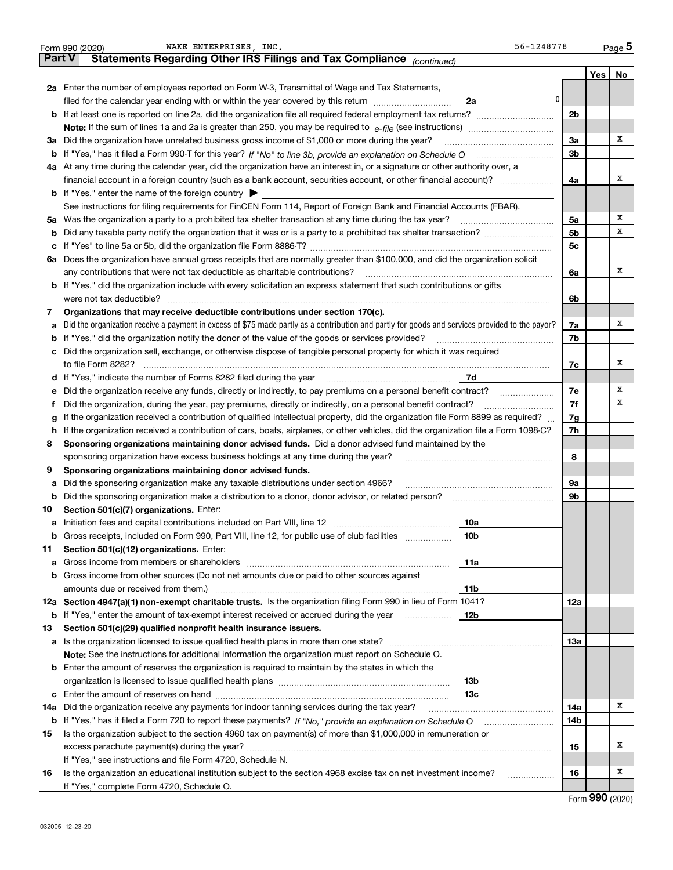|               | WAKE ENTERPRISES, INC.<br>56-1248778<br>Form 990 (2020)                                                                                         |     |     | Page 5 |
|---------------|-------------------------------------------------------------------------------------------------------------------------------------------------|-----|-----|--------|
| <b>Part V</b> | Statements Regarding Other IRS Filings and Tax Compliance (continued)                                                                           |     |     |        |
|               |                                                                                                                                                 |     | Yes | No     |
|               | 2a Enter the number of employees reported on Form W-3, Transmittal of Wage and Tax Statements,                                                  |     |     |        |
|               | 0<br>filed for the calendar year ending with or within the year covered by this return<br>2a                                                    |     |     |        |
|               |                                                                                                                                                 | 2b  |     |        |
|               |                                                                                                                                                 |     |     |        |
|               | 3a Did the organization have unrelated business gross income of \$1,000 or more during the year?                                                | За  |     | х      |
|               |                                                                                                                                                 | 3b  |     |        |
|               | 4a At any time during the calendar year, did the organization have an interest in, or a signature or other authority over, a                    |     |     |        |
|               | financial account in a foreign country (such as a bank account, securities account, or other financial account)?                                | 4a  |     | х      |
|               | <b>b</b> If "Yes," enter the name of the foreign country $\blacktriangleright$                                                                  |     |     |        |
|               | See instructions for filing requirements for FinCEN Form 114, Report of Foreign Bank and Financial Accounts (FBAR).                             |     |     |        |
| 5a            | Was the organization a party to a prohibited tax shelter transaction at any time during the tax year?                                           | 5a  |     | х      |
| b             |                                                                                                                                                 | 5b  |     | х      |
| с             |                                                                                                                                                 | 5c  |     |        |
|               | 6a Does the organization have annual gross receipts that are normally greater than \$100,000, and did the organization solicit                  |     |     |        |
|               | any contributions that were not tax deductible as charitable contributions?                                                                     | 6a  |     | х      |
|               | <b>b</b> If "Yes," did the organization include with every solicitation an express statement that such contributions or gifts                   |     |     |        |
|               | were not tax deductible?                                                                                                                        | 6b  |     |        |
| 7             | Organizations that may receive deductible contributions under section 170(c).                                                                   |     |     |        |
| а             | Did the organization receive a payment in excess of \$75 made partly as a contribution and partly for goods and services provided to the payor? | 7a  |     | х      |
| b             | If "Yes," did the organization notify the donor of the value of the goods or services provided?                                                 | 7b  |     |        |
| c             | Did the organization sell, exchange, or otherwise dispose of tangible personal property for which it was required                               |     |     |        |
|               |                                                                                                                                                 | 7c  |     | х      |
|               | 7d                                                                                                                                              |     |     |        |
| е             | Did the organization receive any funds, directly or indirectly, to pay premiums on a personal benefit contract?                                 | 7e  |     | х      |
| f             | Did the organization, during the year, pay premiums, directly or indirectly, on a personal benefit contract?                                    | 7f  |     | х      |
| g             | If the organization received a contribution of qualified intellectual property, did the organization file Form 8899 as required?                | 7g  |     |        |
| h.            | If the organization received a contribution of cars, boats, airplanes, or other vehicles, did the organization file a Form 1098-C?              | 7h  |     |        |
| 8             | Sponsoring organizations maintaining donor advised funds. Did a donor advised fund maintained by the                                            |     |     |        |
|               | sponsoring organization have excess business holdings at any time during the year?                                                              | 8   |     |        |
| 9             | Sponsoring organizations maintaining donor advised funds.                                                                                       |     |     |        |
| а             | Did the sponsoring organization make any taxable distributions under section 4966?                                                              | 9а  |     |        |
| b             | Did the sponsoring organization make a distribution to a donor, donor advisor, or related person?                                               | 9b  |     |        |
| 10            | Section 501(c)(7) organizations. Enter:                                                                                                         |     |     |        |
|               | 10a                                                                                                                                             |     |     |        |
|               | 10 <sub>b</sub><br>Gross receipts, included on Form 990, Part VIII, line 12, for public use of club facilities                                  |     |     |        |
| 11            | Section 501(c)(12) organizations. Enter:                                                                                                        |     |     |        |
| a             | Gross income from members or shareholders<br>11a                                                                                                |     |     |        |
| b             | Gross income from other sources (Do not net amounts due or paid to other sources against                                                        |     |     |        |
|               | 11b                                                                                                                                             |     |     |        |
|               | 12a Section 4947(a)(1) non-exempt charitable trusts. Is the organization filing Form 990 in lieu of Form 1041?                                  | 12a |     |        |
|               | <b>b</b> If "Yes," enter the amount of tax-exempt interest received or accrued during the year <i>manument</i> of<br>12b                        |     |     |        |
| 13            | Section 501(c)(29) qualified nonprofit health insurance issuers.                                                                                |     |     |        |
|               | a Is the organization licensed to issue qualified health plans in more than one state?                                                          | 13а |     |        |
|               | Note: See the instructions for additional information the organization must report on Schedule O.                                               |     |     |        |
| b             | Enter the amount of reserves the organization is required to maintain by the states in which the                                                |     |     |        |
|               | 13 <sub>b</sub>                                                                                                                                 |     |     |        |
| c             | 13 <sub>c</sub>                                                                                                                                 |     |     | х      |
| 14a           | Did the organization receive any payments for indoor tanning services during the tax year?                                                      | 14a |     |        |
|               | <b>b</b> If "Yes," has it filed a Form 720 to report these payments? If "No," provide an explanation on Schedule O                              | 14b |     |        |
| 15            | Is the organization subject to the section 4960 tax on payment(s) of more than \$1,000,000 in remuneration or                                   |     |     | x      |
|               |                                                                                                                                                 | 15  |     |        |
|               | If "Yes," see instructions and file Form 4720, Schedule N.                                                                                      |     |     | х      |
| 16            | Is the organization an educational institution subject to the section 4968 excise tax on net investment income?                                 | 16  |     |        |
|               | If "Yes," complete Form 4720, Schedule O.                                                                                                       |     |     |        |

Form (2020) **990**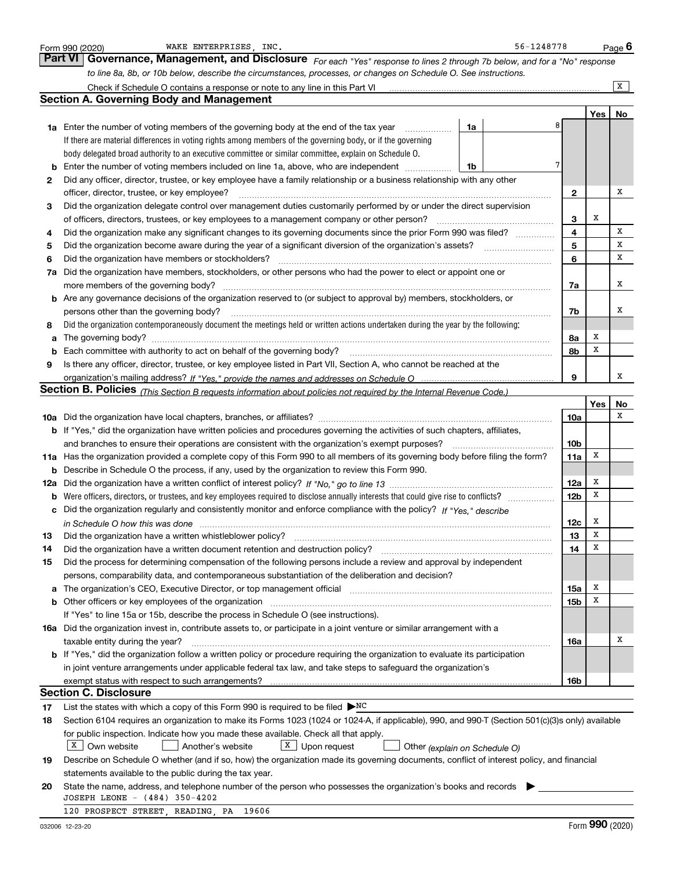|    | WAKE ENTERPRISES, INC.<br>Form 990 (2020)                                                                                                                                                                                                                                                               |    | 56-1248778 |                 |     | Page $6$ |
|----|---------------------------------------------------------------------------------------------------------------------------------------------------------------------------------------------------------------------------------------------------------------------------------------------------------|----|------------|-----------------|-----|----------|
|    | Governance, Management, and Disclosure For each "Yes" response to lines 2 through 7b below, and for a "No" response<br><b>Part VI</b>                                                                                                                                                                   |    |            |                 |     |          |
|    | to line 8a, 8b, or 10b below, describe the circumstances, processes, or changes on Schedule O. See instructions.                                                                                                                                                                                        |    |            |                 |     |          |
|    | Check if Schedule O contains a response or note to any line in this Part VI [11] [12] [13] Check if Schedule O contains a response or note to any line in this Part VI                                                                                                                                  |    |            |                 |     | x        |
|    | <b>Section A. Governing Body and Management</b>                                                                                                                                                                                                                                                         |    |            |                 |     |          |
|    |                                                                                                                                                                                                                                                                                                         |    |            |                 | Yes | No       |
|    | <b>1a</b> Enter the number of voting members of the governing body at the end of the tax year<br>.                                                                                                                                                                                                      | 1a | 8          |                 |     |          |
|    | If there are material differences in voting rights among members of the governing body, or if the governing                                                                                                                                                                                             |    |            |                 |     |          |
|    | body delegated broad authority to an executive committee or similar committee, explain on Schedule O.                                                                                                                                                                                                   |    |            |                 |     |          |
| b  | Enter the number of voting members included on line 1a, above, who are independent                                                                                                                                                                                                                      | 1b |            |                 |     |          |
| 2  | Did any officer, director, trustee, or key employee have a family relationship or a business relationship with any other                                                                                                                                                                                |    |            |                 |     |          |
|    | officer, director, trustee, or key employee?                                                                                                                                                                                                                                                            |    |            | 2               |     | х        |
| 3  | Did the organization delegate control over management duties customarily performed by or under the direct supervision                                                                                                                                                                                   |    |            |                 |     |          |
|    | of officers, directors, trustees, or key employees to a management company or other person?                                                                                                                                                                                                             |    |            | з               | x   |          |
| 4  | Did the organization make any significant changes to its governing documents since the prior Form 990 was filed?                                                                                                                                                                                        |    |            | 4               |     | X        |
| 5  | Did the organization become aware during the year of a significant diversion of the organization's assets?                                                                                                                                                                                              |    |            | 5               |     | X        |
| 6  | Did the organization have members or stockholders?                                                                                                                                                                                                                                                      |    |            | 6               |     | x        |
|    | Did the organization have members, stockholders, or other persons who had the power to elect or appoint one or                                                                                                                                                                                          |    |            |                 |     |          |
| 7a |                                                                                                                                                                                                                                                                                                         |    |            |                 |     | х        |
|    | more members of the governing body?<br>b Are any governance decisions of the organization reserved to (or subject to approval by) members, stockholders, or                                                                                                                                             |    |            | 7a              |     |          |
|    |                                                                                                                                                                                                                                                                                                         |    |            |                 |     | х        |
|    | persons other than the governing body?<br>Did the organization contemporaneously document the meetings held or written actions undertaken during the year by the following:                                                                                                                             |    |            | 7b              |     |          |
| 8  |                                                                                                                                                                                                                                                                                                         |    |            |                 | Х   |          |
| a  | The governing body? [111] matter is a construction of the state of the state of the state of the state of the state of the state of the state of the state of the state of the state of the state of the state of the state of<br>Each committee with authority to act on behalf of the governing body? |    |            | 8а              | х   |          |
| 9  |                                                                                                                                                                                                                                                                                                         |    |            | 8b              |     |          |
|    | Is there any officer, director, trustee, or key employee listed in Part VII, Section A, who cannot be reached at the                                                                                                                                                                                    |    |            | 9               |     | x        |
|    | Section B. Policies (This Section B requests information about policies not required by the Internal Revenue Code.)                                                                                                                                                                                     |    |            |                 |     |          |
|    |                                                                                                                                                                                                                                                                                                         |    |            |                 | Yes | No       |
|    |                                                                                                                                                                                                                                                                                                         |    |            | 10a             |     | x        |
|    | <b>b</b> If "Yes," did the organization have written policies and procedures governing the activities of such chapters, affiliates,                                                                                                                                                                     |    |            |                 |     |          |
|    | and branches to ensure their operations are consistent with the organization's exempt purposes?                                                                                                                                                                                                         |    |            | 10 <sub>b</sub> |     |          |
|    | 11a Has the organization provided a complete copy of this Form 990 to all members of its governing body before filing the form?                                                                                                                                                                         |    |            | 11a             | х   |          |
|    | <b>b</b> Describe in Schedule O the process, if any, used by the organization to review this Form 990.                                                                                                                                                                                                  |    |            |                 |     |          |
|    |                                                                                                                                                                                                                                                                                                         |    |            | 12a             | x   |          |
|    |                                                                                                                                                                                                                                                                                                         |    |            | 12 <sub>b</sub> | х   |          |
|    | c Did the organization regularly and consistently monitor and enforce compliance with the policy? If "Yes," describe                                                                                                                                                                                    |    |            |                 |     |          |
|    | in Schedule O how this was done manufactured and contain an according to the state of the state of the state o                                                                                                                                                                                          |    |            | 12c             | х   |          |
| 13 | Did the organization have a written whistleblower policy?                                                                                                                                                                                                                                               |    |            | 13              | X   |          |
| 14 | Did the organization have a written document retention and destruction policy?<br>The organization have a written document retention and destruction policy?                                                                                                                                            |    |            | 14              | х   |          |
| 15 | Did the process for determining compensation of the following persons include a review and approval by independent                                                                                                                                                                                      |    |            |                 |     |          |
|    | persons, comparability data, and contemporaneous substantiation of the deliberation and decision?                                                                                                                                                                                                       |    |            |                 |     |          |
| a  | The organization's CEO, Executive Director, or top management official manufactured content of the organization's CEO, Executive Director, or top management official                                                                                                                                   |    |            | 15a             | Х   |          |
|    | b Other officers or key employees of the organization manufactured content to the organization of the organization manufactured content of the organization manufactured content of the organization manufactured content of t                                                                          |    |            | 15b             | х   |          |
|    | If "Yes" to line 15a or 15b, describe the process in Schedule O (see instructions).                                                                                                                                                                                                                     |    |            |                 |     |          |
|    | 16a Did the organization invest in, contribute assets to, or participate in a joint venture or similar arrangement with a                                                                                                                                                                               |    |            |                 |     |          |
|    | taxable entity during the year?                                                                                                                                                                                                                                                                         |    |            | 16a             |     | Х        |
|    | <b>b</b> If "Yes," did the organization follow a written policy or procedure requiring the organization to evaluate its participation                                                                                                                                                                   |    |            |                 |     |          |
|    | in joint venture arrangements under applicable federal tax law, and take steps to safeguard the organization's                                                                                                                                                                                          |    |            |                 |     |          |
|    |                                                                                                                                                                                                                                                                                                         |    |            | 16b             |     |          |
|    | <b>Section C. Disclosure</b>                                                                                                                                                                                                                                                                            |    |            |                 |     |          |
| 17 | List the states with which a copy of this Form 990 is required to be filed $\triangleright$ <sup>NC</sup>                                                                                                                                                                                               |    |            |                 |     |          |
| 18 | Section 6104 requires an organization to make its Forms 1023 (1024 or 1024-A, if applicable), 990, and 990-T (Section 501(c)(3)s only) available                                                                                                                                                        |    |            |                 |     |          |
|    | for public inspection. Indicate how you made these available. Check all that apply.                                                                                                                                                                                                                     |    |            |                 |     |          |
|    | $X$ Own website<br>X  <br>Upon request<br>Another's website<br>Other (explain on Schedule O)                                                                                                                                                                                                            |    |            |                 |     |          |
| 19 | Describe on Schedule O whether (and if so, how) the organization made its governing documents, conflict of interest policy, and financial                                                                                                                                                               |    |            |                 |     |          |
|    | statements available to the public during the tax year.                                                                                                                                                                                                                                                 |    |            |                 |     |          |
| 20 | State the name, address, and telephone number of the person who possesses the organization's books and records                                                                                                                                                                                          |    |            |                 |     |          |
|    | JOSEPH LEONE - (484) 350-4202                                                                                                                                                                                                                                                                           |    |            |                 |     |          |
|    | 120 PROSPECT STREET, READING, PA 19606                                                                                                                                                                                                                                                                  |    |            |                 |     |          |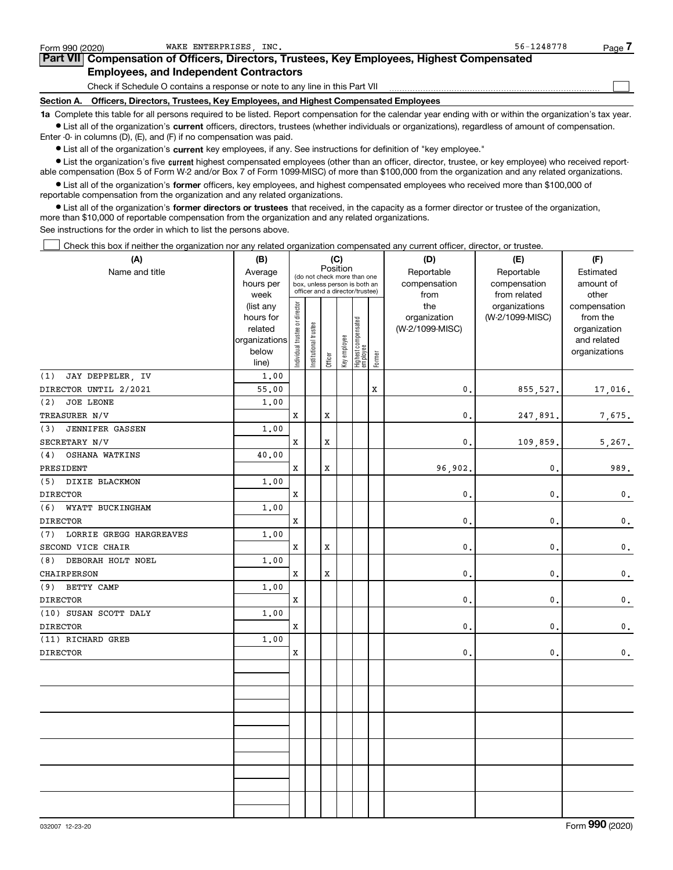| Form 990 (2020) | WAKE ENTERPRISES INC.                                                                                                                                      | 56-1248778 | Page |
|-----------------|------------------------------------------------------------------------------------------------------------------------------------------------------------|------------|------|
|                 | Part VII Compensation of Officers, Directors, Trustees, Key Employees, Highest Compensated                                                                 |            |      |
|                 | <b>Employees, and Independent Contractors</b>                                                                                                              |            |      |
|                 | Check if Schedule O contains a response or note to any line in this Part VII                                                                               |            |      |
|                 | Section A. Officers, Directors, Trustees, Key Employees, and Highest Compensated Employees                                                                 |            |      |
|                 | 1a Complete this table for all persons required to be listed. Report compensation for the calendar year ending with or within the organization's tax year. |            |      |

**•** List all of the organization's current officers, directors, trustees (whether individuals or organizations), regardless of amount of compensation. Enter -0- in columns (D), (E), and (F) if no compensation was paid.

 $\bullet$  List all of the organization's  $\,$ current key employees, if any. See instructions for definition of "key employee."

**•** List the organization's five current highest compensated employees (other than an officer, director, trustee, or key employee) who received reportable compensation (Box 5 of Form W-2 and/or Box 7 of Form 1099-MISC) of more than \$100,000 from the organization and any related organizations.

**•** List all of the organization's former officers, key employees, and highest compensated employees who received more than \$100,000 of reportable compensation from the organization and any related organizations.

**former directors or trustees**  ¥ List all of the organization's that received, in the capacity as a former director or trustee of the organization, more than \$10,000 of reportable compensation from the organization and any related organizations.

See instructions for the order in which to list the persons above.

Check this box if neither the organization nor any related organization compensated any current officer, director, or trustee.  $\mathcal{L}^{\text{max}}$ 

| (A)                            | (B)                      | (C)                                                              |                       |             |              |                                 |              | (D)             | (E)             | (F)                         |
|--------------------------------|--------------------------|------------------------------------------------------------------|-----------------------|-------------|--------------|---------------------------------|--------------|-----------------|-----------------|-----------------------------|
| Name and title                 | Average                  | Position<br>(do not check more than one                          |                       |             |              |                                 |              | Reportable      | Reportable      | Estimated                   |
|                                | hours per                | box, unless person is both an<br>officer and a director/trustee) |                       |             |              | compensation                    | compensation | amount of       |                 |                             |
|                                | week                     |                                                                  |                       |             |              |                                 |              | from            | from related    | other                       |
|                                | (list any                |                                                                  |                       |             |              |                                 |              | the             | organizations   | compensation                |
|                                | hours for                |                                                                  |                       |             |              |                                 |              | organization    | (W-2/1099-MISC) | from the                    |
|                                | related<br>organizations |                                                                  |                       |             |              |                                 |              | (W-2/1099-MISC) |                 | organization<br>and related |
|                                | below                    |                                                                  |                       |             |              |                                 |              |                 |                 | organizations               |
|                                | line)                    | ndividual trustee or director                                    | Institutional trustee | Officer     | Key employee | Highest compensated<br>employee | Former       |                 |                 |                             |
| JAY DEPPELER, IV<br>(1)        | 1,00                     |                                                                  |                       |             |              |                                 |              |                 |                 |                             |
| DIRECTOR UNTIL 2/2021          | 55.00                    |                                                                  |                       |             |              |                                 | X            | $\mathbf{0}$ .  | 855,527.        | 17,016.                     |
| <b>JOE LEONE</b><br>(2)        | 1,00                     |                                                                  |                       |             |              |                                 |              |                 |                 |                             |
| TREASURER N/V                  |                          | X                                                                |                       | X           |              |                                 |              | 0,              | 247,891.        | 7,675.                      |
| (3)<br><b>JENNIFER GASSEN</b>  | 1.00                     |                                                                  |                       |             |              |                                 |              |                 |                 |                             |
| SECRETARY N/V                  |                          | X                                                                |                       | $\mathbf x$ |              |                                 |              | 0.              | 109,859.        | 5,267.                      |
| (4)<br>OSHANA WATKINS          | 40.00                    |                                                                  |                       |             |              |                                 |              |                 |                 |                             |
| PRESIDENT                      |                          | X                                                                |                       | X           |              |                                 |              | 96,902.         | $\mathbf{0}$    | 989.                        |
| DIXIE BLACKMON<br>(5)          | 1.00                     |                                                                  |                       |             |              |                                 |              |                 |                 |                             |
| <b>DIRECTOR</b>                |                          | X                                                                |                       |             |              |                                 |              | 0.              | $\mathbf{0}$ .  | $\mathbf 0$ .               |
| (6)<br>WYATT BUCKINGHAM        | 1.00                     |                                                                  |                       |             |              |                                 |              |                 |                 |                             |
| <b>DIRECTOR</b>                |                          | $\mathbf x$                                                      |                       |             |              |                                 |              | $\mathbf{0}$ .  | $\mathbf{0}$    | $\mathbf 0$ .               |
| LORRIE GREGG HARGREAVES<br>(7) | 1.00                     |                                                                  |                       |             |              |                                 |              |                 |                 |                             |
| SECOND VICE CHAIR              |                          | X                                                                |                       | X           |              |                                 |              | $\mathbf{0}$ .  | $\mathbf{0}$    | $\mathbf 0$ .               |
| DEBORAH HOLT NOEL<br>(8)       | 1.00                     |                                                                  |                       |             |              |                                 |              |                 |                 |                             |
| CHAIRPERSON                    |                          | X                                                                |                       | X           |              |                                 |              | $\mathbf{0}$ .  | $\mathbf{0}$    | $\mathsf{0}\,.$             |
| BETTY CAMP<br>(9)              | 1.00                     |                                                                  |                       |             |              |                                 |              |                 |                 |                             |
| <b>DIRECTOR</b>                |                          | X                                                                |                       |             |              |                                 |              | 0.              | $\mathbf{0}$ .  | $\mathsf{0}\,.$             |
| (10) SUSAN SCOTT DALY          | 1.00                     |                                                                  |                       |             |              |                                 |              |                 |                 |                             |
| <b>DIRECTOR</b>                |                          | X                                                                |                       |             |              |                                 |              | $\mathbf 0$ .   | $\mathbf{0}$    | $\mathbf 0$ .               |
| (11) RICHARD GREB              | 1.00                     |                                                                  |                       |             |              |                                 |              |                 |                 |                             |
| <b>DIRECTOR</b>                |                          | X                                                                |                       |             |              |                                 |              | 0.              | $\mathbf{0}$ .  | 0.                          |
|                                |                          |                                                                  |                       |             |              |                                 |              |                 |                 |                             |
|                                |                          |                                                                  |                       |             |              |                                 |              |                 |                 |                             |
|                                |                          |                                                                  |                       |             |              |                                 |              |                 |                 |                             |
|                                |                          |                                                                  |                       |             |              |                                 |              |                 |                 |                             |
|                                |                          |                                                                  |                       |             |              |                                 |              |                 |                 |                             |
|                                |                          |                                                                  |                       |             |              |                                 |              |                 |                 |                             |
|                                |                          |                                                                  |                       |             |              |                                 |              |                 |                 |                             |
|                                |                          |                                                                  |                       |             |              |                                 |              |                 |                 |                             |
|                                |                          |                                                                  |                       |             |              |                                 |              |                 |                 |                             |
|                                |                          |                                                                  |                       |             |              |                                 |              |                 |                 |                             |
|                                |                          |                                                                  |                       |             |              |                                 |              |                 |                 |                             |
|                                |                          |                                                                  |                       |             |              |                                 |              |                 |                 |                             |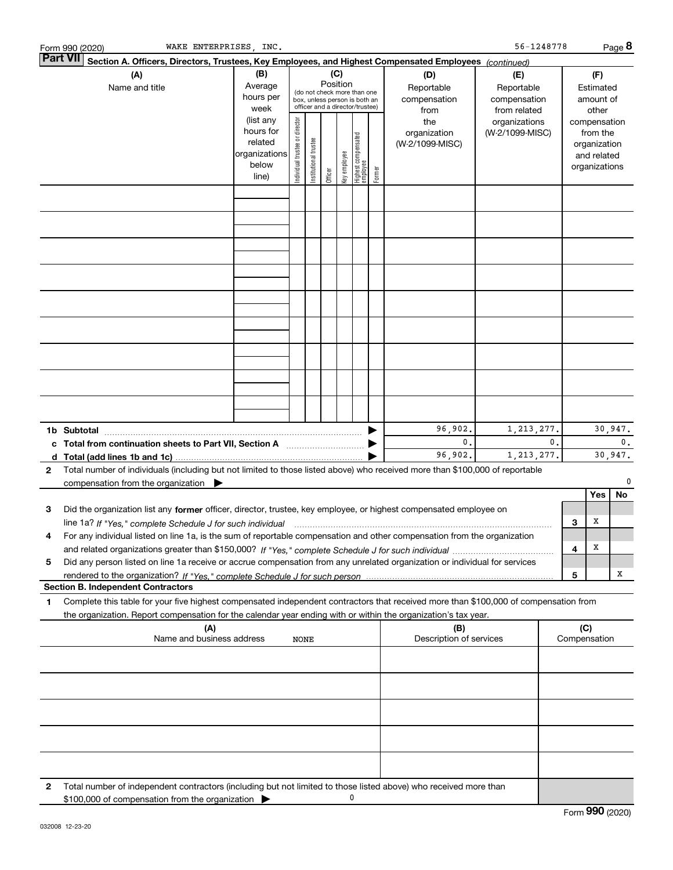|                 | WAKE ENTERPRISES, INC.<br>Form 990 (2020)                                                                                                                                                                                                                                        |                                                                      |                                |                                                                                                                    |         |              |                                   |        |                                           | 56-1248778                                        |    |                                        |                                                                          | Page 8                    |
|-----------------|----------------------------------------------------------------------------------------------------------------------------------------------------------------------------------------------------------------------------------------------------------------------------------|----------------------------------------------------------------------|--------------------------------|--------------------------------------------------------------------------------------------------------------------|---------|--------------|-----------------------------------|--------|-------------------------------------------|---------------------------------------------------|----|----------------------------------------|--------------------------------------------------------------------------|---------------------------|
| <b>Part VII</b> | Section A. Officers, Directors, Trustees, Key Employees, and Highest Compensated Employees (continued)                                                                                                                                                                           |                                                                      |                                |                                                                                                                    |         |              |                                   |        |                                           |                                                   |    |                                        |                                                                          |                           |
|                 | (A)<br>Average<br>Name and title<br>hours per                                                                                                                                                                                                                                    |                                                                      |                                | (C)<br>Position<br>(do not check more than one<br>box, unless person is both an<br>officer and a director/trustee) |         |              |                                   |        | (D)<br>Reportable<br>compensation<br>from | (E)<br>Reportable<br>compensation<br>from related |    | (F)<br>Estimated<br>amount of<br>other |                                                                          |                           |
|                 |                                                                                                                                                                                                                                                                                  | (list any<br>hours for<br>related<br>organizations<br>below<br>line) | Individual trustee or director | Institutional trustee                                                                                              | Officer | key employee | Highest compensated<br>  employee | Former | the<br>organization<br>(W-2/1099-MISC)    | organizations<br>(W-2/1099-MISC)                  |    |                                        | compensation<br>from the<br>organization<br>and related<br>organizations |                           |
|                 |                                                                                                                                                                                                                                                                                  |                                                                      |                                |                                                                                                                    |         |              |                                   |        |                                           |                                                   |    |                                        |                                                                          |                           |
|                 |                                                                                                                                                                                                                                                                                  |                                                                      |                                |                                                                                                                    |         |              |                                   |        |                                           |                                                   |    |                                        |                                                                          |                           |
|                 |                                                                                                                                                                                                                                                                                  |                                                                      |                                |                                                                                                                    |         |              |                                   |        |                                           |                                                   |    |                                        |                                                                          |                           |
|                 |                                                                                                                                                                                                                                                                                  |                                                                      |                                |                                                                                                                    |         |              |                                   |        |                                           |                                                   |    |                                        |                                                                          |                           |
|                 |                                                                                                                                                                                                                                                                                  |                                                                      |                                |                                                                                                                    |         |              |                                   |        |                                           |                                                   |    |                                        |                                                                          |                           |
|                 |                                                                                                                                                                                                                                                                                  |                                                                      |                                |                                                                                                                    |         |              |                                   |        |                                           |                                                   |    |                                        |                                                                          |                           |
|                 |                                                                                                                                                                                                                                                                                  |                                                                      |                                |                                                                                                                    |         |              |                                   |        |                                           |                                                   |    |                                        |                                                                          |                           |
|                 |                                                                                                                                                                                                                                                                                  |                                                                      |                                |                                                                                                                    |         |              |                                   |        | 96,902.                                   | 1, 213, 277.                                      |    |                                        |                                                                          | 30,947.                   |
|                 | c Total from continuation sheets to Part VII, Section A manufactured by                                                                                                                                                                                                          |                                                                      |                                |                                                                                                                    |         |              |                                   |        | $\mathbf{0}$ .<br>96,902.                 | 1, 213, 277.                                      | 0. |                                        |                                                                          | $\mathbf{0}$ .<br>30,947. |
| 2               | Total number of individuals (including but not limited to those listed above) who received more than \$100,000 of reportable<br>compensation from the organization $\blacktriangleright$                                                                                         |                                                                      |                                |                                                                                                                    |         |              |                                   |        |                                           |                                                   |    |                                        |                                                                          | $\mathbf 0$               |
| 3               | Did the organization list any former officer, director, trustee, key employee, or highest compensated employee on                                                                                                                                                                |                                                                      |                                |                                                                                                                    |         |              |                                   |        |                                           |                                                   |    |                                        | Yes                                                                      | No                        |
|                 | line 1a? If "Yes," complete Schedule J for such individual manufactured contained and the line 1a? If "Yes," complete Schedule J for such individual<br>For any individual listed on line 1a, is the sum of reportable compensation and other compensation from the organization |                                                                      |                                |                                                                                                                    |         |              |                                   |        |                                           |                                                   |    | 3<br>4                                 | х<br>х                                                                   |                           |
| 5               | Did any person listed on line 1a receive or accrue compensation from any unrelated organization or individual for services                                                                                                                                                       |                                                                      |                                |                                                                                                                    |         |              |                                   |        |                                           |                                                   |    | 5                                      |                                                                          | х                         |
|                 | <b>Section B. Independent Contractors</b>                                                                                                                                                                                                                                        |                                                                      |                                |                                                                                                                    |         |              |                                   |        |                                           |                                                   |    |                                        |                                                                          |                           |
| 1               | Complete this table for your five highest compensated independent contractors that received more than \$100,000 of compensation from<br>the organization. Report compensation for the calendar year ending with or within the organization's tax year.                           |                                                                      |                                |                                                                                                                    |         |              |                                   |        |                                           |                                                   |    |                                        |                                                                          |                           |
|                 | (A)<br>Name and business address                                                                                                                                                                                                                                                 |                                                                      | NONE                           |                                                                                                                    |         |              |                                   |        | (B)<br>Description of services            |                                                   |    | (C)                                    | Compensation                                                             |                           |
|                 |                                                                                                                                                                                                                                                                                  |                                                                      |                                |                                                                                                                    |         |              |                                   |        |                                           |                                                   |    |                                        |                                                                          |                           |
|                 |                                                                                                                                                                                                                                                                                  |                                                                      |                                |                                                                                                                    |         |              |                                   |        |                                           |                                                   |    |                                        |                                                                          |                           |
|                 |                                                                                                                                                                                                                                                                                  |                                                                      |                                |                                                                                                                    |         |              |                                   |        |                                           |                                                   |    |                                        |                                                                          |                           |
|                 |                                                                                                                                                                                                                                                                                  |                                                                      |                                |                                                                                                                    |         |              |                                   |        |                                           |                                                   |    |                                        |                                                                          |                           |
| 2               | Total number of independent contractors (including but not limited to those listed above) who received more than<br>\$100,000 of compensation from the organization                                                                                                              |                                                                      |                                |                                                                                                                    |         |              | 0                                 |        |                                           |                                                   |    |                                        |                                                                          |                           |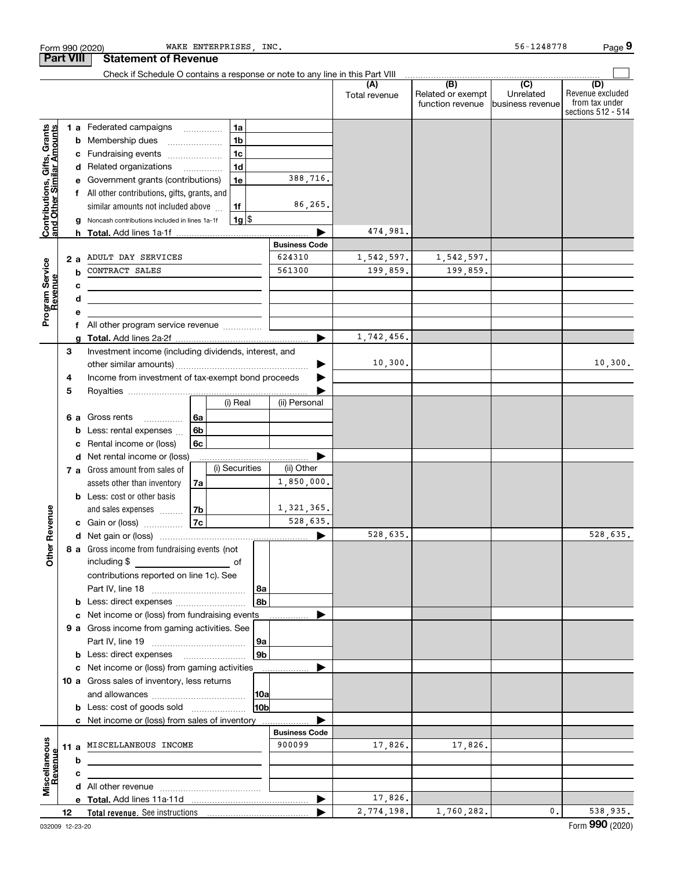|                                                           |    |                                                                | Form 990 (2020)                                                                                                      |                | WAKE ENTERPRISES, INC. |                 |                                |                        |                                              | 56-1248778                                         | Page 9                                                          |
|-----------------------------------------------------------|----|----------------------------------------------------------------|----------------------------------------------------------------------------------------------------------------------|----------------|------------------------|-----------------|--------------------------------|------------------------|----------------------------------------------|----------------------------------------------------|-----------------------------------------------------------------|
| <b>Part VIII</b>                                          |    |                                                                | <b>Statement of Revenue</b>                                                                                          |                |                        |                 |                                |                        |                                              |                                                    |                                                                 |
|                                                           |    |                                                                | Check if Schedule O contains a response or note to any line in this Part VIII                                        |                |                        |                 |                                |                        |                                              |                                                    |                                                                 |
|                                                           |    |                                                                |                                                                                                                      |                |                        |                 |                                | (A)<br>Total revenue   | (B)<br>Related or exempt<br>function revenue | $\overline{(C)}$<br>Unrelated<br>lbusiness revenue | (D)<br>Revenue excluded<br>from tax under<br>sections 512 - 514 |
|                                                           |    |                                                                | 1 a Federated campaigns                                                                                              |                | 1a                     |                 |                                |                        |                                              |                                                    |                                                                 |
| Contributions, Gifts, Grants<br>and Other Similar Amounts |    | b                                                              | Membership dues<br>$\ldots \ldots \ldots \ldots \ldots$                                                              |                | 1 <sub>b</sub>         |                 |                                |                        |                                              |                                                    |                                                                 |
|                                                           |    |                                                                | c Fundraising events                                                                                                 |                | 1c                     |                 |                                |                        |                                              |                                                    |                                                                 |
|                                                           |    |                                                                | d Related organizations                                                                                              |                | 1 <sub>d</sub>         |                 |                                |                        |                                              |                                                    |                                                                 |
|                                                           |    |                                                                | e Government grants (contributions)                                                                                  |                | 1e                     |                 | 388,716.                       |                        |                                              |                                                    |                                                                 |
|                                                           |    |                                                                | f All other contributions, gifts, grants, and                                                                        |                |                        |                 |                                |                        |                                              |                                                    |                                                                 |
|                                                           |    |                                                                | similar amounts not included above                                                                                   |                | 1f                     |                 | 86,265.                        |                        |                                              |                                                    |                                                                 |
|                                                           |    | g                                                              | Noncash contributions included in lines 1a-1f                                                                        |                | $1g$ \$                |                 |                                |                        |                                              |                                                    |                                                                 |
|                                                           |    |                                                                |                                                                                                                      |                |                        |                 |                                | 474,981.               |                                              |                                                    |                                                                 |
|                                                           |    |                                                                |                                                                                                                      |                |                        |                 | <b>Business Code</b><br>624310 |                        |                                              |                                                    |                                                                 |
|                                                           |    | 2 a                                                            | ADULT DAY SERVICES<br>CONTRACT SALES                                                                                 |                |                        |                 | 561300                         | 1,542,597.<br>199,859. | 1,542,597.<br>199,859.                       |                                                    |                                                                 |
|                                                           |    | b                                                              |                                                                                                                      |                |                        |                 |                                |                        |                                              |                                                    |                                                                 |
|                                                           |    | с                                                              |                                                                                                                      |                |                        |                 |                                |                        |                                              |                                                    |                                                                 |
| Program Service<br>Revenue                                |    | d                                                              | <u> 1989 - Johann Stein, mars an deutscher Stein und der Stein und der Stein und der Stein und der Stein und der</u> |                |                        |                 |                                |                        |                                              |                                                    |                                                                 |
|                                                           |    | е                                                              | All other program service revenue <i>mimimini</i>                                                                    |                |                        |                 |                                |                        |                                              |                                                    |                                                                 |
|                                                           |    | a                                                              |                                                                                                                      |                |                        |                 |                                | 1,742,456.             |                                              |                                                    |                                                                 |
|                                                           | 3  |                                                                | Investment income (including dividends, interest, and                                                                |                |                        |                 |                                |                        |                                              |                                                    |                                                                 |
|                                                           |    |                                                                |                                                                                                                      |                |                        |                 |                                | 10,300.                |                                              |                                                    | 10,300.                                                         |
|                                                           | 4  |                                                                | Income from investment of tax-exempt bond proceeds                                                                   |                |                        |                 |                                |                        |                                              |                                                    |                                                                 |
|                                                           | 5  |                                                                |                                                                                                                      |                |                        |                 |                                |                        |                                              |                                                    |                                                                 |
|                                                           |    |                                                                |                                                                                                                      |                | (i) Real               |                 | (ii) Personal                  |                        |                                              |                                                    |                                                                 |
|                                                           |    | 6а                                                             | Gross rents<br>$\frac{1}{2}$                                                                                         | 6а             |                        |                 |                                |                        |                                              |                                                    |                                                                 |
|                                                           |    | b                                                              | Less: rental expenses                                                                                                | 6b             |                        |                 |                                |                        |                                              |                                                    |                                                                 |
|                                                           |    | c                                                              | Rental income or (loss)                                                                                              | 6с             |                        |                 |                                |                        |                                              |                                                    |                                                                 |
|                                                           |    |                                                                | d Net rental income or (loss)                                                                                        |                |                        |                 |                                |                        |                                              |                                                    |                                                                 |
|                                                           |    | (i) Securities<br>(ii) Other<br>7 a Gross amount from sales of |                                                                                                                      |                |                        |                 |                                |                        |                                              |                                                    |                                                                 |
|                                                           |    |                                                                | assets other than inventory                                                                                          | 7a             |                        |                 | 1,850,000.                     |                        |                                              |                                                    |                                                                 |
|                                                           |    |                                                                | <b>b</b> Less: cost or other basis                                                                                   |                |                        |                 |                                |                        |                                              |                                                    |                                                                 |
|                                                           |    |                                                                | and sales expenses                                                                                                   | 7 <sub>b</sub> |                        |                 | 1,321,365.                     |                        |                                              |                                                    |                                                                 |
| evenue                                                    |    |                                                                | c Gain or (loss)                                                                                                     | 7c             |                        |                 | 528,635.                       |                        |                                              |                                                    |                                                                 |
| œ                                                         |    |                                                                |                                                                                                                      |                |                        |                 |                                | 528,635.               |                                              |                                                    | 528,635.                                                        |
| Other                                                     |    |                                                                | 8 a Gross income from fundraising events (not                                                                        |                |                        |                 |                                |                        |                                              |                                                    |                                                                 |
|                                                           |    |                                                                | including \$<br><u>of</u> of                                                                                         |                |                        |                 |                                |                        |                                              |                                                    |                                                                 |
|                                                           |    |                                                                | contributions reported on line 1c). See                                                                              |                |                        |                 |                                |                        |                                              |                                                    |                                                                 |
|                                                           |    |                                                                |                                                                                                                      |                |                        | 8a<br>8b        |                                |                        |                                              |                                                    |                                                                 |
|                                                           |    |                                                                | <b>b</b> Less: direct expenses <i></i>                                                                               |                |                        |                 |                                |                        |                                              |                                                    |                                                                 |
|                                                           |    |                                                                | c Net income or (loss) from fundraising events<br>9 a Gross income from gaming activities. See                       |                |                        |                 |                                |                        |                                              |                                                    |                                                                 |
|                                                           |    |                                                                |                                                                                                                      |                |                        | 9a              |                                |                        |                                              |                                                    |                                                                 |
|                                                           |    |                                                                | <b>b</b> Less: direct expenses <b>manually</b>                                                                       |                |                        | 9 <sub>b</sub>  |                                |                        |                                              |                                                    |                                                                 |
|                                                           |    |                                                                | c Net income or (loss) from gaming activities                                                                        |                |                        |                 | .                              |                        |                                              |                                                    |                                                                 |
|                                                           |    |                                                                | 10 a Gross sales of inventory, less returns                                                                          |                |                        |                 |                                |                        |                                              |                                                    |                                                                 |
|                                                           |    |                                                                |                                                                                                                      |                |                        | 10a             |                                |                        |                                              |                                                    |                                                                 |
|                                                           |    |                                                                | <b>b</b> Less: cost of goods sold                                                                                    |                |                        | 10 <sub>b</sub> |                                |                        |                                              |                                                    |                                                                 |
|                                                           |    |                                                                | c Net income or (loss) from sales of inventory                                                                       |                |                        |                 |                                |                        |                                              |                                                    |                                                                 |
|                                                           |    |                                                                |                                                                                                                      |                |                        |                 | <b>Business Code</b>           |                        |                                              |                                                    |                                                                 |
| Miscellaneous<br>Revenue                                  |    |                                                                | 11 a MISCELLANEOUS INCOME                                                                                            |                |                        |                 | 900099                         | 17,826.                | 17,826.                                      |                                                    |                                                                 |
|                                                           |    | b                                                              |                                                                                                                      |                |                        |                 |                                |                        |                                              |                                                    |                                                                 |
|                                                           |    | с                                                              | the control of the control of the control of the control of the control of the control of                            |                |                        |                 |                                |                        |                                              |                                                    |                                                                 |
|                                                           |    |                                                                |                                                                                                                      |                |                        |                 |                                |                        |                                              |                                                    |                                                                 |
|                                                           |    |                                                                |                                                                                                                      |                |                        |                 | ▶                              | 17,826.                |                                              |                                                    |                                                                 |
|                                                           | 12 |                                                                |                                                                                                                      |                |                        |                 |                                | 2,774,198.             | 1,760,282.                                   | 0.                                                 | 538,935.                                                        |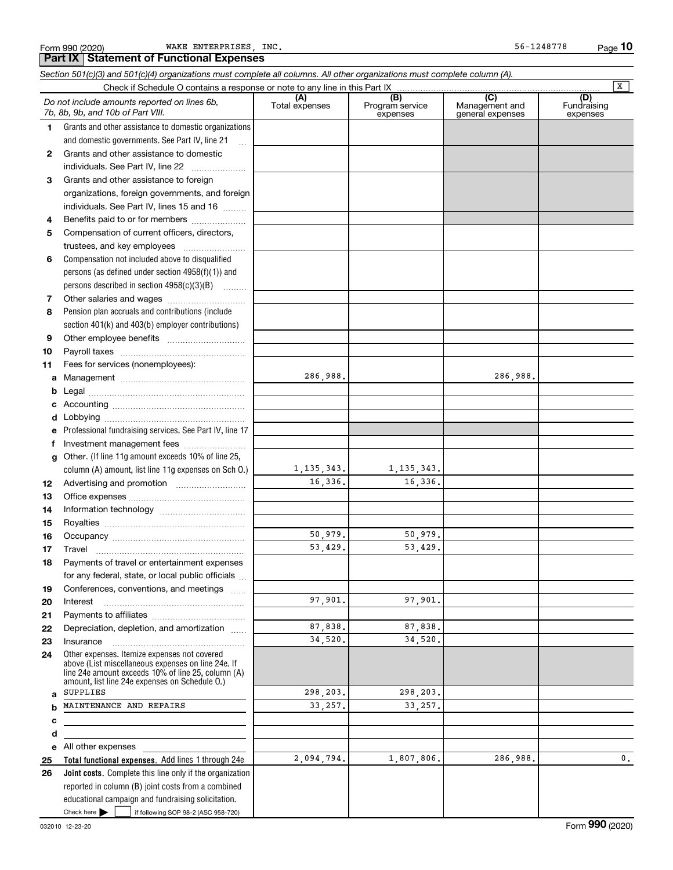Form 990 (2020) Page **Part IX Statement of Functional Expenses** WAKE ENTERPRISES, INC.  $56-1248778$ 

|        | Section 501(c)(3) and 501(c)(4) organizations must complete all columns. All other organizations must complete column (A). |                |                             |                                    | $\overline{X}$          |
|--------|----------------------------------------------------------------------------------------------------------------------------|----------------|-----------------------------|------------------------------------|-------------------------|
|        | Check if Schedule O contains a response or note to any line in this Part IX                                                | (A)            | (B)                         | (C)                                | (D)                     |
|        | Do not include amounts reported on lines 6b,<br>7b, 8b, 9b, and 10b of Part VIII.                                          | Total expenses | Program service<br>expenses | Management and<br>general expenses | Fundraising<br>expenses |
| 1      | Grants and other assistance to domestic organizations                                                                      |                |                             |                                    |                         |
|        | and domestic governments. See Part IV, line 21                                                                             |                |                             |                                    |                         |
| 2      | $\mathbf{1}$<br>Grants and other assistance to domestic                                                                    |                |                             |                                    |                         |
|        | individuals. See Part IV, line 22                                                                                          |                |                             |                                    |                         |
| 3      | Grants and other assistance to foreign                                                                                     |                |                             |                                    |                         |
|        | organizations, foreign governments, and foreign                                                                            |                |                             |                                    |                         |
|        | individuals. See Part IV, lines 15 and 16                                                                                  |                |                             |                                    |                         |
| 4      | Benefits paid to or for members                                                                                            |                |                             |                                    |                         |
| 5      | Compensation of current officers, directors,                                                                               |                |                             |                                    |                         |
|        | trustees, and key employees                                                                                                |                |                             |                                    |                         |
| 6      | Compensation not included above to disqualified                                                                            |                |                             |                                    |                         |
|        | persons (as defined under section $4958(f)(1)$ ) and                                                                       |                |                             |                                    |                         |
|        | persons described in section 4958(c)(3)(B)                                                                                 |                |                             |                                    |                         |
| 7      |                                                                                                                            |                |                             |                                    |                         |
| 8      | Pension plan accruals and contributions (include                                                                           |                |                             |                                    |                         |
|        | section 401(k) and 403(b) employer contributions)                                                                          |                |                             |                                    |                         |
| 9      |                                                                                                                            |                |                             |                                    |                         |
| 10     |                                                                                                                            |                |                             |                                    |                         |
| 11     | Fees for services (nonemployees):                                                                                          |                |                             |                                    |                         |
| a      |                                                                                                                            | 286,988.       |                             | 286,988.                           |                         |
| b      |                                                                                                                            |                |                             |                                    |                         |
| c      |                                                                                                                            |                |                             |                                    |                         |
|        |                                                                                                                            |                |                             |                                    |                         |
| d<br>е | Professional fundraising services. See Part IV, line 17                                                                    |                |                             |                                    |                         |
| f      | Investment management fees                                                                                                 |                |                             |                                    |                         |
| g      | Other. (If line 11g amount exceeds 10% of line 25,                                                                         |                |                             |                                    |                         |
|        | column (A) amount, list line 11g expenses on Sch O.)                                                                       | 1, 135, 343.   | 1, 135, 343.                |                                    |                         |
| 12     |                                                                                                                            | 16,336.        | 16,336.                     |                                    |                         |
| 13     |                                                                                                                            |                |                             |                                    |                         |
| 14     |                                                                                                                            |                |                             |                                    |                         |
| 15     |                                                                                                                            |                |                             |                                    |                         |
| 16     |                                                                                                                            | 50,979.        | 50,979.                     |                                    |                         |
| 17     |                                                                                                                            | 53,429.        | 53,429.                     |                                    |                         |
| 18     | Payments of travel or entertainment expenses                                                                               |                |                             |                                    |                         |
|        | for any federal, state, or local public officials                                                                          |                |                             |                                    |                         |
| 19     | Conferences, conventions, and meetings                                                                                     |                |                             |                                    |                         |
| 20     | Interest                                                                                                                   | 97,901.        | 97,901.                     |                                    |                         |
| 21     |                                                                                                                            |                |                             |                                    |                         |
| 22     | Depreciation, depletion, and amortization                                                                                  | 87,838.        | 87,838.                     |                                    |                         |
| 23     | Insurance                                                                                                                  | 34,520.        | 34,520.                     |                                    |                         |
| 24     | Other expenses. Itemize expenses not covered                                                                               |                |                             |                                    |                         |
|        | above (List miscellaneous expenses on line 24e. If                                                                         |                |                             |                                    |                         |
|        | line 24e amount exceeds 10% of line 25, column (A)<br>amount, list line 24e expenses on Schedule 0.)                       |                |                             |                                    |                         |
| a      | SUPPLIES                                                                                                                   | 298.203.       | 298,203.                    |                                    |                         |
|        | MAINTENANCE AND REPAIRS                                                                                                    | 33,257.        | 33,257.                     |                                    |                         |
| с      |                                                                                                                            |                |                             |                                    |                         |
| d      |                                                                                                                            |                |                             |                                    |                         |
|        | e All other expenses                                                                                                       |                |                             |                                    |                         |
| 25     | Total functional expenses. Add lines 1 through 24e                                                                         | 2,094,794.     | 1,807,806.                  | 286,988.                           | 0.                      |
| 26     | Joint costs. Complete this line only if the organization                                                                   |                |                             |                                    |                         |
|        | reported in column (B) joint costs from a combined                                                                         |                |                             |                                    |                         |
|        | educational campaign and fundraising solicitation.                                                                         |                |                             |                                    |                         |
|        | Check here $\blacktriangleright$<br>if following SOP 98-2 (ASC 958-720)                                                    |                |                             |                                    |                         |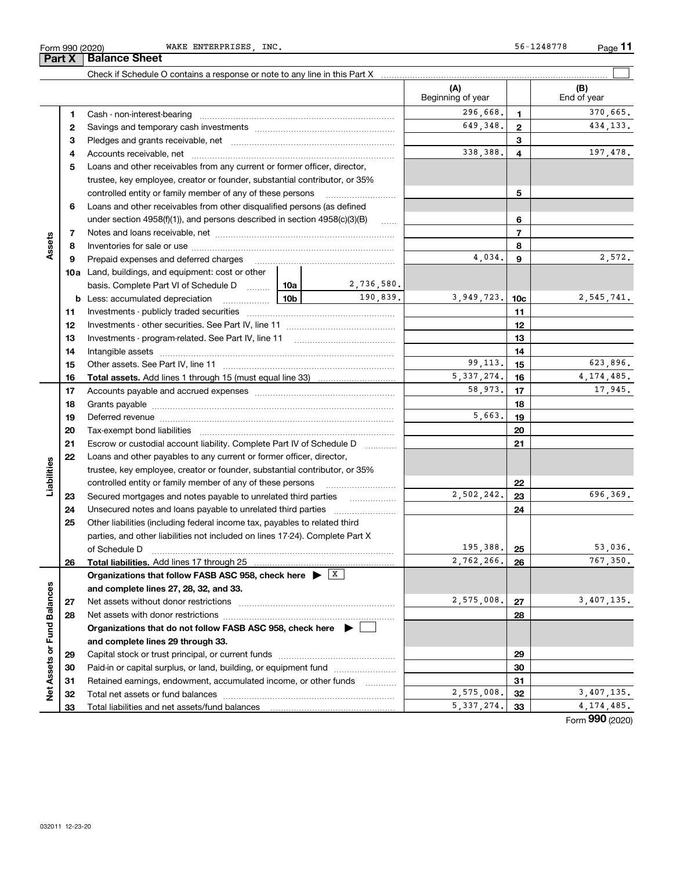**2728**

**Net Assets or Fund Balances**

Net Assets or Fund Balances

|             |        | WAKE ENTERPRISES, INC.<br>Form 990 (2020)                                                    |                          |                | 56-1248778<br>Page |
|-------------|--------|----------------------------------------------------------------------------------------------|--------------------------|----------------|--------------------|
|             | Part X | <b>Balance Sheet</b>                                                                         |                          |                |                    |
|             |        | Check if Schedule O contains a response or note to any line in this Part X                   |                          |                |                    |
|             |        |                                                                                              | (A)<br>Beginning of year |                | (B)<br>End of year |
|             | 1      |                                                                                              | 296.668.                 | 1.             | 370,66             |
|             | 2      |                                                                                              | 649, 348.                | $\mathbf{2}$   | 434,13             |
|             | з      |                                                                                              |                          | 3              |                    |
|             | 4      |                                                                                              | 338,388.                 | 4              | 197,47             |
|             | 5      | Loans and other receivables from any current or former officer, director,                    |                          |                |                    |
|             |        | trustee, key employee, creator or founder, substantial contributor, or 35%                   |                          |                |                    |
|             |        | controlled entity or family member of any of these persons                                   |                          | 5              |                    |
|             | 6      | Loans and other receivables from other disqualified persons (as defined                      |                          |                |                    |
|             |        | under section $4958(f)(1)$ , and persons described in section $4958(c)(3)(B)$                | <b>Service</b>           | 6              |                    |
|             | 7      |                                                                                              |                          | $\overline{7}$ |                    |
| Assets      | 8      |                                                                                              |                          | 8              |                    |
|             | 9      | Prepaid expenses and deferred charges                                                        | 4,034.                   | 9              | 2,57               |
|             |        | <b>10a</b> Land, buildings, and equipment: cost or other                                     |                          |                |                    |
|             |        | 2,736,580.<br>basis. Complete Part VI of Schedule D    10a                                   |                          |                |                    |
|             |        | 190.839.<br><u> 10b</u><br><b>b</b> Less: accumulated depreciation                           | 3,949,723.               | 10c            | 2,545,74           |
|             | 11     |                                                                                              |                          | 11             |                    |
|             | 12     |                                                                                              |                          | 12             |                    |
|             | 13     | Investments - program-related. See Part IV, line 11                                          |                          | 13             |                    |
|             | 14     |                                                                                              |                          | 14             |                    |
|             | 15     |                                                                                              | 99,113.                  | 15             | 623,89             |
|             | 16     |                                                                                              | 5, 337, 274.             | 16             | 4, 174, 48         |
|             | 17     |                                                                                              | 58,973.                  | 17             | 17,94              |
|             | 18     |                                                                                              |                          | 18             |                    |
|             | 19     |                                                                                              | 5,663.                   | 19             |                    |
|             | 20     | Tax-exempt bond liabilities                                                                  |                          | 20             |                    |
|             | 21     | Escrow or custodial account liability. Complete Part IV of Schedule D<br>1.1.1.1.1.1.1.1.1.1 |                          | 21             |                    |
|             | 22     | Loans and other payables to any current or former officer, director,                         |                          |                |                    |
| Liabilities |        | trustee, key employee, creator or founder, substantial contributor, or 35%                   |                          |                |                    |
|             |        | controlled entity or family member of any of these persons                                   |                          | 22             |                    |
|             | 23     | Secured mortgages and notes payable to unrelated third parties<br>.                          | 2,502,242.               | 23             | 696,36             |
|             | 24     |                                                                                              |                          | 24             |                    |
|             | 25     | Other liabilities (including federal income tax, payables to related third                   |                          |                |                    |
|             |        | parties, and other liabilities not included on lines 17-24). Complete Part X                 |                          |                |                    |
|             |        | of Schedule D                                                                                | 195,388.                 | 25             | 53,03              |
|             | 26     |                                                                                              | 2,762,266.               | 26             | 767,35             |

**Organizations that follow FASB ASC 958, check here** | X

**Organizations that do not follow FASB ASC 958, check here** |

Net assets without donor restrictions ~~~~~~~~~~~~~~~~~~~~ Net assets with donor restrictions ~~~~~~~~~~~~~~~~~~~~~~

Capital stock or trust principal, or current funds ~~~~~~~~~~~~~~~ Paid-in or capital surplus, or land, building, or equipment fund www.commun.com Retained earnings, endowment, accumulated income, or other funds we have all the Total net assets or fund balances ~~~~~~~~~~~~~~~~~~~~~~

**and complete lines 27, 28, 32, and 33.**

**and complete lines 29 through 33.**

Total liabilities and net assets/fund balances

Form (2020) **990**

**2728**

 $2,575,008$ ,  $27$  3,407,135.

 $5,337,274.$  33 4, 174, 485.

 $\mathcal{L}^{\text{max}}$ 

 $370,665.$ 

434,133.

4,034. 2,572.

2,545,741.

623,896. 5,337,274. 4,174,485.

58,973. 17,945.

696,369.

195,388. 53,036. 767,350.

2,575,008. 32 3,407,135.

<sup>197,478.</sup>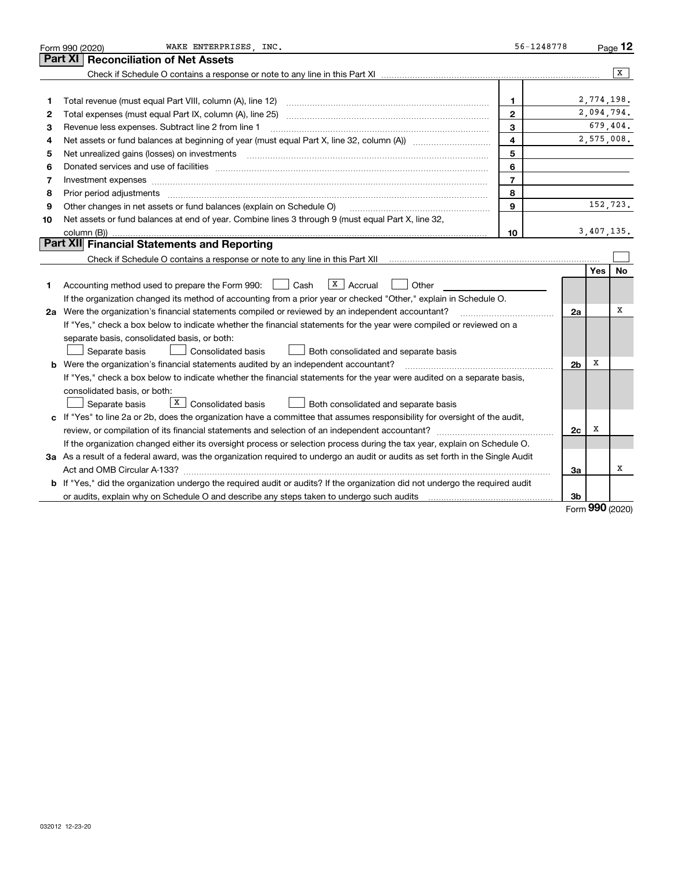|    | WAKE ENTERPRISES, INC.<br>Form 990 (2020)                                                                                                                                                                                      | 56-1248778              |                |            | $Page$ 12  |
|----|--------------------------------------------------------------------------------------------------------------------------------------------------------------------------------------------------------------------------------|-------------------------|----------------|------------|------------|
|    | <b>Reconciliation of Net Assets</b><br>Part XI                                                                                                                                                                                 |                         |                |            |            |
|    |                                                                                                                                                                                                                                |                         |                |            | X          |
|    |                                                                                                                                                                                                                                |                         |                |            |            |
| 1  | Total revenue (must equal Part VIII, column (A), line 12)                                                                                                                                                                      | 1                       |                | 2,774,198. |            |
| 2  |                                                                                                                                                                                                                                | $\mathbf{2}$            |                | 2,094,794. |            |
| З  | Revenue less expenses. Subtract line 2 from line 1                                                                                                                                                                             | 3                       |                | 679,404.   |            |
| 4  |                                                                                                                                                                                                                                | $\overline{\mathbf{4}}$ |                | 2,575,008. |            |
| 5  | Net unrealized gains (losses) on investments [11] matter continuum matter of the state of the state of the state of the state of the state of the state of the state of the state of the state of the state of the state of th | 5                       |                |            |            |
| 6  | Donated services and use of facilities [111] matter contracts and the facilities in the matter of facilities [11] matter contracts and use of facilities [11] matter contracts and the service of the service of the service o | 6                       |                |            |            |
| 7  | Investment expenses www.communication.com/www.communication.com/www.communication.com/www.com                                                                                                                                  | $\overline{7}$          |                |            |            |
| 8  | Prior period adjustments                                                                                                                                                                                                       | 8                       |                |            |            |
| 9  | Other changes in net assets or fund balances (explain on Schedule O)                                                                                                                                                           | 9                       |                |            | 152,723.   |
| 10 | Net assets or fund balances at end of year. Combine lines 3 through 9 (must equal Part X, line 32,                                                                                                                             |                         |                |            |            |
|    | column (B))                                                                                                                                                                                                                    | 10                      |                |            | 3,407,135. |
|    | Part XII Financial Statements and Reporting                                                                                                                                                                                    |                         |                |            |            |
|    |                                                                                                                                                                                                                                |                         |                |            |            |
|    |                                                                                                                                                                                                                                |                         |                | <b>Yes</b> | <b>No</b>  |
| 1  | $X$ Accrual<br>Accounting method used to prepare the Form 990: <u>I</u> Cash<br>Other                                                                                                                                          |                         |                |            |            |
|    | If the organization changed its method of accounting from a prior year or checked "Other," explain in Schedule O.                                                                                                              |                         |                |            |            |
|    | 2a Were the organization's financial statements compiled or reviewed by an independent accountant?                                                                                                                             |                         | 2a             |            | х          |
|    | If "Yes," check a box below to indicate whether the financial statements for the year were compiled or reviewed on a                                                                                                           |                         |                |            |            |
|    | separate basis, consolidated basis, or both:                                                                                                                                                                                   |                         |                |            |            |
|    | Separate basis<br><b>Consolidated basis</b><br>Both consolidated and separate basis                                                                                                                                            |                         |                |            |            |
|    | <b>b</b> Were the organization's financial statements audited by an independent accountant?                                                                                                                                    |                         | 2 <sub>b</sub> | х          |            |
|    | If "Yes," check a box below to indicate whether the financial statements for the year were audited on a separate basis,                                                                                                        |                         |                |            |            |
|    | consolidated basis, or both:                                                                                                                                                                                                   |                         |                |            |            |
|    | $X$ Consolidated basis<br>Separate basis<br>Both consolidated and separate basis                                                                                                                                               |                         |                |            |            |
|    | c If "Yes" to line 2a or 2b, does the organization have a committee that assumes responsibility for oversight of the audit,                                                                                                    |                         |                |            |            |
|    |                                                                                                                                                                                                                                |                         | 2c             | X          |            |
|    | If the organization changed either its oversight process or selection process during the tax year, explain on Schedule O.                                                                                                      |                         |                |            |            |
|    | 3a As a result of a federal award, was the organization required to undergo an audit or audits as set forth in the Single Audit                                                                                                |                         |                |            |            |
|    |                                                                                                                                                                                                                                |                         | 3a             |            | х          |
|    | b If "Yes," did the organization undergo the required audit or audits? If the organization did not undergo the required audit                                                                                                  |                         |                |            |            |
|    | or audits, explain why on Schedule O and describe any steps taken to undergo such audits [11] contains the school of audits [11] or audits [11] or audits [11] or audits [11] or audits [11] or audits [11] or audits [11] or  |                         | 3b             | <u>nnn</u> |            |

Form (2020) **990**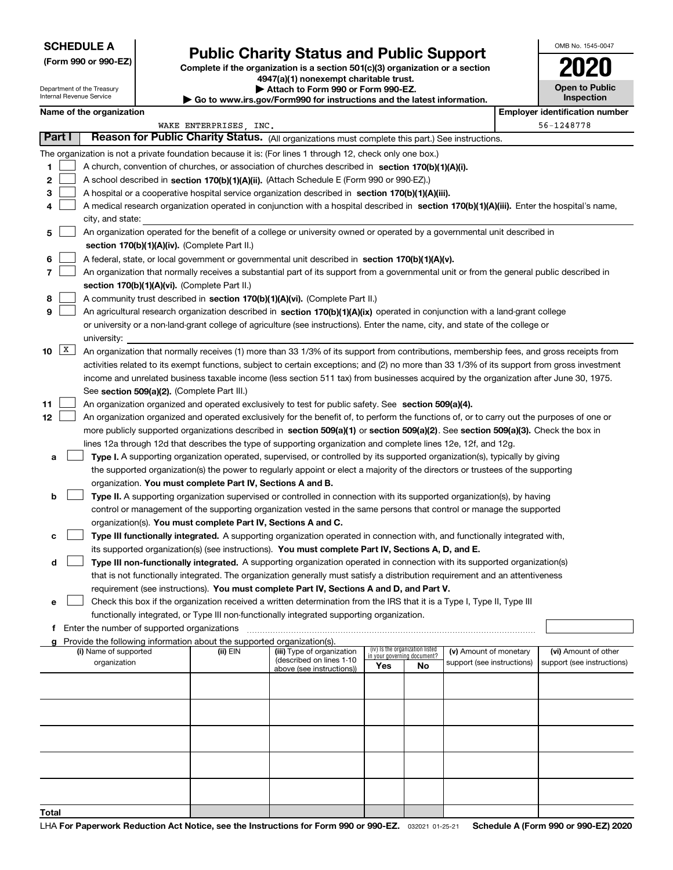| <b>SCHEDULE A</b> |
|-------------------|
|-------------------|

**(Form 990 or 990-EZ)**

### **Public Charity Status and Public Support**

**Complete if the organization is a section 501(c)(3) organization or a section 4947(a)(1) nonexempt charitable trust. | Attach to Form 990 or Form 990-EZ.** 

| www.irs.gov/Form990 for instructions and the latest information. |  |  |
|------------------------------------------------------------------|--|--|

| OMB No. 1545-0047     |
|-----------------------|
| 2020                  |
| <b>Open to Public</b> |

| Department of the Treasury<br>▶ Attach to Form 990 or Form 990-EZ.<br><b>Open to Public</b><br>Internal Revenue Service<br><b>Inspection</b><br>Go to www.irs.gov/Form990 for instructions and the latest information. |                                                                                                                                                                                                                                                                                                                                                                                                                                                                                                                                                                                     |                                                                                                                                                                            |                                             |                                                                        |                                                                                                                                                                                                                          |                             |                                 |                            |  |                                       |  |
|------------------------------------------------------------------------------------------------------------------------------------------------------------------------------------------------------------------------|-------------------------------------------------------------------------------------------------------------------------------------------------------------------------------------------------------------------------------------------------------------------------------------------------------------------------------------------------------------------------------------------------------------------------------------------------------------------------------------------------------------------------------------------------------------------------------------|----------------------------------------------------------------------------------------------------------------------------------------------------------------------------|---------------------------------------------|------------------------------------------------------------------------|--------------------------------------------------------------------------------------------------------------------------------------------------------------------------------------------------------------------------|-----------------------------|---------------------------------|----------------------------|--|---------------------------------------|--|
|                                                                                                                                                                                                                        |                                                                                                                                                                                                                                                                                                                                                                                                                                                                                                                                                                                     | Name of the organization                                                                                                                                                   |                                             |                                                                        |                                                                                                                                                                                                                          |                             |                                 |                            |  | <b>Employer identification number</b> |  |
|                                                                                                                                                                                                                        |                                                                                                                                                                                                                                                                                                                                                                                                                                                                                                                                                                                     |                                                                                                                                                                            |                                             | WAKE ENTERPRISES, INC.                                                 |                                                                                                                                                                                                                          |                             |                                 |                            |  | 56-1248778                            |  |
|                                                                                                                                                                                                                        | Part I                                                                                                                                                                                                                                                                                                                                                                                                                                                                                                                                                                              |                                                                                                                                                                            |                                             |                                                                        | Reason for Public Charity Status. (All organizations must complete this part.) See instructions.                                                                                                                         |                             |                                 |                            |  |                                       |  |
| 1<br>2<br>3<br>4                                                                                                                                                                                                       | The organization is not a private foundation because it is: (For lines 1 through 12, check only one box.)<br>A church, convention of churches, or association of churches described in section 170(b)(1)(A)(i).<br>A school described in section 170(b)(1)(A)(ii). (Attach Schedule E (Form 990 or 990-EZ).)<br>A hospital or a cooperative hospital service organization described in section 170(b)(1)(A)(iii).<br>A medical research organization operated in conjunction with a hospital described in section 170(b)(1)(A)(iii). Enter the hospital's name,<br>city, and state: |                                                                                                                                                                            |                                             |                                                                        |                                                                                                                                                                                                                          |                             |                                 |                            |  |                                       |  |
|                                                                                                                                                                                                                        |                                                                                                                                                                                                                                                                                                                                                                                                                                                                                                                                                                                     |                                                                                                                                                                            |                                             |                                                                        |                                                                                                                                                                                                                          |                             |                                 |                            |  |                                       |  |
| 5                                                                                                                                                                                                                      |                                                                                                                                                                                                                                                                                                                                                                                                                                                                                                                                                                                     | An organization operated for the benefit of a college or university owned or operated by a governmental unit described in<br>section 170(b)(1)(A)(iv). (Complete Part II.) |                                             |                                                                        |                                                                                                                                                                                                                          |                             |                                 |                            |  |                                       |  |
| 6                                                                                                                                                                                                                      |                                                                                                                                                                                                                                                                                                                                                                                                                                                                                                                                                                                     |                                                                                                                                                                            |                                             |                                                                        | A federal, state, or local government or governmental unit described in section 170(b)(1)(A)(v).                                                                                                                         |                             |                                 |                            |  |                                       |  |
| 7                                                                                                                                                                                                                      |                                                                                                                                                                                                                                                                                                                                                                                                                                                                                                                                                                                     |                                                                                                                                                                            |                                             |                                                                        | An organization that normally receives a substantial part of its support from a governmental unit or from the general public described in                                                                                |                             |                                 |                            |  |                                       |  |
|                                                                                                                                                                                                                        |                                                                                                                                                                                                                                                                                                                                                                                                                                                                                                                                                                                     |                                                                                                                                                                            |                                             | section 170(b)(1)(A)(vi). (Complete Part II.)                          |                                                                                                                                                                                                                          |                             |                                 |                            |  |                                       |  |
| 8                                                                                                                                                                                                                      |                                                                                                                                                                                                                                                                                                                                                                                                                                                                                                                                                                                     |                                                                                                                                                                            |                                             |                                                                        | A community trust described in section 170(b)(1)(A)(vi). (Complete Part II.)                                                                                                                                             |                             |                                 |                            |  |                                       |  |
| 9                                                                                                                                                                                                                      |                                                                                                                                                                                                                                                                                                                                                                                                                                                                                                                                                                                     |                                                                                                                                                                            |                                             |                                                                        | An agricultural research organization described in section 170(b)(1)(A)(ix) operated in conjunction with a land-grant college                                                                                            |                             |                                 |                            |  |                                       |  |
|                                                                                                                                                                                                                        |                                                                                                                                                                                                                                                                                                                                                                                                                                                                                                                                                                                     |                                                                                                                                                                            |                                             |                                                                        | or university or a non-land-grant college of agriculture (see instructions). Enter the name, city, and state of the college or                                                                                           |                             |                                 |                            |  |                                       |  |
|                                                                                                                                                                                                                        |                                                                                                                                                                                                                                                                                                                                                                                                                                                                                                                                                                                     | university:                                                                                                                                                                |                                             |                                                                        |                                                                                                                                                                                                                          |                             |                                 |                            |  |                                       |  |
| 10                                                                                                                                                                                                                     | X                                                                                                                                                                                                                                                                                                                                                                                                                                                                                                                                                                                   |                                                                                                                                                                            |                                             |                                                                        | An organization that normally receives (1) more than 33 1/3% of its support from contributions, membership fees, and gross receipts from                                                                                 |                             |                                 |                            |  |                                       |  |
|                                                                                                                                                                                                                        |                                                                                                                                                                                                                                                                                                                                                                                                                                                                                                                                                                                     |                                                                                                                                                                            |                                             |                                                                        | activities related to its exempt functions, subject to certain exceptions; and (2) no more than 33 1/3% of its support from gross investment                                                                             |                             |                                 |                            |  |                                       |  |
|                                                                                                                                                                                                                        |                                                                                                                                                                                                                                                                                                                                                                                                                                                                                                                                                                                     |                                                                                                                                                                            |                                             |                                                                        | income and unrelated business taxable income (less section 511 tax) from businesses acquired by the organization after June 30, 1975.                                                                                    |                             |                                 |                            |  |                                       |  |
|                                                                                                                                                                                                                        |                                                                                                                                                                                                                                                                                                                                                                                                                                                                                                                                                                                     | See section 509(a)(2). (Complete Part III.)                                                                                                                                |                                             |                                                                        |                                                                                                                                                                                                                          |                             |                                 |                            |  |                                       |  |
| 11                                                                                                                                                                                                                     |                                                                                                                                                                                                                                                                                                                                                                                                                                                                                                                                                                                     |                                                                                                                                                                            |                                             |                                                                        | An organization organized and operated exclusively to test for public safety. See section 509(a)(4).                                                                                                                     |                             |                                 |                            |  |                                       |  |
| 12                                                                                                                                                                                                                     |                                                                                                                                                                                                                                                                                                                                                                                                                                                                                                                                                                                     |                                                                                                                                                                            |                                             |                                                                        | An organization organized and operated exclusively for the benefit of, to perform the functions of, or to carry out the purposes of one or                                                                               |                             |                                 |                            |  |                                       |  |
|                                                                                                                                                                                                                        |                                                                                                                                                                                                                                                                                                                                                                                                                                                                                                                                                                                     |                                                                                                                                                                            |                                             |                                                                        | more publicly supported organizations described in section 509(a)(1) or section 509(a)(2). See section 509(a)(3). Check the box in                                                                                       |                             |                                 |                            |  |                                       |  |
|                                                                                                                                                                                                                        |                                                                                                                                                                                                                                                                                                                                                                                                                                                                                                                                                                                     |                                                                                                                                                                            |                                             |                                                                        | lines 12a through 12d that describes the type of supporting organization and complete lines 12e, 12f, and 12g.                                                                                                           |                             |                                 |                            |  |                                       |  |
| а                                                                                                                                                                                                                      |                                                                                                                                                                                                                                                                                                                                                                                                                                                                                                                                                                                     |                                                                                                                                                                            |                                             |                                                                        | Type I. A supporting organization operated, supervised, or controlled by its supported organization(s), typically by giving                                                                                              |                             |                                 |                            |  |                                       |  |
|                                                                                                                                                                                                                        |                                                                                                                                                                                                                                                                                                                                                                                                                                                                                                                                                                                     |                                                                                                                                                                            |                                             |                                                                        | the supported organization(s) the power to regularly appoint or elect a majority of the directors or trustees of the supporting                                                                                          |                             |                                 |                            |  |                                       |  |
|                                                                                                                                                                                                                        |                                                                                                                                                                                                                                                                                                                                                                                                                                                                                                                                                                                     |                                                                                                                                                                            |                                             | organization. You must complete Part IV, Sections A and B.             |                                                                                                                                                                                                                          |                             |                                 |                            |  |                                       |  |
| b                                                                                                                                                                                                                      |                                                                                                                                                                                                                                                                                                                                                                                                                                                                                                                                                                                     |                                                                                                                                                                            |                                             |                                                                        | Type II. A supporting organization supervised or controlled in connection with its supported organization(s), by having                                                                                                  |                             |                                 |                            |  |                                       |  |
|                                                                                                                                                                                                                        |                                                                                                                                                                                                                                                                                                                                                                                                                                                                                                                                                                                     |                                                                                                                                                                            |                                             |                                                                        | control or management of the supporting organization vested in the same persons that control or manage the supported                                                                                                     |                             |                                 |                            |  |                                       |  |
|                                                                                                                                                                                                                        |                                                                                                                                                                                                                                                                                                                                                                                                                                                                                                                                                                                     |                                                                                                                                                                            |                                             | organization(s). You must complete Part IV, Sections A and C.          |                                                                                                                                                                                                                          |                             |                                 |                            |  |                                       |  |
| с                                                                                                                                                                                                                      |                                                                                                                                                                                                                                                                                                                                                                                                                                                                                                                                                                                     |                                                                                                                                                                            |                                             |                                                                        | Type III functionally integrated. A supporting organization operated in connection with, and functionally integrated with,                                                                                               |                             |                                 |                            |  |                                       |  |
|                                                                                                                                                                                                                        |                                                                                                                                                                                                                                                                                                                                                                                                                                                                                                                                                                                     |                                                                                                                                                                            |                                             |                                                                        | its supported organization(s) (see instructions). You must complete Part IV, Sections A, D, and E.                                                                                                                       |                             |                                 |                            |  |                                       |  |
| d                                                                                                                                                                                                                      |                                                                                                                                                                                                                                                                                                                                                                                                                                                                                                                                                                                     |                                                                                                                                                                            |                                             |                                                                        | Type III non-functionally integrated. A supporting organization operated in connection with its supported organization(s)                                                                                                |                             |                                 |                            |  |                                       |  |
|                                                                                                                                                                                                                        |                                                                                                                                                                                                                                                                                                                                                                                                                                                                                                                                                                                     |                                                                                                                                                                            |                                             |                                                                        | that is not functionally integrated. The organization generally must satisfy a distribution requirement and an attentiveness<br>requirement (see instructions). You must complete Part IV, Sections A and D, and Part V. |                             |                                 |                            |  |                                       |  |
| е                                                                                                                                                                                                                      |                                                                                                                                                                                                                                                                                                                                                                                                                                                                                                                                                                                     |                                                                                                                                                                            |                                             |                                                                        | Check this box if the organization received a written determination from the IRS that it is a Type I, Type II, Type III                                                                                                  |                             |                                 |                            |  |                                       |  |
|                                                                                                                                                                                                                        |                                                                                                                                                                                                                                                                                                                                                                                                                                                                                                                                                                                     |                                                                                                                                                                            |                                             |                                                                        | functionally integrated, or Type III non-functionally integrated supporting organization.                                                                                                                                |                             |                                 |                            |  |                                       |  |
| f                                                                                                                                                                                                                      |                                                                                                                                                                                                                                                                                                                                                                                                                                                                                                                                                                                     |                                                                                                                                                                            | Enter the number of supported organizations |                                                                        |                                                                                                                                                                                                                          |                             |                                 |                            |  |                                       |  |
| a                                                                                                                                                                                                                      |                                                                                                                                                                                                                                                                                                                                                                                                                                                                                                                                                                                     |                                                                                                                                                                            |                                             | Provide the following information about the supported organization(s). |                                                                                                                                                                                                                          |                             |                                 |                            |  |                                       |  |
|                                                                                                                                                                                                                        |                                                                                                                                                                                                                                                                                                                                                                                                                                                                                                                                                                                     | (i) Name of supported                                                                                                                                                      |                                             | (ii) EIN                                                               | (iii) Type of organization                                                                                                                                                                                               | in your governing document? | (iv) Is the organization listed | (v) Amount of monetary     |  | (vi) Amount of other                  |  |
|                                                                                                                                                                                                                        |                                                                                                                                                                                                                                                                                                                                                                                                                                                                                                                                                                                     | organization                                                                                                                                                               |                                             |                                                                        | (described on lines 1-10<br>above (see instructions))                                                                                                                                                                    | Yes                         | No.                             | support (see instructions) |  | support (see instructions)            |  |
|                                                                                                                                                                                                                        |                                                                                                                                                                                                                                                                                                                                                                                                                                                                                                                                                                                     |                                                                                                                                                                            |                                             |                                                                        |                                                                                                                                                                                                                          |                             |                                 |                            |  |                                       |  |
|                                                                                                                                                                                                                        |                                                                                                                                                                                                                                                                                                                                                                                                                                                                                                                                                                                     |                                                                                                                                                                            |                                             |                                                                        |                                                                                                                                                                                                                          |                             |                                 |                            |  |                                       |  |
|                                                                                                                                                                                                                        |                                                                                                                                                                                                                                                                                                                                                                                                                                                                                                                                                                                     |                                                                                                                                                                            |                                             |                                                                        |                                                                                                                                                                                                                          |                             |                                 |                            |  |                                       |  |
|                                                                                                                                                                                                                        |                                                                                                                                                                                                                                                                                                                                                                                                                                                                                                                                                                                     |                                                                                                                                                                            |                                             |                                                                        |                                                                                                                                                                                                                          |                             |                                 |                            |  |                                       |  |
|                                                                                                                                                                                                                        |                                                                                                                                                                                                                                                                                                                                                                                                                                                                                                                                                                                     |                                                                                                                                                                            |                                             |                                                                        |                                                                                                                                                                                                                          |                             |                                 |                            |  |                                       |  |
|                                                                                                                                                                                                                        |                                                                                                                                                                                                                                                                                                                                                                                                                                                                                                                                                                                     |                                                                                                                                                                            |                                             |                                                                        |                                                                                                                                                                                                                          |                             |                                 |                            |  |                                       |  |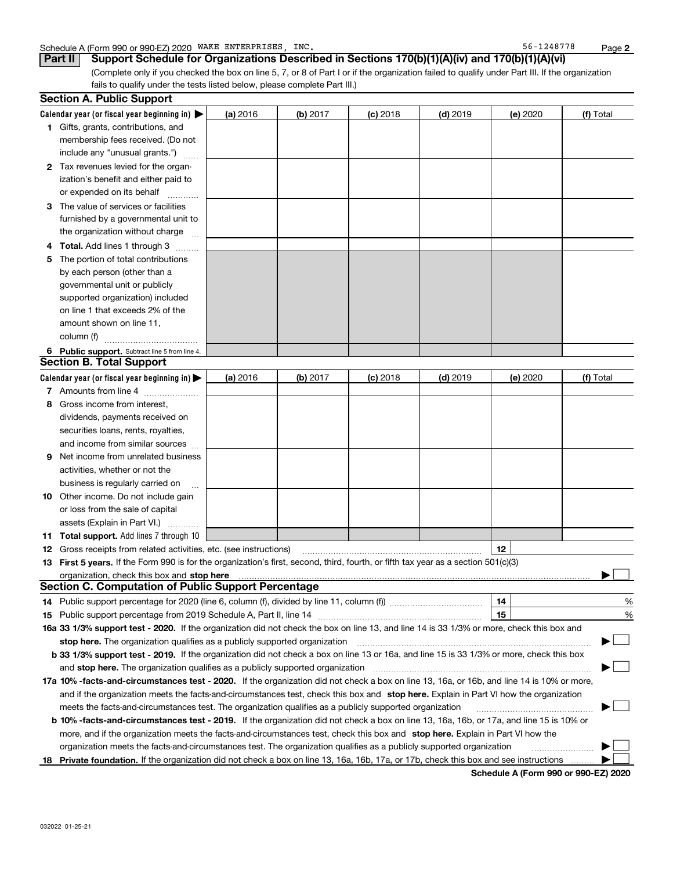#### Schedule A (Form 990 or 990-EZ) 2020 WAKE ENTERPRISES,INC. 56-1248778 Page

**2**

(Complete only if you checked the box on line 5, 7, or 8 of Part I or if the organization failed to qualify under Part III. If the organization fails to qualify under the tests listed below, please complete Part III.) **Part II Support Schedule for Organizations Described in Sections 170(b)(1)(A)(iv) and 170(b)(1)(A)(vi)**

|   | <b>Section A. Public Support</b>                                                                                                               |          |          |            |            |          |           |
|---|------------------------------------------------------------------------------------------------------------------------------------------------|----------|----------|------------|------------|----------|-----------|
|   | Calendar year (or fiscal year beginning in) $\blacktriangleright$                                                                              | (a) 2016 | (b) 2017 | $(c)$ 2018 | $(d)$ 2019 | (e) 2020 | (f) Total |
|   | 1 Gifts, grants, contributions, and                                                                                                            |          |          |            |            |          |           |
|   | membership fees received. (Do not                                                                                                              |          |          |            |            |          |           |
|   | include any "unusual grants.")                                                                                                                 |          |          |            |            |          |           |
|   | 2 Tax revenues levied for the organ-                                                                                                           |          |          |            |            |          |           |
|   | ization's benefit and either paid to                                                                                                           |          |          |            |            |          |           |
|   | or expended on its behalf                                                                                                                      |          |          |            |            |          |           |
|   | <b>3</b> The value of services or facilities                                                                                                   |          |          |            |            |          |           |
|   | furnished by a governmental unit to                                                                                                            |          |          |            |            |          |           |
|   | the organization without charge                                                                                                                |          |          |            |            |          |           |
|   | 4 Total. Add lines 1 through 3                                                                                                                 |          |          |            |            |          |           |
|   | 5 The portion of total contributions                                                                                                           |          |          |            |            |          |           |
|   | by each person (other than a                                                                                                                   |          |          |            |            |          |           |
|   | governmental unit or publicly                                                                                                                  |          |          |            |            |          |           |
|   | supported organization) included                                                                                                               |          |          |            |            |          |           |
|   | on line 1 that exceeds 2% of the                                                                                                               |          |          |            |            |          |           |
|   | amount shown on line 11,                                                                                                                       |          |          |            |            |          |           |
|   | column (f)                                                                                                                                     |          |          |            |            |          |           |
|   | 6 Public support. Subtract line 5 from line 4.                                                                                                 |          |          |            |            |          |           |
|   | <b>Section B. Total Support</b>                                                                                                                |          |          |            |            |          |           |
|   | Calendar year (or fiscal year beginning in)                                                                                                    | (a) 2016 | (b) 2017 | $(c)$ 2018 | $(d)$ 2019 | (e) 2020 | (f) Total |
|   | 7 Amounts from line 4                                                                                                                          |          |          |            |            |          |           |
| 8 | Gross income from interest,                                                                                                                    |          |          |            |            |          |           |
|   | dividends, payments received on                                                                                                                |          |          |            |            |          |           |
|   | securities loans, rents, royalties,                                                                                                            |          |          |            |            |          |           |
|   | and income from similar sources                                                                                                                |          |          |            |            |          |           |
|   | <b>9</b> Net income from unrelated business                                                                                                    |          |          |            |            |          |           |
|   | activities, whether or not the                                                                                                                 |          |          |            |            |          |           |
|   | business is regularly carried on                                                                                                               |          |          |            |            |          |           |
|   | <b>10</b> Other income. Do not include gain                                                                                                    |          |          |            |            |          |           |
|   | or loss from the sale of capital                                                                                                               |          |          |            |            |          |           |
|   | assets (Explain in Part VI.)                                                                                                                   |          |          |            |            |          |           |
|   | <b>11 Total support.</b> Add lines 7 through 10                                                                                                |          |          |            |            |          |           |
|   | <b>12</b> Gross receipts from related activities, etc. (see instructions)                                                                      |          |          |            |            | 12       |           |
|   | 13 First 5 years. If the Form 990 is for the organization's first, second, third, fourth, or fifth tax year as a section 501(c)(3)             |          |          |            |            |          |           |
|   |                                                                                                                                                |          |          |            |            |          |           |
|   | <b>Section C. Computation of Public Support Percentage</b>                                                                                     |          |          |            |            |          |           |
|   | 14 Public support percentage for 2020 (line 6, column (f), divided by line 11, column (f) <i>mummumumum</i>                                    |          |          |            |            | 14       | %         |
|   |                                                                                                                                                |          |          |            |            | 15       | $\%$      |
|   | 16a 33 1/3% support test - 2020. If the organization did not check the box on line 13, and line 14 is 33 1/3% or more, check this box and      |          |          |            |            |          |           |
|   | stop here. The organization qualifies as a publicly supported organization                                                                     |          |          |            |            |          |           |
|   | b 33 1/3% support test - 2019. If the organization did not check a box on line 13 or 16a, and line 15 is 33 1/3% or more, check this box       |          |          |            |            |          |           |
|   | and stop here. The organization qualifies as a publicly supported organization                                                                 |          |          |            |            |          |           |
|   | 17a 10% -facts-and-circumstances test - 2020. If the organization did not check a box on line 13, 16a, or 16b, and line 14 is 10% or more,     |          |          |            |            |          |           |
|   | and if the organization meets the facts-and-circumstances test, check this box and stop here. Explain in Part VI how the organization          |          |          |            |            |          |           |
|   | meets the facts-and-circumstances test. The organization qualifies as a publicly supported organization                                        |          |          |            |            |          |           |
|   | <b>b 10% -facts-and-circumstances test - 2019.</b> If the organization did not check a box on line 13, 16a, 16b, or 17a, and line 15 is 10% or |          |          |            |            |          |           |
|   | more, and if the organization meets the facts-and-circumstances test, check this box and stop here. Explain in Part VI how the                 |          |          |            |            |          |           |
|   | organization meets the facts-and-circumstances test. The organization qualifies as a publicly supported organization                           |          |          |            |            |          |           |
|   | 18 Private foundation. If the organization did not check a box on line 13, 16a, 16b, 17a, or 17b, check this box and see instructions          |          |          |            |            |          |           |

**Schedule A (Form 990 or 990-EZ) 2020**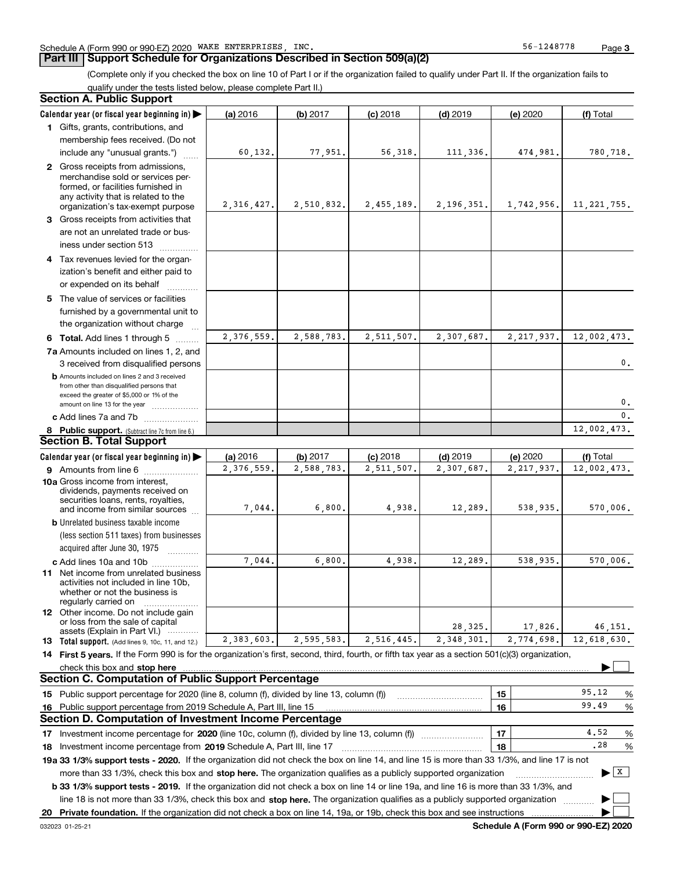#### **Part III Support Schedule for Organizations Described in Section 509(a)(2)**

**3**

(Complete only if you checked the box on line 10 of Part I or if the organization failed to qualify under Part II. If the organization fails to qualify under the tests listed below, please complete Part II.)

| <b>Section A. Public Support</b>                                                                                                                                                                                                                                 |              |            |            |            |              |                                               |
|------------------------------------------------------------------------------------------------------------------------------------------------------------------------------------------------------------------------------------------------------------------|--------------|------------|------------|------------|--------------|-----------------------------------------------|
| Calendar year (or fiscal year beginning in)                                                                                                                                                                                                                      | (a) 2016     | (b) 2017   | $(c)$ 2018 | $(d)$ 2019 | (e) 2020     | (f) Total                                     |
| 1 Gifts, grants, contributions, and                                                                                                                                                                                                                              |              |            |            |            |              |                                               |
| membership fees received. (Do not                                                                                                                                                                                                                                |              |            |            |            |              |                                               |
| include any "unusual grants.")                                                                                                                                                                                                                                   | 60,132.      | 77,951.    | 56,318.    | 111,336.   | 474,981.     | 780,718.                                      |
| 2 Gross receipts from admissions,<br>merchandise sold or services per-<br>formed, or facilities furnished in<br>any activity that is related to the                                                                                                              |              |            |            |            |              |                                               |
| organization's tax-exempt purpose                                                                                                                                                                                                                                | 2,316,427.   | 2,510,832. | 2,455,189. | 2,196,351. | 1,742,956.   | 11, 221, 755.                                 |
| 3 Gross receipts from activities that<br>are not an unrelated trade or bus-<br>iness under section 513                                                                                                                                                           |              |            |            |            |              |                                               |
| 4 Tax revenues levied for the organ-<br>ization's benefit and either paid to                                                                                                                                                                                     |              |            |            |            |              |                                               |
| or expended on its behalf                                                                                                                                                                                                                                        |              |            |            |            |              |                                               |
| 5 The value of services or facilities<br>furnished by a governmental unit to<br>the organization without charge                                                                                                                                                  |              |            |            |            |              |                                               |
| 6 Total. Add lines 1 through 5                                                                                                                                                                                                                                   | 2,376,559.   | 2,588,783. | 2,511,507. | 2,307,687. | 2, 217, 937. | 12,002,473.                                   |
| 7a Amounts included on lines 1, 2, and<br>3 received from disqualified persons                                                                                                                                                                                   |              |            |            |            |              | 0.                                            |
| <b>b</b> Amounts included on lines 2 and 3 received<br>from other than disqualified persons that<br>exceed the greater of \$5,000 or 1% of the<br>amount on line 13 for the year                                                                                 |              |            |            |            |              | 0.                                            |
| c Add lines 7a and 7b                                                                                                                                                                                                                                            |              |            |            |            |              | 0.                                            |
| 8 Public support. (Subtract line 7c from line 6.)                                                                                                                                                                                                                |              |            |            |            |              | 12,002,473.                                   |
| <b>Section B. Total Support</b>                                                                                                                                                                                                                                  |              |            |            |            |              |                                               |
| Calendar year (or fiscal year beginning in)                                                                                                                                                                                                                      | (a) 2016     | (b) 2017   | $(c)$ 2018 | $(d)$ 2019 | (e) 2020     | (f) Total                                     |
| 9 Amounts from line 6                                                                                                                                                                                                                                            | 2, 376, 559. | 2,588,783. | 2,511,507. | 2,307,687. | 2, 217, 937. | 12,002,473.                                   |
| 10a Gross income from interest,<br>dividends, payments received on<br>securities loans, rents, royalties,<br>and income from similar sources                                                                                                                     | 7,044.       | 6,800.     | 4,938.     | 12,289.    | 538,935.     | 570,006.                                      |
| <b>b</b> Unrelated business taxable income                                                                                                                                                                                                                       |              |            |            |            |              |                                               |
| (less section 511 taxes) from businesses<br>acquired after June 30, 1975<br>.                                                                                                                                                                                    |              |            |            |            |              |                                               |
| c Add lines 10a and 10b                                                                                                                                                                                                                                          | 7,044.       | 6,800.     | 4,938,     | 12,289.    | 538,935.     | 570,006.                                      |
| 11 Net income from unrelated business<br>activities not included in line 10b.<br>whether or not the business is<br>regularly carried on                                                                                                                          |              |            |            |            |              |                                               |
| <b>12</b> Other income. Do not include gain<br>or loss from the sale of capital<br>assets (Explain in Part VI.)                                                                                                                                                  |              |            |            | 28,325.    | 17,826.      | 46,151.                                       |
| <b>13</b> Total support. (Add lines 9, 10c, 11, and 12.)                                                                                                                                                                                                         | 2,383,603.   | 2,595,583. | 2,516,445. | 2,348,301. | 2,774,698.   | 12.618.630.                                   |
| 14 First 5 years. If the Form 990 is for the organization's first, second, third, fourth, or fifth tax year as a section 501(c)(3) organization,                                                                                                                 |              |            |            |            |              |                                               |
| check this box and stop here                                                                                                                                                                                                                                     |              |            |            |            |              |                                               |
| <b>Section C. Computation of Public Support Percentage</b>                                                                                                                                                                                                       |              |            |            |            |              |                                               |
| 15 Public support percentage for 2020 (line 8, column (f), divided by line 13, column (f))                                                                                                                                                                       |              |            |            |            | 15           | 95.12<br>%                                    |
| 16 Public support percentage from 2019 Schedule A, Part III, line 15                                                                                                                                                                                             |              |            |            |            | 16           | 99.49<br>%                                    |
| <b>Section D. Computation of Investment Income Percentage</b>                                                                                                                                                                                                    |              |            |            |            |              |                                               |
| 17 Investment income percentage for 2020 (line 10c, column (f), divided by line 13, column (f))                                                                                                                                                                  |              |            |            |            | 17           | 4,52<br>%                                     |
| 18 Investment income percentage from 2019 Schedule A, Part III, line 17                                                                                                                                                                                          |              |            |            |            | 18           | .28<br>%                                      |
| 19a 33 1/3% support tests - 2020. If the organization did not check the box on line 14, and line 15 is more than 33 1/3%, and line 17 is not                                                                                                                     |              |            |            |            |              |                                               |
| more than 33 1/3%, check this box and stop here. The organization qualifies as a publicly supported organization<br><b>b 33 1/3% support tests - 2019.</b> If the organization did not check a box on line 14 or line 19a, and line 16 is more than 33 1/3%, and |              |            |            |            |              | $\blacktriangleright$ $\overline{\mathbf{x}}$ |
| line 18 is not more than 33 1/3%, check this box and stop here. The organization qualifies as a publicly supported organization                                                                                                                                  |              |            |            |            |              |                                               |
| 20 Private foundation. If the organization did not check a box on line 14, 19a, or 19b, check this box and see instructions                                                                                                                                      |              |            |            |            |              |                                               |

**Schedule A (Form 990 or 990-EZ) 2020**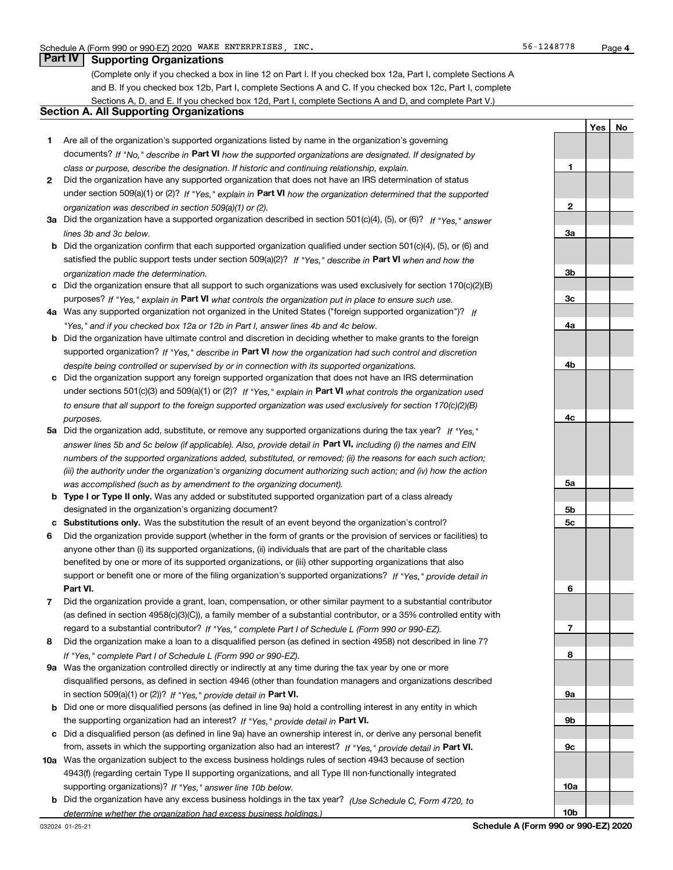(Complete only if you checked a box in line 12 on Part I. If you checked box 12a, Part I, complete Sections A and B. If you checked box 12b, Part I, complete Sections A and C. If you checked box 12c, Part I, complete Sections A, D, and E. If you checked box 12d, Part I, complete Sections A and D, and complete Part V.)

#### **Section A. All Supporting Organizations**

- **1** Are all of the organization's supported organizations listed by name in the organization's governing documents? If "No," describe in **Part VI** how the supported organizations are designated. If designated by *class or purpose, describe the designation. If historic and continuing relationship, explain.*
- **2** Did the organization have any supported organization that does not have an IRS determination of status under section 509(a)(1) or (2)? If "Yes," explain in Part VI how the organization determined that the supported *organization was described in section 509(a)(1) or (2).*
- **3a** Did the organization have a supported organization described in section 501(c)(4), (5), or (6)? If "Yes," answer *lines 3b and 3c below.*
- **b** Did the organization confirm that each supported organization qualified under section 501(c)(4), (5), or (6) and satisfied the public support tests under section 509(a)(2)? If "Yes," describe in **Part VI** when and how the *organization made the determination.*
- **c**Did the organization ensure that all support to such organizations was used exclusively for section 170(c)(2)(B) purposes? If "Yes," explain in **Part VI** what controls the organization put in place to ensure such use.
- **4a***If* Was any supported organization not organized in the United States ("foreign supported organization")? *"Yes," and if you checked box 12a or 12b in Part I, answer lines 4b and 4c below.*
- **b** Did the organization have ultimate control and discretion in deciding whether to make grants to the foreign supported organization? If "Yes," describe in **Part VI** how the organization had such control and discretion *despite being controlled or supervised by or in connection with its supported organizations.*
- **c** Did the organization support any foreign supported organization that does not have an IRS determination under sections 501(c)(3) and 509(a)(1) or (2)? If "Yes," explain in **Part VI** what controls the organization used *to ensure that all support to the foreign supported organization was used exclusively for section 170(c)(2)(B) purposes.*
- **5a***If "Yes,"* Did the organization add, substitute, or remove any supported organizations during the tax year? answer lines 5b and 5c below (if applicable). Also, provide detail in **Part VI,** including (i) the names and EIN *numbers of the supported organizations added, substituted, or removed; (ii) the reasons for each such action; (iii) the authority under the organization's organizing document authorizing such action; and (iv) how the action was accomplished (such as by amendment to the organizing document).*
- **b** Type I or Type II only. Was any added or substituted supported organization part of a class already designated in the organization's organizing document?
- **cSubstitutions only.**  Was the substitution the result of an event beyond the organization's control?
- **6** Did the organization provide support (whether in the form of grants or the provision of services or facilities) to **Part VI.** *If "Yes," provide detail in* support or benefit one or more of the filing organization's supported organizations? anyone other than (i) its supported organizations, (ii) individuals that are part of the charitable class benefited by one or more of its supported organizations, or (iii) other supporting organizations that also
- **7**Did the organization provide a grant, loan, compensation, or other similar payment to a substantial contributor *If "Yes," complete Part I of Schedule L (Form 990 or 990-EZ).* regard to a substantial contributor? (as defined in section 4958(c)(3)(C)), a family member of a substantial contributor, or a 35% controlled entity with
- **8** Did the organization make a loan to a disqualified person (as defined in section 4958) not described in line 7? *If "Yes," complete Part I of Schedule L (Form 990 or 990-EZ).*
- **9a** Was the organization controlled directly or indirectly at any time during the tax year by one or more in section 509(a)(1) or (2))? If "Yes," *provide detail in* <code>Part VI.</code> disqualified persons, as defined in section 4946 (other than foundation managers and organizations described
- **b** Did one or more disqualified persons (as defined in line 9a) hold a controlling interest in any entity in which the supporting organization had an interest? If "Yes," provide detail in P**art VI**.
- **c**Did a disqualified person (as defined in line 9a) have an ownership interest in, or derive any personal benefit from, assets in which the supporting organization also had an interest? If "Yes," provide detail in P**art VI.**
- **10a** Was the organization subject to the excess business holdings rules of section 4943 because of section supporting organizations)? If "Yes," answer line 10b below. 4943(f) (regarding certain Type II supporting organizations, and all Type III non-functionally integrated
- **b** Did the organization have any excess business holdings in the tax year? (Use Schedule C, Form 4720, to *determine whether the organization had excess business holdings.)*

**YesNo**

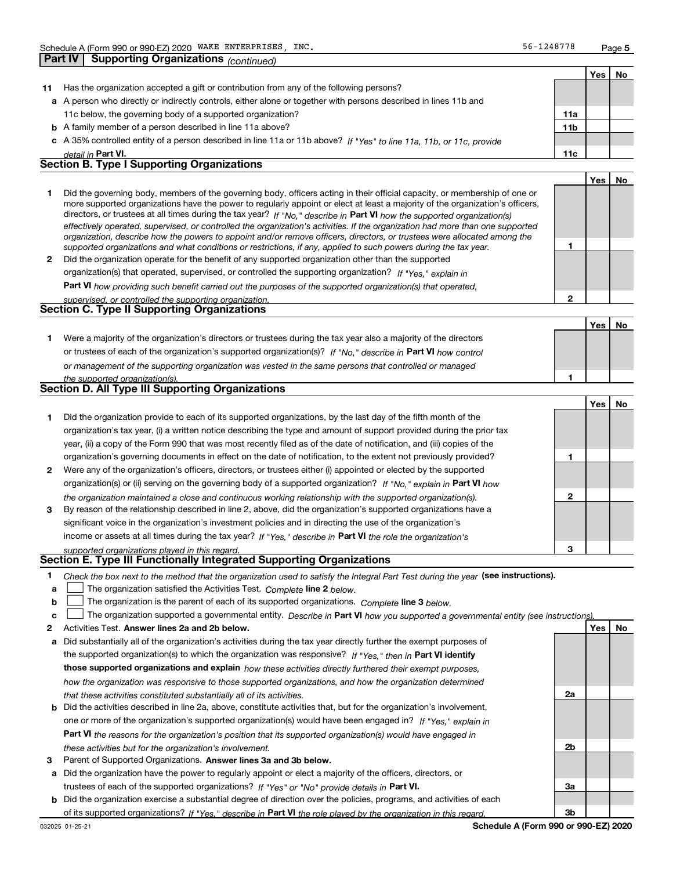**Part IV Supporting Organizations** *(continued)*

**1**

**2**

|    |                                                                                                                                                                                                                                                             |     | Yes |    |
|----|-------------------------------------------------------------------------------------------------------------------------------------------------------------------------------------------------------------------------------------------------------------|-----|-----|----|
| 11 | Has the organization accepted a gift or contribution from any of the following persons?                                                                                                                                                                     |     |     |    |
|    | a A person who directly or indirectly controls, either alone or together with persons described in lines 11b and                                                                                                                                            |     |     |    |
|    | 11c below, the governing body of a supported organization?                                                                                                                                                                                                  | 11a |     |    |
|    | <b>b</b> A family member of a person described in line 11a above?                                                                                                                                                                                           | 11b |     |    |
|    | c A 35% controlled entity of a person described in line 11a or 11b above? If "Yes" to line 11a, 11b, or 11c, provide                                                                                                                                        |     |     |    |
|    | detail in Part VI.                                                                                                                                                                                                                                          | 11c |     |    |
|    | <b>Section B. Type I Supporting Organizations</b>                                                                                                                                                                                                           |     |     |    |
|    |                                                                                                                                                                                                                                                             |     | Yes | No |
|    | Did the governing body, members of the governing body, officers acting in their official capacity, or membership of one or<br>more supported organizations have the power to regularly appoint or elect at least a majority of the organization's officers, |     |     |    |

|              | more supported organizations nave the power to regularly appoint or clear at least a majority or the organization's omeors,    |  |
|--------------|--------------------------------------------------------------------------------------------------------------------------------|--|
|              | directors, or trustees at all times during the tax year? If "No," describe in Part VI how the supported organization(s)        |  |
|              | effectively operated, supervised, or controlled the organization's activities. If the organization had more than one supported |  |
|              | organization, describe how the powers to appoint and/or remove officers, directors, or trustees were allocated among the       |  |
|              | supported organizations and what conditions or restrictions, if any, applied to such powers during the tax year.               |  |
| $\mathbf{2}$ | Did the organization operate for the benefit of any supported organization other than the supported                            |  |
|              | organization(s) that operated, supervised, or controlled the supporting organization? If "Yes," explain in                     |  |
|              | <b>D</b> -4 <i>M</i>                                                                                                           |  |

**Part VI**  *how providing such benefit carried out the purposes of the supported organization(s) that operated, supervised, or controlled the supporting organization.*

| supervised, or controlled the supporting organization. |  |
|--------------------------------------------------------|--|
| <b>Section C. Type II Supporting Organizations</b>     |  |

**Yes No 1**or trustees of each of the organization's supported organization(s)? If "No," describe in **Part VI** how control **1***or management of the supporting organization was vested in the same persons that controlled or managed the supported organization(s).* Were a majority of the organization's directors or trustees during the tax year also a majority of the directors

|  | <b>Section D. All Type III Supporting Organizations</b> |
|--|---------------------------------------------------------|
|  |                                                         |

|                |                                                                                                                        |   | Yes l | No |
|----------------|------------------------------------------------------------------------------------------------------------------------|---|-------|----|
|                | Did the organization provide to each of its supported organizations, by the last day of the fifth month of the         |   |       |    |
|                | organization's tax year, (i) a written notice describing the type and amount of support provided during the prior tax  |   |       |    |
|                | year, (ii) a copy of the Form 990 that was most recently filed as of the date of notification, and (iii) copies of the |   |       |    |
|                | organization's governing documents in effect on the date of notification, to the extent not previously provided?       |   |       |    |
| $\overline{2}$ | Were any of the organization's officers, directors, or trustees either (i) appointed or elected by the supported       |   |       |    |
|                | organization(s) or (ii) serving on the governing body of a supported organization? If "No," explain in Part VI how     |   |       |    |
|                | the organization maintained a close and continuous working relationship with the supported organization(s).            | 2 |       |    |
| 3              | By reason of the relationship described in line 2, above, did the organization's supported organizations have a        |   |       |    |
|                | significant voice in the organization's investment policies and in directing the use of the organization's             |   |       |    |
|                | income or assets at all times during the tax year? If "Yes," describe in Part VI the role the organization's           |   |       |    |
|                | supported organizations played in this regard.                                                                         | з |       |    |

### *supported organizations played in this regard.* **Section E. Type III Functionally Integrated Supporting Organizations**

- **1**Check the box next to the method that the organization used to satisfy the Integral Part Test during the year (see instructions).
- **alinupy** The organization satisfied the Activities Test. Complete line 2 below.
- **b**The organization is the parent of each of its supported organizations. *Complete* line 3 *below.*  $\mathcal{L}^{\text{max}}$

|  |  | $\mathbf{c}$ $\Box$ The organization supported a governmental entity. Describe in Part VI how you supported a governmental entity (see instructions). |  |  |  |  |  |  |
|--|--|-------------------------------------------------------------------------------------------------------------------------------------------------------|--|--|--|--|--|--|
|--|--|-------------------------------------------------------------------------------------------------------------------------------------------------------|--|--|--|--|--|--|

- **2Answer lines 2a and 2b below. Yes No** Activities Test.
- **a** Did substantially all of the organization's activities during the tax year directly further the exempt purposes of the supported organization(s) to which the organization was responsive? If "Yes," then in **Part VI identify those supported organizations and explain**  *how these activities directly furthered their exempt purposes, how the organization was responsive to those supported organizations, and how the organization determined that these activities constituted substantially all of its activities.*
- **b** Did the activities described in line 2a, above, constitute activities that, but for the organization's involvement, **Part VI**  *the reasons for the organization's position that its supported organization(s) would have engaged in* one or more of the organization's supported organization(s) would have been engaged in? If "Yes," e*xplain in these activities but for the organization's involvement.*
- **3**Parent of Supported Organizations. Answer lines 3a and 3b below.
- **a** Did the organization have the power to regularly appoint or elect a majority of the officers, directors, or trustees of each of the supported organizations? If "Yes" or "No" provide details in **Part VI.**
- **b** Did the organization exercise a substantial degree of direction over the policies, programs, and activities of each of its supported organizations? If "Yes," describe in Part VI the role played by the organization in this regard.

**2a**

**2b**

**3a**

**3b**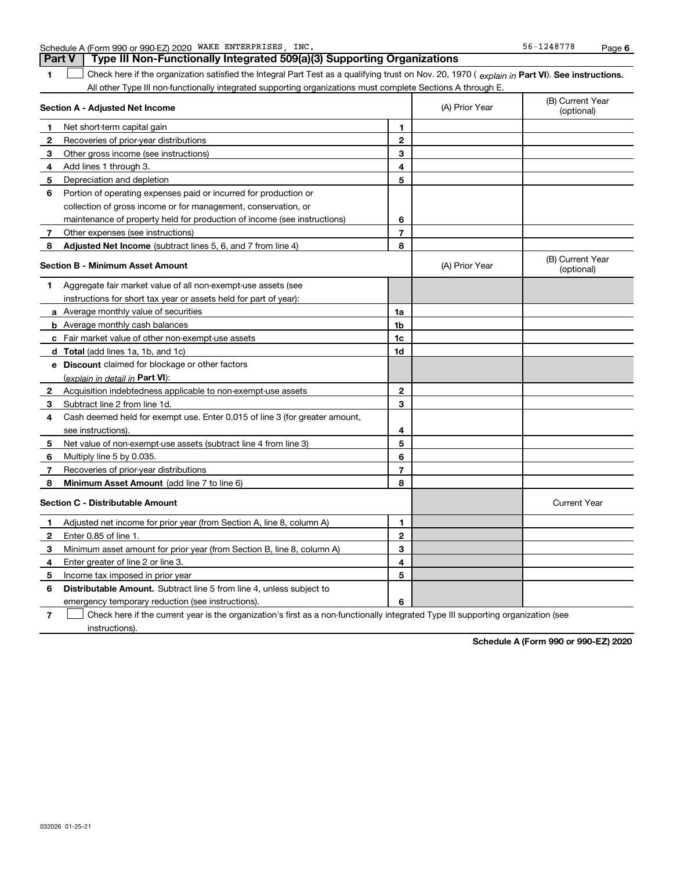| Schedule | 4 (Form 990 or 990-EZ) 2020 | <b>ENTERPRISES</b><br>WAKE | INC. | 10770<br>$\sim$<br>1248<br>- ס כ<br>$\overline{\phantom{a}}$ | Paɑe |  |
|----------|-----------------------------|----------------------------|------|--------------------------------------------------------------|------|--|
|----------|-----------------------------|----------------------------|------|--------------------------------------------------------------|------|--|

**1Part VI** Check here if the organization satisfied the Integral Part Test as a qualifying trust on Nov. 20, 1970 ( explain in Part **VI**). See instructions. All other Type III non-functionally integrated supporting organizations must complete Sections A through E. **Part V Type III Non-Functionally Integrated 509(a)(3) Supporting Organizations**   $\mathcal{L}^{\text{max}}$ 

|    | Section A - Adjusted Net Income                                             |                | (A) Prior Year | (B) Current Year<br>(optional) |
|----|-----------------------------------------------------------------------------|----------------|----------------|--------------------------------|
| 1  | Net short-term capital gain                                                 | 1.             |                |                                |
| 2  | Recoveries of prior-year distributions                                      | $\overline{2}$ |                |                                |
| З  | Other gross income (see instructions)                                       | 3              |                |                                |
| 4  | Add lines 1 through 3.                                                      | 4              |                |                                |
| 5  | Depreciation and depletion                                                  | 5              |                |                                |
| 6  | Portion of operating expenses paid or incurred for production or            |                |                |                                |
|    | collection of gross income or for management, conservation, or              |                |                |                                |
|    | maintenance of property held for production of income (see instructions)    | 6              |                |                                |
| 7  | Other expenses (see instructions)                                           | 7              |                |                                |
| 8  | Adjusted Net Income (subtract lines 5, 6, and 7 from line 4)                | 8              |                |                                |
|    | <b>Section B - Minimum Asset Amount</b>                                     |                | (A) Prior Year | (B) Current Year<br>(optional) |
| 1  | Aggregate fair market value of all non-exempt-use assets (see               |                |                |                                |
|    | instructions for short tax year or assets held for part of year):           |                |                |                                |
|    | a Average monthly value of securities                                       | 1a             |                |                                |
|    | <b>b</b> Average monthly cash balances                                      | 1b             |                |                                |
|    | c Fair market value of other non-exempt-use assets                          | 1c             |                |                                |
|    | <b>d</b> Total (add lines 1a, 1b, and 1c)                                   | 1d             |                |                                |
|    | e Discount claimed for blockage or other factors                            |                |                |                                |
|    | (explain in detail in Part VI):                                             |                |                |                                |
| 2  | Acquisition indebtedness applicable to non-exempt-use assets                | $\mathbf{2}$   |                |                                |
| З  | Subtract line 2 from line 1d.                                               | 3              |                |                                |
| 4  | Cash deemed held for exempt use. Enter 0.015 of line 3 (for greater amount, |                |                |                                |
|    | see instructions).                                                          | 4              |                |                                |
| 5  | Net value of non-exempt-use assets (subtract line 4 from line 3)            | 5              |                |                                |
| 6  | Multiply line 5 by 0.035.                                                   | 6              |                |                                |
| 7  | Recoveries of prior-year distributions                                      | $\overline{7}$ |                |                                |
| 8  | Minimum Asset Amount (add line 7 to line 6)                                 | 8              |                |                                |
|    | <b>Section C - Distributable Amount</b>                                     |                |                | <b>Current Year</b>            |
| 1  | Adjusted net income for prior year (from Section A, line 8, column A)       | 1              |                |                                |
| 2  | Enter 0.85 of line 1.                                                       | $\mathbf{2}$   |                |                                |
| 3  | Minimum asset amount for prior year (from Section B, line 8, column A)      | 3              |                |                                |
| 4  | Enter greater of line 2 or line 3.                                          | 4              |                |                                |
| 5. | Income tax imposed in prior year                                            | 5              |                |                                |
| 6  | <b>Distributable Amount.</b> Subtract line 5 from line 4, unless subject to |                |                |                                |
|    | emergency temporary reduction (see instructions).                           | 6              |                |                                |
|    |                                                                             |                |                |                                |

**7** Check here if the current year is the organization's first as a non-functionally integrated Type III supporting organization (see instructions).

**Schedule A (Form 990 or 990-EZ) 2020**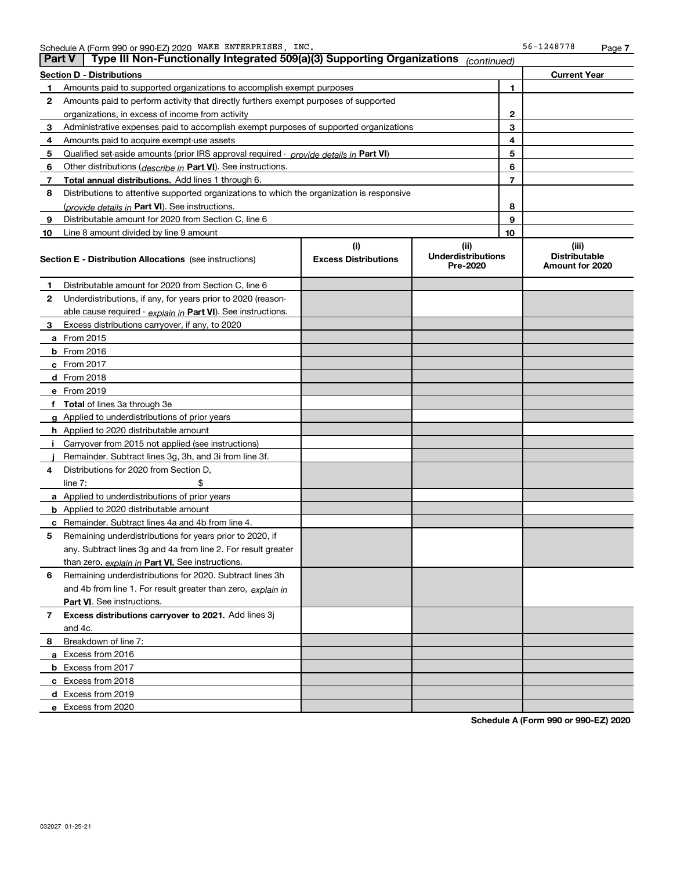| <b>Part V</b> | Type III Non-Functionally Integrated 509(a)(3) Supporting Organizations                    |                                    | (continued)                                   |              |                                                  |
|---------------|--------------------------------------------------------------------------------------------|------------------------------------|-----------------------------------------------|--------------|--------------------------------------------------|
|               | <b>Section D - Distributions</b>                                                           |                                    |                                               |              | <b>Current Year</b>                              |
| 1             | Amounts paid to supported organizations to accomplish exempt purposes                      |                                    | 1                                             |              |                                                  |
| 2             | Amounts paid to perform activity that directly furthers exempt purposes of supported       |                                    |                                               |              |                                                  |
|               | organizations, in excess of income from activity                                           |                                    |                                               | $\mathbf{2}$ |                                                  |
| 3             | Administrative expenses paid to accomplish exempt purposes of supported organizations      |                                    |                                               | 3            |                                                  |
| 4             | Amounts paid to acquire exempt-use assets                                                  |                                    |                                               | 4            |                                                  |
| 5             | Qualified set-aside amounts (prior IRS approval required - provide details in Part VI)     |                                    |                                               | 5            |                                                  |
| 6             | Other distributions ( <i>describe in</i> Part VI). See instructions.                       |                                    |                                               | 6            |                                                  |
| 7             | Total annual distributions. Add lines 1 through 6.                                         |                                    |                                               | 7            |                                                  |
| 8             | Distributions to attentive supported organizations to which the organization is responsive |                                    |                                               |              |                                                  |
|               | (provide details in Part VI). See instructions.                                            |                                    |                                               | 8            |                                                  |
| 9             | Distributable amount for 2020 from Section C, line 6                                       |                                    |                                               | 9            |                                                  |
| 10            | Line 8 amount divided by line 9 amount                                                     |                                    |                                               | 10           |                                                  |
|               | <b>Section E - Distribution Allocations</b> (see instructions)                             | (i)<br><b>Excess Distributions</b> | (ii)<br><b>Underdistributions</b><br>Pre-2020 |              | (iii)<br><b>Distributable</b><br>Amount for 2020 |
| 1             | Distributable amount for 2020 from Section C, line 6                                       |                                    |                                               |              |                                                  |
| 2             | Underdistributions, if any, for years prior to 2020 (reason-                               |                                    |                                               |              |                                                  |
|               | able cause required - explain in Part VI). See instructions.                               |                                    |                                               |              |                                                  |
| 3             | Excess distributions carryover, if any, to 2020                                            |                                    |                                               |              |                                                  |
|               | a From 2015                                                                                |                                    |                                               |              |                                                  |
|               | <b>b</b> From 2016                                                                         |                                    |                                               |              |                                                  |
|               | $c$ From 2017                                                                              |                                    |                                               |              |                                                  |
|               | d From 2018                                                                                |                                    |                                               |              |                                                  |
|               | e From 2019                                                                                |                                    |                                               |              |                                                  |
|               | f Total of lines 3a through 3e                                                             |                                    |                                               |              |                                                  |
|               | g Applied to underdistributions of prior years                                             |                                    |                                               |              |                                                  |
|               | <b>h</b> Applied to 2020 distributable amount                                              |                                    |                                               |              |                                                  |
|               | Carryover from 2015 not applied (see instructions)                                         |                                    |                                               |              |                                                  |
|               | Remainder. Subtract lines 3g, 3h, and 3i from line 3f.                                     |                                    |                                               |              |                                                  |
| 4             | Distributions for 2020 from Section D,                                                     |                                    |                                               |              |                                                  |
|               | line $7:$                                                                                  |                                    |                                               |              |                                                  |
|               | a Applied to underdistributions of prior years                                             |                                    |                                               |              |                                                  |
|               | <b>b</b> Applied to 2020 distributable amount                                              |                                    |                                               |              |                                                  |
|               | c Remainder. Subtract lines 4a and 4b from line 4.                                         |                                    |                                               |              |                                                  |
| 5.            | Remaining underdistributions for years prior to 2020, if                                   |                                    |                                               |              |                                                  |
|               | any. Subtract lines 3g and 4a from line 2. For result greater                              |                                    |                                               |              |                                                  |
|               | than zero, explain in Part VI. See instructions.                                           |                                    |                                               |              |                                                  |
| 6             | Remaining underdistributions for 2020. Subtract lines 3h                                   |                                    |                                               |              |                                                  |
|               | and 4b from line 1. For result greater than zero, explain in                               |                                    |                                               |              |                                                  |
|               | Part VI. See instructions.                                                                 |                                    |                                               |              |                                                  |
| 7             | Excess distributions carryover to 2021. Add lines 3j                                       |                                    |                                               |              |                                                  |
|               | and 4c.                                                                                    |                                    |                                               |              |                                                  |
| 8             | Breakdown of line 7:                                                                       |                                    |                                               |              |                                                  |
|               | a Excess from 2016                                                                         |                                    |                                               |              |                                                  |
|               | <b>b</b> Excess from 2017                                                                  |                                    |                                               |              |                                                  |
|               | c Excess from 2018                                                                         |                                    |                                               |              |                                                  |
|               | d Excess from 2019                                                                         |                                    |                                               |              |                                                  |
|               | e Excess from 2020                                                                         |                                    |                                               |              |                                                  |

**Schedule A (Form 990 or 990-EZ) 2020**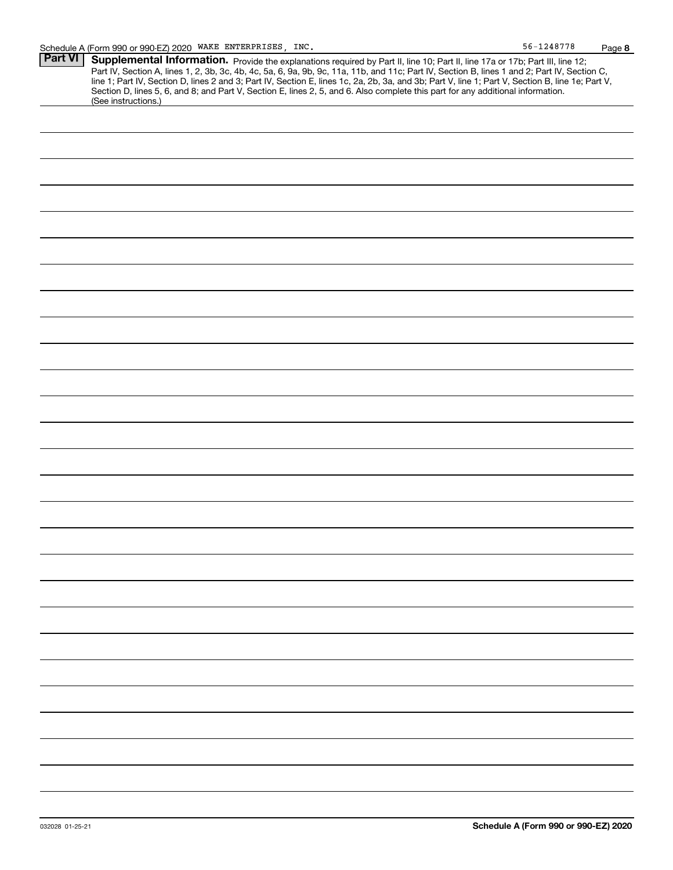| Part VI   Supplemental Information. Provide the explanations required by Part II, line 10; Part II, line 17a or 17b; Part III, line 12;          |
|--------------------------------------------------------------------------------------------------------------------------------------------------|
| Part IV, Section A, lines 1, 2, 3b, 3c, 4b, 4c, 5a, 6, 9a, 9b, 9c, 11a, 11b, and 11c; Part IV, Section B, lines 1 and 2; Part IV, Section C,     |
| line 1; Part IV, Section D, lines 2 and 3; Part IV, Section E, lines 1c, 2a, 2b, 3a, and 3b; Part V, line 1; Part V, Section B, line 1e; Part V, |
| Section D, lines 5, 6, and 8; and Part V, Section E, lines 2, 5, and 6. Also complete this part for any additional information.                  |
| (See instructions.)                                                                                                                              |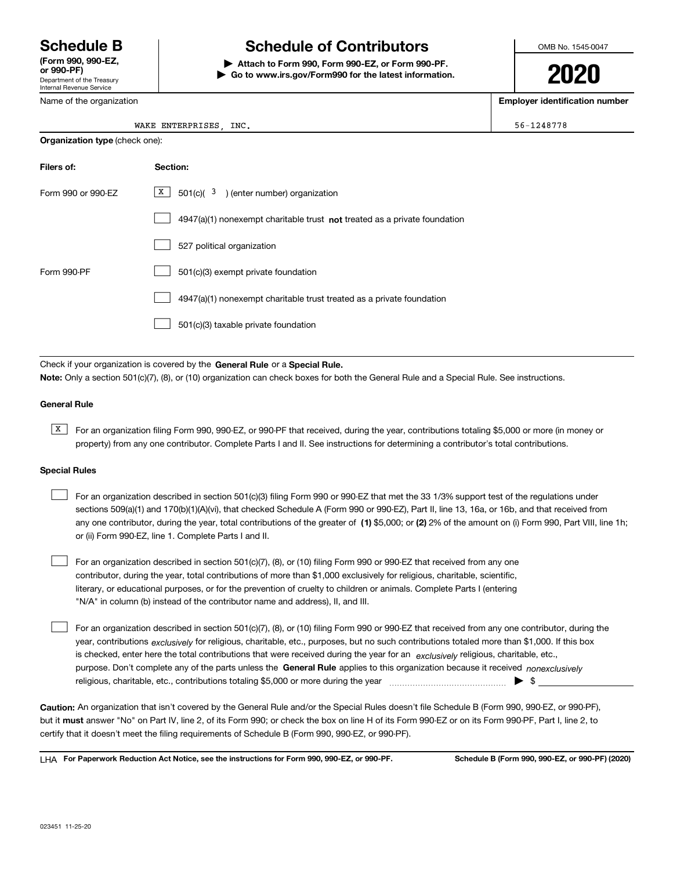Department of the Treasury Internal Revenue Service **(Form 990, 990-EZ, or 990-PF)**

Name of the organization

### **Schedule B Schedule of Contributors**

**| Attach to Form 990, Form 990-EZ, or Form 990-PF. | Go to www.irs.gov/Form990 for the latest information.** OMB No. 1545-0047

**2020**

**Employer identification number**

| ENTERPRISES<br>WAKE | INC<br>____ | 248778<br>$56 -$ |
|---------------------|-------------|------------------|
|---------------------|-------------|------------------|

| <b>Organization type (check one):</b>                                              |  |  |  |  |  |  |
|------------------------------------------------------------------------------------|--|--|--|--|--|--|
| Section:                                                                           |  |  |  |  |  |  |
| $\boxed{\text{X}}$ 501(c)( 3) (enter number) organization                          |  |  |  |  |  |  |
| $4947(a)(1)$ nonexempt charitable trust <b>not</b> treated as a private foundation |  |  |  |  |  |  |
| 527 political organization                                                         |  |  |  |  |  |  |
| 501(c)(3) exempt private foundation                                                |  |  |  |  |  |  |
| 4947(a)(1) nonexempt charitable trust treated as a private foundation              |  |  |  |  |  |  |
| 501(c)(3) taxable private foundation                                               |  |  |  |  |  |  |
|                                                                                    |  |  |  |  |  |  |

Check if your organization is covered by the **General Rule** or a **Special Rule. Note:**  Only a section 501(c)(7), (8), or (10) organization can check boxes for both the General Rule and a Special Rule. See instructions.

#### **General Rule**

 $\overline{X}$  For an organization filing Form 990, 990-EZ, or 990-PF that received, during the year, contributions totaling \$5,000 or more (in money or property) from any one contributor. Complete Parts I and II. See instructions for determining a contributor's total contributions.

#### **Special Rules**

| For an organization described in section 501(c)(3) filing Form 990 or 990-EZ that met the 33 1/3% support test of the regulations under               |
|-------------------------------------------------------------------------------------------------------------------------------------------------------|
| sections 509(a)(1) and 170(b)(1)(A)(vi), that checked Schedule A (Form 990 or 990-EZ), Part II, line 13, 16a, or 16b, and that received from          |
| any one contributor, during the year, total contributions of the greater of (1) \$5,000; or (2) 2% of the amount on (i) Form 990, Part VIII, line 1h; |
| or (ii) Form 990-EZ, line 1. Complete Parts I and II.                                                                                                 |

For an organization described in section 501(c)(7), (8), or (10) filing Form 990 or 990-EZ that received from any one contributor, during the year, total contributions of more than \$1,000 exclusively for religious, charitable, scientific, literary, or educational purposes, or for the prevention of cruelty to children or animals. Complete Parts I (entering "N/A" in column (b) instead of the contributor name and address), II, and III.  $\mathcal{L}^{\text{max}}$ 

purpose. Don't complete any of the parts unless the **General Rule** applies to this organization because it received *nonexclusively* year, contributions <sub>exclusively</sub> for religious, charitable, etc., purposes, but no such contributions totaled more than \$1,000. If this box is checked, enter here the total contributions that were received during the year for an *exclusively* religious, charitable, etc., For an organization described in section 501(c)(7), (8), or (10) filing Form 990 or 990-EZ that received from any one contributor, during the religious, charitable, etc., contributions totaling \$5,000 or more during the year  $\Box$ — $\Box$   $\Box$  $\mathcal{L}^{\text{max}}$ 

**Caution:**  An organization that isn't covered by the General Rule and/or the Special Rules doesn't file Schedule B (Form 990, 990-EZ, or 990-PF),  **must** but it answer "No" on Part IV, line 2, of its Form 990; or check the box on line H of its Form 990-EZ or on its Form 990-PF, Part I, line 2, to certify that it doesn't meet the filing requirements of Schedule B (Form 990, 990-EZ, or 990-PF).

**For Paperwork Reduction Act Notice, see the instructions for Form 990, 990-EZ, or 990-PF. Schedule B (Form 990, 990-EZ, or 990-PF) (2020)** LHA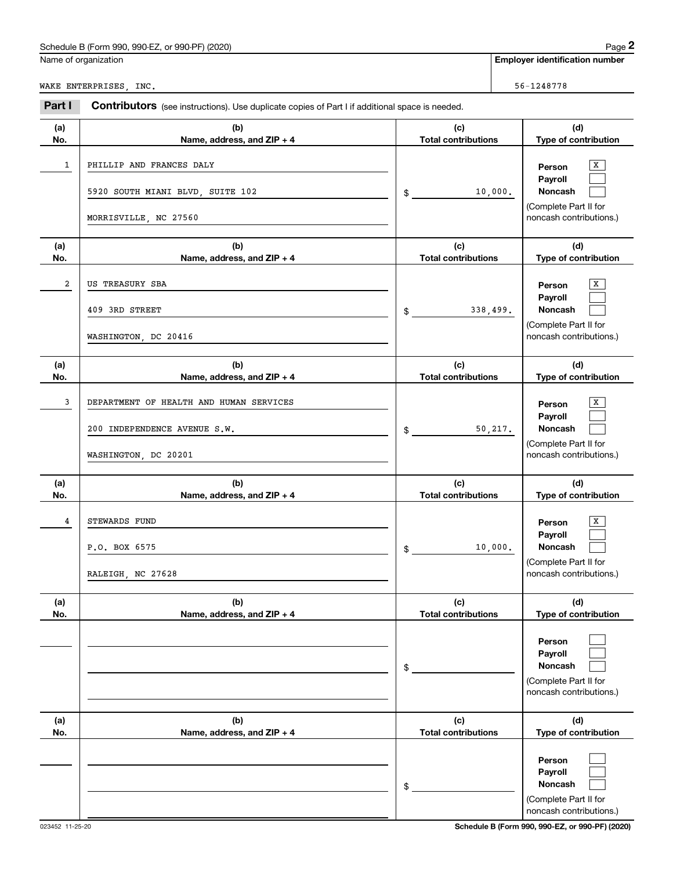### Schedule B (Form 990, 990-EZ, or 990-PF) (2020) Page 2

|            | Schedule B (Form 990, 990-EZ, or 990-PF) (2020)                                                 |                                   |          | Page 2                                                                                |
|------------|-------------------------------------------------------------------------------------------------|-----------------------------------|----------|---------------------------------------------------------------------------------------|
|            | Name of organization                                                                            |                                   |          | <b>Employer identification number</b>                                                 |
|            | WAKE ENTERPRISES, INC.                                                                          |                                   |          | 56-1248778                                                                            |
| Part I     | Contributors (see instructions). Use duplicate copies of Part I if additional space is needed.  |                                   |          |                                                                                       |
| (a)<br>No. | (b)<br>Name, address, and ZIP + 4                                                               | (c)<br><b>Total contributions</b> |          | (d)<br>Type of contribution                                                           |
| 1          | PHILLIP AND FRANCES DALY<br>5920 SOUTH MIANI BLVD, SUITE 102<br>MORRISVILLE, NC 27560           | \$                                | 10,000.  | х<br>Person<br>Payroll<br>Noncash<br>(Complete Part II for<br>noncash contributions.) |
| (a)<br>No. | (b)<br>Name, address, and ZIP + 4                                                               | (c)<br><b>Total contributions</b> |          | (d)<br>Type of contribution                                                           |
| 2          | US TREASURY SBA<br>409 3RD STREET<br>WASHINGTON, DC 20416                                       | \$                                | 338,499. | х<br>Person<br>Payroll<br>Noncash<br>(Complete Part II for<br>noncash contributions.) |
| (a)<br>No. | (b)<br>Name, address, and ZIP + 4                                                               | (c)<br><b>Total contributions</b> |          | (d)<br>Type of contribution                                                           |
| 3          | DEPARTMENT OF HEALTH AND HUMAN SERVICES<br>200 INDEPENDENCE AVENUE S.W.<br>WASHINGTON, DC 20201 | \$                                | 50, 217. | х<br>Person<br>Payroll<br>Noncash<br>(Complete Part II for<br>noncash contributions.) |
| (a)<br>No. | (b)<br>Name, address, and ZIP + 4                                                               | (c)<br><b>Total contributions</b> |          | (d)<br>Type of contribution                                                           |
| 4          | STEWARDS FUND<br>P.O. BOX 6575<br>RALEIGH, NC 27628                                             | \$                                | 10,000.  | х<br>Person<br>Payroll<br>Noncash<br>(Complete Part II for<br>noncash contributions.) |
| (a)<br>No. | (b)<br>Name, address, and ZIP + 4                                                               | (c)<br><b>Total contributions</b> |          | (d)<br>Type of contribution                                                           |
|            |                                                                                                 | \$                                |          | Person<br>Payroll<br>Noncash<br>(Complete Part II for<br>noncash contributions.)      |
| (a)<br>No. | (b)<br>Name, address, and ZIP + 4                                                               | (c)<br><b>Total contributions</b> |          | (d)<br>Type of contribution                                                           |
|            |                                                                                                 | \$                                |          | Person<br>Payroll<br>Noncash<br>(Complete Part II for<br>noncash contributions.)      |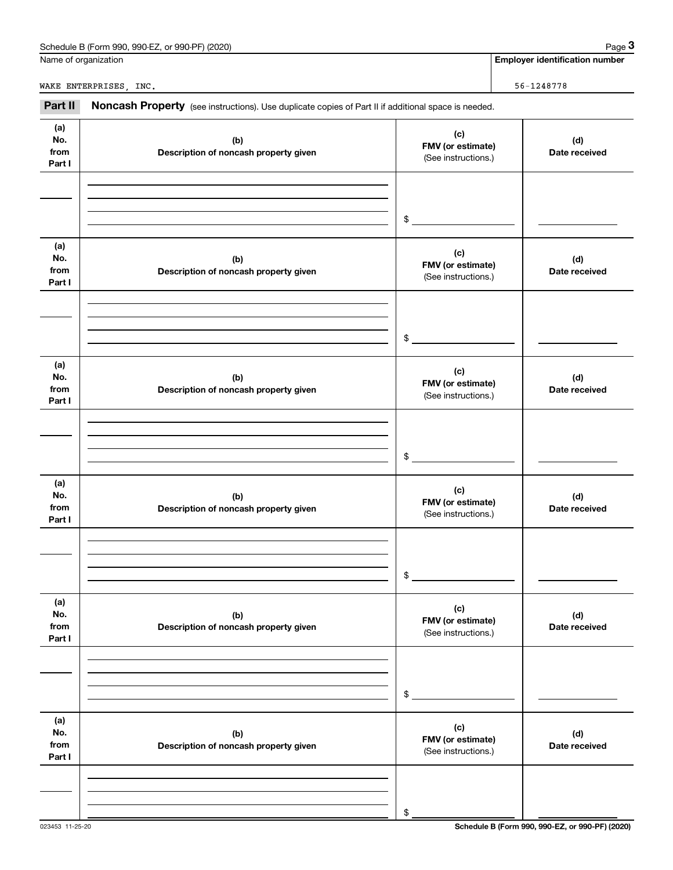| (2020)<br>. or 990-PF)<br>990-EZ<br>Schedule B (Form!<br>.-orm 990 | Page |
|--------------------------------------------------------------------|------|
|                                                                    |      |

|                              | Schedule B (Form 990, 990-EZ, or 990-PF) (2020)                                                     |                                                 | Page 3                                |
|------------------------------|-----------------------------------------------------------------------------------------------------|-------------------------------------------------|---------------------------------------|
|                              | Name of organization                                                                                |                                                 | <b>Employer identification number</b> |
|                              | WAKE ENTERPRISES, INC.                                                                              |                                                 | 56-1248778                            |
| Part II                      | Noncash Property (see instructions). Use duplicate copies of Part II if additional space is needed. |                                                 |                                       |
| (a)<br>No.<br>from<br>Part I | (b)<br>Description of noncash property given                                                        | (c)<br>FMV (or estimate)<br>(See instructions.) | (d)<br>Date received                  |
|                              |                                                                                                     | $\mathsf{\$}$                                   |                                       |
| (a)<br>No.<br>from<br>Part I | (b)<br>Description of noncash property given                                                        | (c)<br>FMV (or estimate)<br>(See instructions.) | (d)<br>Date received                  |
|                              |                                                                                                     | \$                                              |                                       |
| (a)<br>No.<br>from<br>Part I | (b)<br>Description of noncash property given                                                        | (c)<br>FMV (or estimate)<br>(See instructions.) | (d)<br>Date received                  |
|                              |                                                                                                     | \$                                              |                                       |
| (a)<br>No.<br>from<br>Part I | (b)<br>Description of noncash property given                                                        | (c)<br>FMV (or estimate)<br>(See instructions.) | (d)<br>Date received                  |
|                              |                                                                                                     | $\mathfrak{S}$                                  |                                       |
| (a)<br>No.<br>from<br>Part I | (b)<br>Description of noncash property given                                                        | (c)<br>FMV (or estimate)<br>(See instructions.) | (d)<br>Date received                  |
|                              |                                                                                                     | \$                                              |                                       |
| (a)<br>No.<br>from<br>Part I | (b)<br>Description of noncash property given                                                        | (c)<br>FMV (or estimate)<br>(See instructions.) | (d)<br>Date received                  |
|                              |                                                                                                     |                                                 |                                       |

023453 11-25-20 **Schedule B (Form 990, 990-EZ, or 990-PF) (2020)**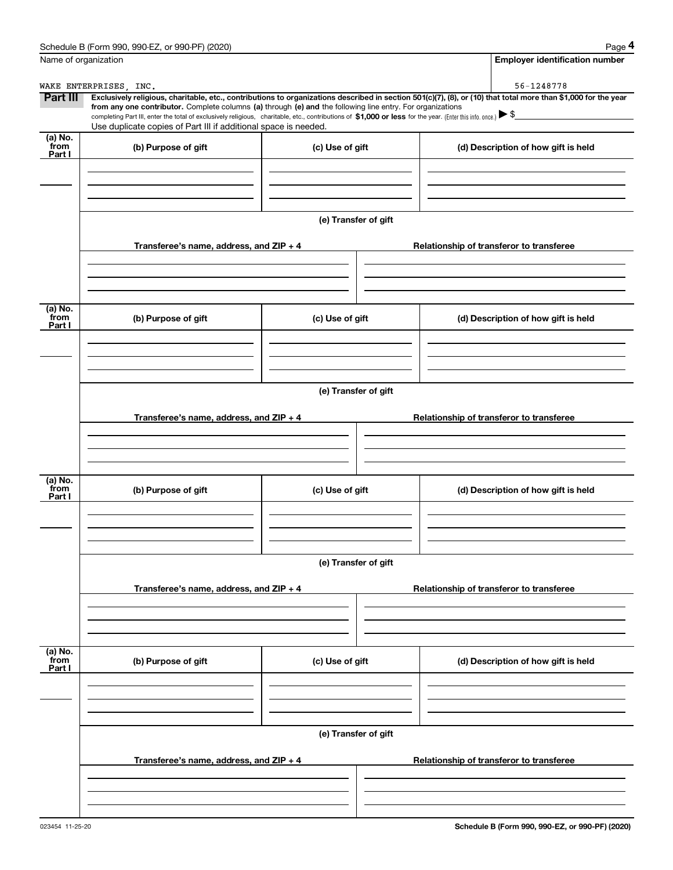|                           | Schedule B (Form 990, 990-EZ, or 990-PF) (2020)                                                                                                                                                                                                                                                 |                      | Page 4                                                                                                                                                         |  |  |  |
|---------------------------|-------------------------------------------------------------------------------------------------------------------------------------------------------------------------------------------------------------------------------------------------------------------------------------------------|----------------------|----------------------------------------------------------------------------------------------------------------------------------------------------------------|--|--|--|
|                           | Name of organization                                                                                                                                                                                                                                                                            |                      | <b>Employer identification number</b>                                                                                                                          |  |  |  |
|                           | WAKE ENTERPRISES, INC.                                                                                                                                                                                                                                                                          |                      | 56-1248778                                                                                                                                                     |  |  |  |
| <b>Part III</b>           | from any one contributor. Complete columns (a) through (e) and the following line entry. For organizations<br>completing Part III, enter the total of exclusively religious, charitable, etc., contributions of \$1,000 or less for the year. (Enter this info. once.) $\blacktriangleright$ \$ |                      | Exclusively religious, charitable, etc., contributions to organizations described in section 501(c)(7), (8), or (10) that total more than \$1,000 for the year |  |  |  |
|                           | Use duplicate copies of Part III if additional space is needed.                                                                                                                                                                                                                                 |                      |                                                                                                                                                                |  |  |  |
| (a) No.<br>from<br>Part I | (b) Purpose of gift                                                                                                                                                                                                                                                                             | (c) Use of gift      | (d) Description of how gift is held                                                                                                                            |  |  |  |
|                           |                                                                                                                                                                                                                                                                                                 |                      |                                                                                                                                                                |  |  |  |
|                           |                                                                                                                                                                                                                                                                                                 |                      |                                                                                                                                                                |  |  |  |
|                           |                                                                                                                                                                                                                                                                                                 | (e) Transfer of gift |                                                                                                                                                                |  |  |  |
|                           | Transferee's name, address, and ZIP + 4                                                                                                                                                                                                                                                         |                      | Relationship of transferor to transferee                                                                                                                       |  |  |  |
|                           |                                                                                                                                                                                                                                                                                                 |                      |                                                                                                                                                                |  |  |  |
| (a) No.<br>from<br>Part I | (b) Purpose of gift                                                                                                                                                                                                                                                                             | (c) Use of gift      | (d) Description of how gift is held                                                                                                                            |  |  |  |
|                           |                                                                                                                                                                                                                                                                                                 |                      |                                                                                                                                                                |  |  |  |
|                           |                                                                                                                                                                                                                                                                                                 |                      |                                                                                                                                                                |  |  |  |
|                           | (e) Transfer of gift                                                                                                                                                                                                                                                                            |                      |                                                                                                                                                                |  |  |  |
|                           | Transferee's name, address, and ZIP + 4                                                                                                                                                                                                                                                         |                      | Relationship of transferor to transferee                                                                                                                       |  |  |  |
|                           |                                                                                                                                                                                                                                                                                                 |                      |                                                                                                                                                                |  |  |  |
| (a) No.<br>from<br>Part I | (b) Purpose of gift                                                                                                                                                                                                                                                                             | (c) Use of gift      | (d) Description of how gift is held                                                                                                                            |  |  |  |
|                           |                                                                                                                                                                                                                                                                                                 |                      |                                                                                                                                                                |  |  |  |
|                           |                                                                                                                                                                                                                                                                                                 | (e) Transfer of gift |                                                                                                                                                                |  |  |  |
|                           | Transferee's name, address, and ZIP + 4                                                                                                                                                                                                                                                         |                      | Relationship of transferor to transferee                                                                                                                       |  |  |  |
|                           |                                                                                                                                                                                                                                                                                                 |                      |                                                                                                                                                                |  |  |  |
| (a) No.<br>from           | (b) Purpose of gift                                                                                                                                                                                                                                                                             | (c) Use of gift      | (d) Description of how gift is held                                                                                                                            |  |  |  |
| Part I                    |                                                                                                                                                                                                                                                                                                 |                      |                                                                                                                                                                |  |  |  |
|                           |                                                                                                                                                                                                                                                                                                 |                      |                                                                                                                                                                |  |  |  |
|                           | (e) Transfer of gift                                                                                                                                                                                                                                                                            |                      |                                                                                                                                                                |  |  |  |
|                           | Transferee's name, address, and ZIP + 4                                                                                                                                                                                                                                                         |                      | Relationship of transferor to transferee                                                                                                                       |  |  |  |
|                           |                                                                                                                                                                                                                                                                                                 |                      |                                                                                                                                                                |  |  |  |
|                           |                                                                                                                                                                                                                                                                                                 |                      |                                                                                                                                                                |  |  |  |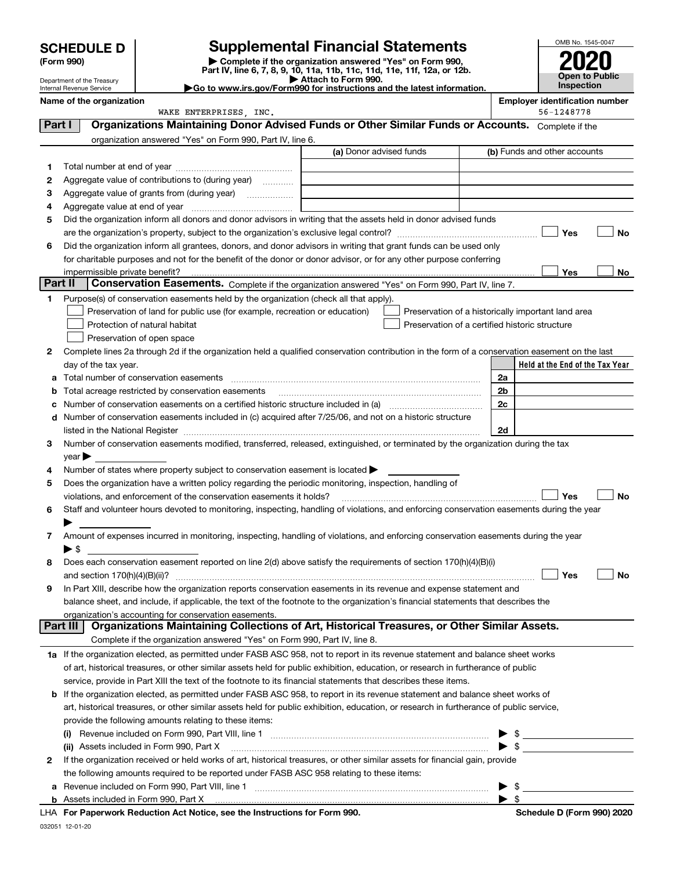Department of the Treasury Internal Revenue Service

### **SCHEDULE D Supplemental Financial Statements**

(Form 990)<br>
Pepartment of the Treasury<br>
Department of the Treasury<br>
Department of the Treasury<br>
Department of the Treasury<br> **Co to www.irs.gov/Form990 for instructions and the latest information.**<br> **Co to www.irs.gov/Form9** 



|         | Name of the organization<br>WAKE ENTERPRISES, INC.                                                                                             |                         | <b>Employer identification number</b><br>56-1248778 |
|---------|------------------------------------------------------------------------------------------------------------------------------------------------|-------------------------|-----------------------------------------------------|
| Part I  | Organizations Maintaining Donor Advised Funds or Other Similar Funds or Accounts. Complete if the                                              |                         |                                                     |
|         |                                                                                                                                                |                         |                                                     |
|         | organization answered "Yes" on Form 990, Part IV, line 6.                                                                                      | (a) Donor advised funds | (b) Funds and other accounts                        |
|         |                                                                                                                                                |                         |                                                     |
| 1       |                                                                                                                                                |                         |                                                     |
| 2       | Aggregate value of contributions to (during year)                                                                                              |                         |                                                     |
| з<br>4  |                                                                                                                                                |                         |                                                     |
| 5       | Did the organization inform all donors and donor advisors in writing that the assets held in donor advised funds                               |                         |                                                     |
|         |                                                                                                                                                |                         | Yes<br>No                                           |
| 6       | Did the organization inform all grantees, donors, and donor advisors in writing that grant funds can be used only                              |                         |                                                     |
|         | for charitable purposes and not for the benefit of the donor or donor advisor, or for any other purpose conferring                             |                         |                                                     |
|         |                                                                                                                                                |                         | Yes<br>No                                           |
| Part II | Conservation Easements. Complete if the organization answered "Yes" on Form 990, Part IV, line 7.                                              |                         |                                                     |
| 1       | Purpose(s) of conservation easements held by the organization (check all that apply).                                                          |                         |                                                     |
|         | Preservation of land for public use (for example, recreation or education)                                                                     |                         | Preservation of a historically important land area  |
|         | Protection of natural habitat                                                                                                                  |                         | Preservation of a certified historic structure      |
|         | Preservation of open space                                                                                                                     |                         |                                                     |
| 2       | Complete lines 2a through 2d if the organization held a qualified conservation contribution in the form of a conservation easement on the last |                         |                                                     |
|         | day of the tax year.                                                                                                                           |                         | Held at the End of the Tax Year                     |
| а       | Total number of conservation easements                                                                                                         |                         | 2a                                                  |
| b       | Total acreage restricted by conservation easements                                                                                             |                         | 2b                                                  |
|         |                                                                                                                                                |                         | 2c                                                  |
| d       | Number of conservation easements included in (c) acquired after 7/25/06, and not on a historic structure                                       |                         |                                                     |
|         |                                                                                                                                                |                         | 2d                                                  |
| 3       | Number of conservation easements modified, transferred, released, extinguished, or terminated by the organization during the tax               |                         |                                                     |
|         | year                                                                                                                                           |                         |                                                     |
| 4       | Number of states where property subject to conservation easement is located >                                                                  |                         |                                                     |
| 5       | Does the organization have a written policy regarding the periodic monitoring, inspection, handling of                                         |                         |                                                     |
|         | violations, and enforcement of the conservation easements it holds?                                                                            |                         | Yes<br>No                                           |
| 6       | Staff and volunteer hours devoted to monitoring, inspecting, handling of violations, and enforcing conservation easements during the year      |                         |                                                     |
|         |                                                                                                                                                |                         |                                                     |
| 7       | Amount of expenses incurred in monitoring, inspecting, handling of violations, and enforcing conservation easements during the year            |                         |                                                     |
|         | ► \$                                                                                                                                           |                         |                                                     |
| 8       | Does each conservation easement reported on line 2(d) above satisfy the requirements of section 170(h)(4)(B)(i)                                |                         | Yes                                                 |
|         | In Part XIII, describe how the organization reports conservation easements in its revenue and expense statement and                            |                         | No                                                  |
|         | balance sheet, and include, if applicable, the text of the footnote to the organization's financial statements that describes the              |                         |                                                     |
|         | organization's accounting for conservation easements.                                                                                          |                         |                                                     |
|         | Organizations Maintaining Collections of Art, Historical Treasures, or Other Similar Assets.<br>Part III                                       |                         |                                                     |
|         | Complete if the organization answered "Yes" on Form 990, Part IV, line 8.                                                                      |                         |                                                     |
|         | 1a If the organization elected, as permitted under FASB ASC 958, not to report in its revenue statement and balance sheet works                |                         |                                                     |
|         | of art, historical treasures, or other similar assets held for public exhibition, education, or research in furtherance of public              |                         |                                                     |
|         | service, provide in Part XIII the text of the footnote to its financial statements that describes these items.                                 |                         |                                                     |
| b       | If the organization elected, as permitted under FASB ASC 958, to report in its revenue statement and balance sheet works of                    |                         |                                                     |
|         | art, historical treasures, or other similar assets held for public exhibition, education, or research in furtherance of public service,        |                         |                                                     |
|         | provide the following amounts relating to these items:                                                                                         |                         |                                                     |
|         | (i)                                                                                                                                            |                         | \$                                                  |
|         | (ii) Assets included in Form 990, Part X                                                                                                       |                         | $\blacktriangleright$ \$                            |
| 2       | If the organization received or held works of art, historical treasures, or other similar assets for financial gain, provide                   |                         |                                                     |
|         | the following amounts required to be reported under FASB ASC 958 relating to these items:                                                      |                         |                                                     |
| а       |                                                                                                                                                |                         | -\$                                                 |
|         |                                                                                                                                                |                         | $\blacktriangleright$ s                             |

**For Paperwork Reduction Act Notice, see the Instructions for Form 990. Schedule D (Form 990) 2020** LHA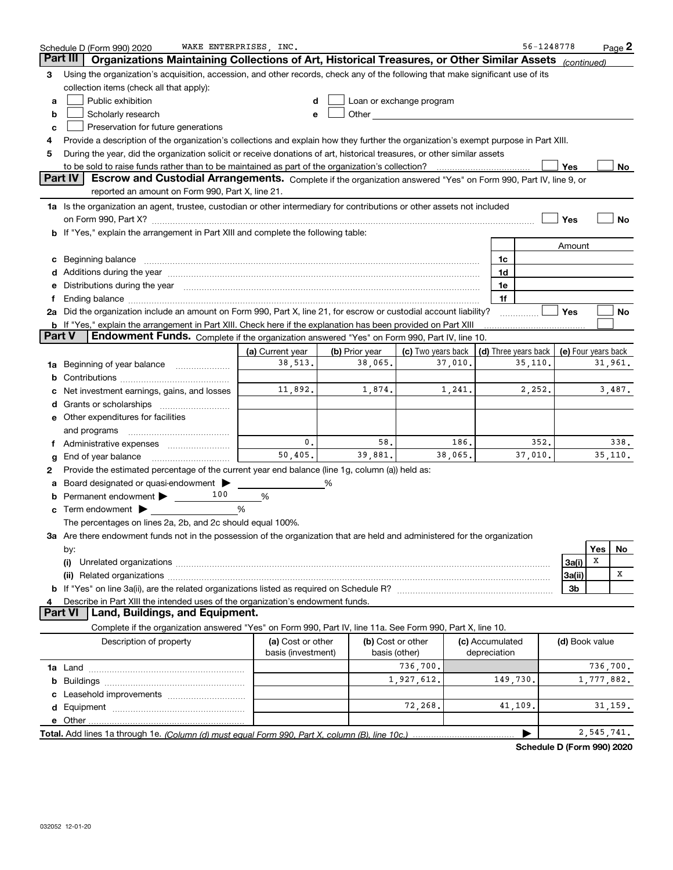|                                                                                                                               | WAKE ENTERPRISES, INC.<br>Schedule D (Form 990) 2020                                                                                                                                                                           |                                         |                |               |                                                                                                                                                                                                                               |         |                                 | 56-1248778           |                     |            | $Page$ 2   |
|-------------------------------------------------------------------------------------------------------------------------------|--------------------------------------------------------------------------------------------------------------------------------------------------------------------------------------------------------------------------------|-----------------------------------------|----------------|---------------|-------------------------------------------------------------------------------------------------------------------------------------------------------------------------------------------------------------------------------|---------|---------------------------------|----------------------|---------------------|------------|------------|
| Part II                                                                                                                       | Organizations Maintaining Collections of Art, Historical Treasures, or Other Similar Assets                                                                                                                                    |                                         |                |               |                                                                                                                                                                                                                               |         |                                 |                      | (continued)         |            |            |
| 3                                                                                                                             | Using the organization's acquisition, accession, and other records, check any of the following that make significant use of its                                                                                                |                                         |                |               |                                                                                                                                                                                                                               |         |                                 |                      |                     |            |            |
|                                                                                                                               | collection items (check all that apply):                                                                                                                                                                                       |                                         |                |               |                                                                                                                                                                                                                               |         |                                 |                      |                     |            |            |
| a                                                                                                                             | Public exhibition                                                                                                                                                                                                              |                                         |                |               | Loan or exchange program                                                                                                                                                                                                      |         |                                 |                      |                     |            |            |
| b                                                                                                                             | Scholarly research                                                                                                                                                                                                             | е                                       |                |               | Other and the contract of the contract of the contract of the contract of the contract of the contract of the contract of the contract of the contract of the contract of the contract of the contract of the contract of the |         |                                 |                      |                     |            |            |
| c                                                                                                                             | Preservation for future generations                                                                                                                                                                                            |                                         |                |               |                                                                                                                                                                                                                               |         |                                 |                      |                     |            |            |
| 4                                                                                                                             | Provide a description of the organization's collections and explain how they further the organization's exempt purpose in Part XIII.                                                                                           |                                         |                |               |                                                                                                                                                                                                                               |         |                                 |                      |                     |            |            |
| During the year, did the organization solicit or receive donations of art, historical treasures, or other similar assets<br>5 |                                                                                                                                                                                                                                |                                         |                |               |                                                                                                                                                                                                                               |         |                                 |                      |                     |            |            |
|                                                                                                                               | to be sold to raise funds rather than to be maintained as part of the organization's collection?                                                                                                                               |                                         |                |               |                                                                                                                                                                                                                               |         |                                 |                      | Yes                 |            | No         |
|                                                                                                                               | <b>Part IV</b><br>Escrow and Custodial Arrangements. Complete if the organization answered "Yes" on Form 990, Part IV, line 9, or<br>reported an amount on Form 990, Part X, line 21.                                          |                                         |                |               |                                                                                                                                                                                                                               |         |                                 |                      |                     |            |            |
|                                                                                                                               | 1a Is the organization an agent, trustee, custodian or other intermediary for contributions or other assets not included                                                                                                       |                                         |                |               |                                                                                                                                                                                                                               |         |                                 |                      |                     |            |            |
|                                                                                                                               |                                                                                                                                                                                                                                |                                         |                |               |                                                                                                                                                                                                                               |         |                                 |                      | Yes                 |            | No         |
|                                                                                                                               | If "Yes," explain the arrangement in Part XIII and complete the following table:                                                                                                                                               |                                         |                |               |                                                                                                                                                                                                                               |         |                                 |                      |                     |            |            |
|                                                                                                                               |                                                                                                                                                                                                                                |                                         |                |               |                                                                                                                                                                                                                               |         |                                 |                      | Amount              |            |            |
| с                                                                                                                             | Beginning balance <b>contract to the contract of the contract of the contract of the contract of the contract of t</b>                                                                                                         |                                         |                |               |                                                                                                                                                                                                                               |         | 1c                              |                      |                     |            |            |
| d                                                                                                                             | Additions during the year manufactured and an account of the year manufactured and account of the year manufactured and account of the year manufactured and account of the year manufactured and account of the year manufact |                                         |                |               |                                                                                                                                                                                                                               |         | 1d                              |                      |                     |            |            |
| е                                                                                                                             | Distributions during the year manufactured and continuum and contact the year manufactured and contact the year                                                                                                                |                                         |                |               |                                                                                                                                                                                                                               |         | 1e                              |                      |                     |            |            |
| f                                                                                                                             |                                                                                                                                                                                                                                |                                         |                |               |                                                                                                                                                                                                                               |         | 1f                              |                      |                     |            |            |
|                                                                                                                               | 2a Did the organization include an amount on Form 990, Part X, line 21, for escrow or custodial account liability?                                                                                                             |                                         |                |               |                                                                                                                                                                                                                               |         |                                 |                      | Yes                 |            | No         |
|                                                                                                                               | <b>b</b> If "Yes," explain the arrangement in Part XIII. Check here if the explanation has been provided on Part XIII                                                                                                          |                                         |                |               |                                                                                                                                                                                                                               |         |                                 |                      |                     |            |            |
| <b>Part V</b>                                                                                                                 | Endowment Funds. Complete if the organization answered "Yes" on Form 990, Part IV, line 10.                                                                                                                                    |                                         |                |               |                                                                                                                                                                                                                               |         |                                 |                      |                     |            |            |
|                                                                                                                               |                                                                                                                                                                                                                                | (a) Current year                        | (b) Prior year |               | (c) Two years back                                                                                                                                                                                                            |         |                                 | (d) Three years back | (e) Four years back |            |            |
| 1a                                                                                                                            | Beginning of year balance                                                                                                                                                                                                      | 38,513.                                 |                | 38,065.       |                                                                                                                                                                                                                               | 37,010. |                                 | 35,110.              | 31,961.             |            |            |
| b                                                                                                                             |                                                                                                                                                                                                                                | 11,892.                                 |                |               |                                                                                                                                                                                                                               |         |                                 |                      | 3,487.              |            |            |
|                                                                                                                               | Net investment earnings, gains, and losses                                                                                                                                                                                     |                                         |                | 1,874.        |                                                                                                                                                                                                                               | 1,241.  |                                 | 2,252.               |                     |            |            |
| d                                                                                                                             |                                                                                                                                                                                                                                |                                         |                |               |                                                                                                                                                                                                                               |         |                                 |                      |                     |            |            |
|                                                                                                                               | e Other expenditures for facilities                                                                                                                                                                                            |                                         |                |               |                                                                                                                                                                                                                               |         |                                 |                      |                     |            |            |
|                                                                                                                               | and programs                                                                                                                                                                                                                   | $\mathbf 0$ .                           |                | 58.           |                                                                                                                                                                                                                               | 186.    |                                 | 352.                 |                     |            | 338.       |
| Ť.                                                                                                                            | Administrative expenses <i></i>                                                                                                                                                                                                | 50,405.                                 |                | 39,881.       |                                                                                                                                                                                                                               | 38,065. |                                 | 37,010.              |                     |            | 35,110.    |
| g                                                                                                                             | End of year balance                                                                                                                                                                                                            |                                         |                |               |                                                                                                                                                                                                                               |         |                                 |                      |                     |            |            |
| 2                                                                                                                             | Provide the estimated percentage of the current year end balance (line 1g, column (a)) held as:                                                                                                                                |                                         |                |               |                                                                                                                                                                                                                               |         |                                 |                      |                     |            |            |
| b                                                                                                                             | Board designated or quasi-endowment ><br>Permanent endowment<br>100                                                                                                                                                            | %                                       | %              |               |                                                                                                                                                                                                                               |         |                                 |                      |                     |            |            |
| c                                                                                                                             | Term endowment $\blacktriangleright$                                                                                                                                                                                           | %                                       |                |               |                                                                                                                                                                                                                               |         |                                 |                      |                     |            |            |
|                                                                                                                               | The percentages on lines 2a, 2b, and 2c should equal 100%.                                                                                                                                                                     |                                         |                |               |                                                                                                                                                                                                                               |         |                                 |                      |                     |            |            |
|                                                                                                                               | 3a Are there endowment funds not in the possession of the organization that are held and administered for the organization                                                                                                     |                                         |                |               |                                                                                                                                                                                                                               |         |                                 |                      |                     |            |            |
|                                                                                                                               | by:                                                                                                                                                                                                                            |                                         |                |               |                                                                                                                                                                                                                               |         |                                 |                      |                     | Yes        | No         |
|                                                                                                                               | (i)                                                                                                                                                                                                                            |                                         |                |               |                                                                                                                                                                                                                               |         |                                 |                      | 3a(i)               | X          |            |
|                                                                                                                               |                                                                                                                                                                                                                                |                                         |                |               |                                                                                                                                                                                                                               |         |                                 |                      | 3a(ii)              |            | X          |
|                                                                                                                               |                                                                                                                                                                                                                                |                                         |                |               |                                                                                                                                                                                                                               |         |                                 |                      | 3b                  |            |            |
|                                                                                                                               | Describe in Part XIII the intended uses of the organization's endowment funds.                                                                                                                                                 |                                         |                |               |                                                                                                                                                                                                                               |         |                                 |                      |                     |            |            |
|                                                                                                                               | <b>Part VI</b><br>Land, Buildings, and Equipment.                                                                                                                                                                              |                                         |                |               |                                                                                                                                                                                                                               |         |                                 |                      |                     |            |            |
|                                                                                                                               | Complete if the organization answered "Yes" on Form 990, Part IV, line 11a. See Form 990, Part X, line 10.                                                                                                                     |                                         |                |               |                                                                                                                                                                                                                               |         |                                 |                      |                     |            |            |
|                                                                                                                               | Description of property                                                                                                                                                                                                        | (a) Cost or other<br>basis (investment) |                | basis (other) | (b) Cost or other                                                                                                                                                                                                             |         | (c) Accumulated<br>depreciation |                      | (d) Book value      |            |            |
|                                                                                                                               |                                                                                                                                                                                                                                |                                         |                |               | 736,700.                                                                                                                                                                                                                      |         |                                 |                      |                     |            | 736,700.   |
| b                                                                                                                             |                                                                                                                                                                                                                                |                                         |                |               | 1,927,612.                                                                                                                                                                                                                    |         |                                 | 149,730.             |                     | 1,777,882. |            |
|                                                                                                                               |                                                                                                                                                                                                                                |                                         |                |               |                                                                                                                                                                                                                               |         |                                 |                      |                     |            |            |
|                                                                                                                               |                                                                                                                                                                                                                                |                                         |                |               | 72,268.                                                                                                                                                                                                                       |         |                                 | 41,109.              |                     |            | 31, 159.   |
|                                                                                                                               |                                                                                                                                                                                                                                |                                         |                |               |                                                                                                                                                                                                                               |         |                                 |                      |                     |            |            |
|                                                                                                                               |                                                                                                                                                                                                                                |                                         |                |               |                                                                                                                                                                                                                               |         |                                 |                      |                     |            | 2,545,741. |
|                                                                                                                               |                                                                                                                                                                                                                                |                                         |                |               |                                                                                                                                                                                                                               |         |                                 |                      |                     |            |            |

**Schedule D (Form 990) 2020**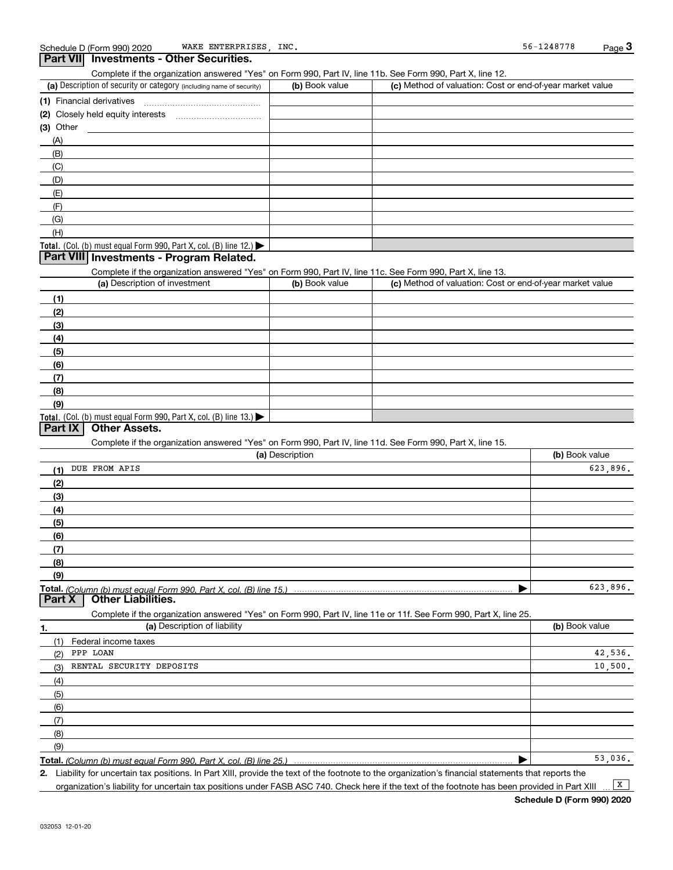| 56-1248778 | Page $3$ |
|------------|----------|
|------------|----------|

#### (a) Description of security or category (including name of security)  $\vert$  (b) Book value  $\vert$  (c) Total. (Col. (b) must equal Form 990, Part X, col. (B) line 12.) Total. (Col. (b) must equal Form 990, Part X, col. (B) line 13.) **(1)** Financial derivatives ~~~~~~~~~~~~~~~ **(2)** Closely held equity interests ~~~~~~~~~~~ **(3)** Other (a) Description of investment **b (b)** Book value **(1)(2) (3)(4) (5)(6)(7)(8)(9)(a) (b)**  Description**(1)(2) (3)(4)(5) (6)(7)(8)(9)Total.**  *(Column (b) must equal Form 990, Part X, col. (B) line 15.)* **1.(a)** Description of liability **Book value** Book value Book value Book value Book value **Total.**  *(Column (b) must equal Form 990, Part X, col. (B) line 25.)* Complete if the organization answered "Yes" on Form 990, Part IV, line 11b. See Form 990, Part X, line 12.  $(b)$  Book value  $\vert$  (c) Method of valuation: Cost or end-of-year market value (A)(B)(C)(D)(E)(F)(G)(H)Complete if the organization answered "Yes" on Form 990, Part IV, line 11c. See Form 990, Part X, line 13. (c) Method of valuation: Cost or end-of-year market value Complete if the organization answered "Yes" on Form 990, Part IV, line 11d. See Form 990, Part X, line 15. (b) Book value  $\blacktriangleright$ Complete if the organization answered "Yes" on Form 990, Part IV, line 11e or 11f. See Form 990, Part X, line 25. (1)Federal income taxes (2)(3)(4)(5)(6)(7)(8)(9) $\blacktriangleright$ **Part VII Investments - Other Securities. Part VIII Investments - Program Related. Part IX Other Assets. Part X Other Liabilities.** DUE FROM APIS PPP LOAN RENTAL SECURITY DEPOSITS 623,896. 623,896. 42,536. 10,500. 53,036.

**2.**Liability for uncertain tax positions. In Part XIII, provide the text of the footnote to the organization's financial statements that reports the

organization's liability for uncertain tax positions under FASB ASC 740. Check here if the text of the footnote has been provided in Part XIII

**Schedule D (Form 990) 2020**

 $\boxed{\mathbf{X}}$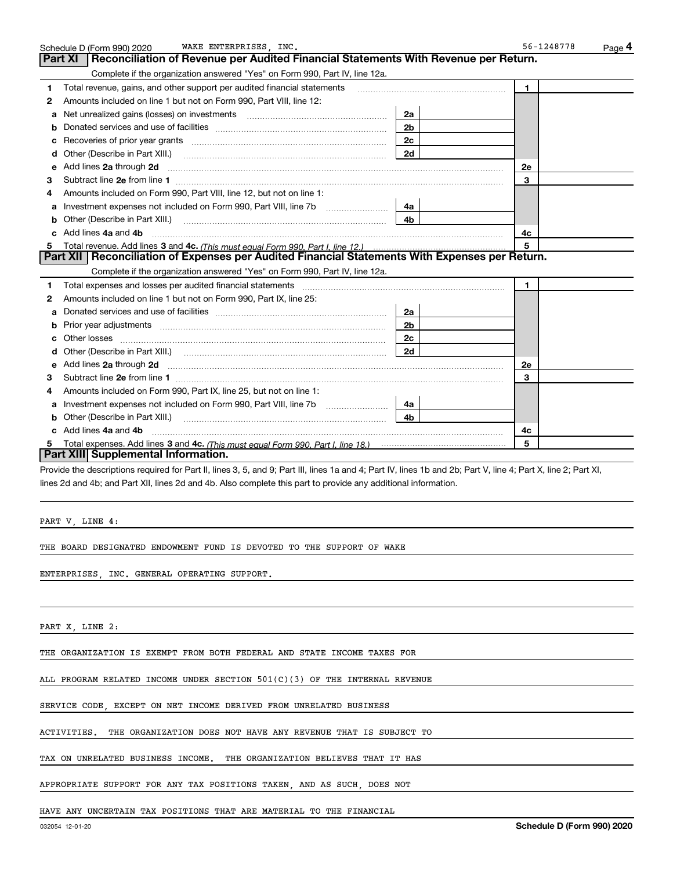|    | WAKE ENTERPRISES, INC.<br>Schedule D (Form 990) 2020                                                                                                                                                                                 |                | 56-1248778<br>$_{\text{Page}}$ 4 |
|----|--------------------------------------------------------------------------------------------------------------------------------------------------------------------------------------------------------------------------------------|----------------|----------------------------------|
|    | Part XI<br>Reconciliation of Revenue per Audited Financial Statements With Revenue per Return.                                                                                                                                       |                |                                  |
|    | Complete if the organization answered "Yes" on Form 990, Part IV, line 12a.                                                                                                                                                          |                |                                  |
| 1  | Total revenue, gains, and other support per audited financial statements                                                                                                                                                             |                | $\mathbf{1}$                     |
| 2  | Amounts included on line 1 but not on Form 990, Part VIII, line 12:                                                                                                                                                                  |                |                                  |
| a  | Net unrealized gains (losses) on investments [11] matter contracts and the unrealized gains (losses) on investments                                                                                                                  | 2a             |                                  |
|    |                                                                                                                                                                                                                                      | 2 <sub>b</sub> |                                  |
|    |                                                                                                                                                                                                                                      | 2c             |                                  |
| d  |                                                                                                                                                                                                                                      | 2d             |                                  |
| е  | Add lines 2a through 2d                                                                                                                                                                                                              |                | <b>2e</b>                        |
| з  |                                                                                                                                                                                                                                      |                | 3                                |
| 4  | Amounts included on Form 990, Part VIII, line 12, but not on line 1:                                                                                                                                                                 |                |                                  |
| a  |                                                                                                                                                                                                                                      | 4a             |                                  |
| b  |                                                                                                                                                                                                                                      | 4 <sub>b</sub> |                                  |
| C. | Add lines 4a and 4b                                                                                                                                                                                                                  |                | 4c                               |
|    |                                                                                                                                                                                                                                      |                | 5                                |
|    | Part XII   Reconciliation of Expenses per Audited Financial Statements With Expenses per Return.                                                                                                                                     |                |                                  |
|    | Complete if the organization answered "Yes" on Form 990, Part IV, line 12a.                                                                                                                                                          |                |                                  |
| 1  | Total expenses and losses per audited financial statements [11] [12] manuscription control expenses and losses per audited financial statements [12] [12] manuscription of the statements [12] manuscription of the statements       |                | 1.                               |
| 2  | Amounts included on line 1 but not on Form 990, Part IX, line 25:                                                                                                                                                                    |                |                                  |
| a  |                                                                                                                                                                                                                                      | 2a             |                                  |
| b  |                                                                                                                                                                                                                                      | 2 <sub>b</sub> |                                  |
|    | Other losses <b>with a contract the contract of the contract of the contract of the contract of the contract of the contract of the contract of the contract of the contract of the contract of the contract of the contract of </b> | 2c             |                                  |
| d  | Other (Describe in Part XIII.) (Contract and Contract and Chern Contract) (Chern Chern Chern Chern Chern Chern                                                                                                                       | 2d             |                                  |
| е  |                                                                                                                                                                                                                                      |                | <b>2e</b>                        |
| з  |                                                                                                                                                                                                                                      |                | 3                                |
| 4  | Amounts included on Form 990, Part IX, line 25, but not on line 1:                                                                                                                                                                   |                |                                  |
| a  | Investment expenses not included on Form 990, Part VIII, line 7b [100] [100] [100] [100] [100] [100] [100] [10                                                                                                                       | 4a l           |                                  |
|    | Other (Describe in Part XIII.)                                                                                                                                                                                                       | 4 <sub>b</sub> |                                  |
|    | Add lines 4a and 4b                                                                                                                                                                                                                  |                | 4c                               |
|    |                                                                                                                                                                                                                                      |                | 5                                |
|    | Part XIII Supplemental Information.                                                                                                                                                                                                  |                |                                  |

Provide the descriptions required for Part II, lines 3, 5, and 9; Part III, lines 1a and 4; Part IV, lines 1b and 2b; Part V, line 4; Part X, line 2; Part XI, lines 2d and 4b; and Part XII, lines 2d and 4b. Also complete this part to provide any additional information.

PART V, LINE 4:

THE BOARD DESIGNATED ENDOWMENT FUND IS DEVOTED TO THE SUPPORT OF WAKE

ENTERPRISES, INC. GENERAL OPERATING SUPPORT.

PART X, LINE 2:

THE ORGANIZATION IS EXEMPT FROM BOTH FEDERAL AND STATE INCOME TAXES FOR

ALL PROGRAM RELATED INCOME UNDER SECTION 501(C)(3) OF THE INTERNAL REVENUE

SERVICE CODE, EXCEPT ON NET INCOME DERIVED FROM UNRELATED BUSINESS

ACTIVITIES. THE ORGANIZATION DOES NOT HAVE ANY REVENUE THAT IS SUBJECT TO

TAX ON UNRELATED BUSINESS INCOME. THE ORGANIZATION BELIEVES THAT IT HAS

APPROPRIATE SUPPORT FOR ANY TAX POSITIONS TAKEN, AND AS SUCH, DOES NOT

HAVE ANY UNCERTAIN TAX POSITIONS THAT ARE MATERIAL TO THE FINANCIAL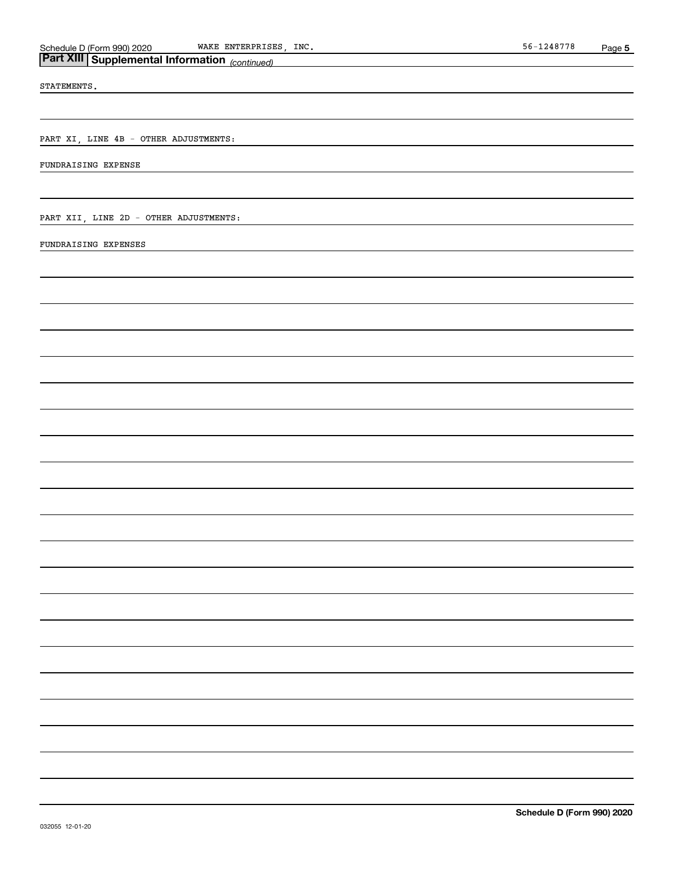*(continued)* **Part XIII Supplemental Information** 

#### STATEMENTS.

PART XI, LINE 4B - OTHER ADJUSTMENTS:

FUNDRAISING EXPENSE

PART XII, LINE 2D - OTHER ADJUSTMENTS:

FUNDRAISING EXPENSES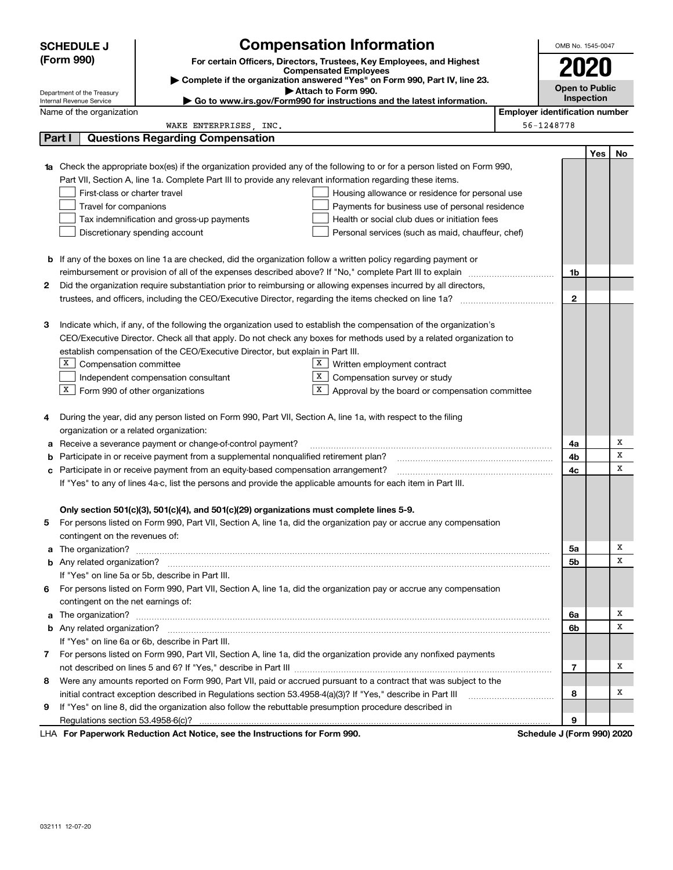|        | <b>SCHEDULE J</b>                       |                                                                                                                                                                                                                                                | <b>Compensation Information</b>                                                                            |                            | OMB No. 1545-0047                                   |     |    |  |  |
|--------|-----------------------------------------|------------------------------------------------------------------------------------------------------------------------------------------------------------------------------------------------------------------------------------------------|------------------------------------------------------------------------------------------------------------|----------------------------|-----------------------------------------------------|-----|----|--|--|
|        | (Form 990)                              |                                                                                                                                                                                                                                                | For certain Officers, Directors, Trustees, Key Employees, and Highest                                      |                            |                                                     |     |    |  |  |
|        |                                         |                                                                                                                                                                                                                                                | <b>Compensated Employees</b><br>Complete if the organization answered "Yes" on Form 990, Part IV, line 23. |                            | 2020                                                |     |    |  |  |
|        | Department of the Treasury              |                                                                                                                                                                                                                                                | Attach to Form 990.                                                                                        |                            | <b>Open to Public</b>                               |     |    |  |  |
|        | Internal Revenue Service                |                                                                                                                                                                                                                                                | Go to www.irs.gov/Form990 for instructions and the latest information.                                     |                            | Inspection<br><b>Employer identification number</b> |     |    |  |  |
|        | Name of the organization                |                                                                                                                                                                                                                                                |                                                                                                            |                            |                                                     |     |    |  |  |
| Part I |                                         | WAKE ENTERPRISES, INC.<br><b>Questions Regarding Compensation</b>                                                                                                                                                                              |                                                                                                            | 56-1248778                 |                                                     |     |    |  |  |
|        |                                         |                                                                                                                                                                                                                                                |                                                                                                            |                            |                                                     |     |    |  |  |
|        |                                         |                                                                                                                                                                                                                                                |                                                                                                            |                            |                                                     | Yes | No |  |  |
|        |                                         | <b>1a</b> Check the appropriate box(es) if the organization provided any of the following to or for a person listed on Form 990,<br>Part VII, Section A, line 1a. Complete Part III to provide any relevant information regarding these items. |                                                                                                            |                            |                                                     |     |    |  |  |
|        | First-class or charter travel           |                                                                                                                                                                                                                                                | Housing allowance or residence for personal use                                                            |                            |                                                     |     |    |  |  |
|        | Travel for companions                   |                                                                                                                                                                                                                                                | Payments for business use of personal residence                                                            |                            |                                                     |     |    |  |  |
|        |                                         | Tax indemnification and gross-up payments                                                                                                                                                                                                      | Health or social club dues or initiation fees                                                              |                            |                                                     |     |    |  |  |
|        |                                         | Discretionary spending account                                                                                                                                                                                                                 | Personal services (such as maid, chauffeur, chef)                                                          |                            |                                                     |     |    |  |  |
|        |                                         |                                                                                                                                                                                                                                                |                                                                                                            |                            |                                                     |     |    |  |  |
|        |                                         | <b>b</b> If any of the boxes on line 1a are checked, did the organization follow a written policy regarding payment or                                                                                                                         |                                                                                                            |                            |                                                     |     |    |  |  |
|        |                                         |                                                                                                                                                                                                                                                |                                                                                                            |                            | 1b                                                  |     |    |  |  |
| 2      |                                         | Did the organization require substantiation prior to reimbursing or allowing expenses incurred by all directors,                                                                                                                               |                                                                                                            |                            |                                                     |     |    |  |  |
|        |                                         |                                                                                                                                                                                                                                                |                                                                                                            |                            | $\mathbf{2}$                                        |     |    |  |  |
|        |                                         |                                                                                                                                                                                                                                                |                                                                                                            |                            |                                                     |     |    |  |  |
| з      |                                         | Indicate which, if any, of the following the organization used to establish the compensation of the organization's                                                                                                                             |                                                                                                            |                            |                                                     |     |    |  |  |
|        |                                         | CEO/Executive Director. Check all that apply. Do not check any boxes for methods used by a related organization to                                                                                                                             |                                                                                                            |                            |                                                     |     |    |  |  |
|        |                                         | establish compensation of the CEO/Executive Director, but explain in Part III.                                                                                                                                                                 |                                                                                                            |                            |                                                     |     |    |  |  |
|        | X<br>Compensation committee             |                                                                                                                                                                                                                                                | X  <br>Written employment contract                                                                         |                            |                                                     |     |    |  |  |
|        |                                         | Independent compensation consultant                                                                                                                                                                                                            | X  <br>Compensation survey or study                                                                        |                            |                                                     |     |    |  |  |
|        | $X$ Form 990 of other organizations     |                                                                                                                                                                                                                                                | X  <br>Approval by the board or compensation committee                                                     |                            |                                                     |     |    |  |  |
|        |                                         |                                                                                                                                                                                                                                                |                                                                                                            |                            |                                                     |     |    |  |  |
| 4      |                                         | During the year, did any person listed on Form 990, Part VII, Section A, line 1a, with respect to the filing                                                                                                                                   |                                                                                                            |                            |                                                     |     |    |  |  |
|        | organization or a related organization: |                                                                                                                                                                                                                                                |                                                                                                            |                            |                                                     |     |    |  |  |
| а      |                                         | Receive a severance payment or change-of-control payment?                                                                                                                                                                                      |                                                                                                            |                            | 4a                                                  |     | Х  |  |  |
| b      |                                         | Participate in or receive payment from a supplemental nonqualified retirement plan?                                                                                                                                                            |                                                                                                            |                            | 4b                                                  |     | x  |  |  |
| c      |                                         | Participate in or receive payment from an equity-based compensation arrangement?                                                                                                                                                               |                                                                                                            |                            | 4c                                                  |     | х  |  |  |
|        |                                         | If "Yes" to any of lines 4a-c, list the persons and provide the applicable amounts for each item in Part III.                                                                                                                                  |                                                                                                            |                            |                                                     |     |    |  |  |
|        |                                         |                                                                                                                                                                                                                                                |                                                                                                            |                            |                                                     |     |    |  |  |
|        |                                         | Only section 501(c)(3), 501(c)(4), and 501(c)(29) organizations must complete lines 5-9.                                                                                                                                                       |                                                                                                            |                            |                                                     |     |    |  |  |
|        |                                         | For persons listed on Form 990, Part VII, Section A, line 1a, did the organization pay or accrue any compensation                                                                                                                              |                                                                                                            |                            |                                                     |     |    |  |  |
|        | contingent on the revenues of:          |                                                                                                                                                                                                                                                |                                                                                                            |                            |                                                     |     |    |  |  |
|        |                                         | a The organization? <b>Entitation</b> and the organization?                                                                                                                                                                                    |                                                                                                            |                            | 5а                                                  |     | х  |  |  |
|        | <b>b</b> Any related organization?      |                                                                                                                                                                                                                                                |                                                                                                            |                            | 5b                                                  |     | X  |  |  |
|        |                                         | If "Yes" on line 5a or 5b, describe in Part III.                                                                                                                                                                                               |                                                                                                            |                            |                                                     |     |    |  |  |
| 6      |                                         | For persons listed on Form 990, Part VII, Section A, line 1a, did the organization pay or accrue any compensation                                                                                                                              |                                                                                                            |                            |                                                     |     |    |  |  |
|        | contingent on the net earnings of:      |                                                                                                                                                                                                                                                |                                                                                                            |                            |                                                     |     |    |  |  |
|        |                                         | a The organization? <b>Entitation</b> and the organization?                                                                                                                                                                                    |                                                                                                            |                            | 6a                                                  |     | х  |  |  |
|        | <b>b</b> Any related organization?      |                                                                                                                                                                                                                                                |                                                                                                            |                            | 6b                                                  |     | X  |  |  |
|        |                                         | If "Yes" on line 6a or 6b, describe in Part III.                                                                                                                                                                                               |                                                                                                            |                            |                                                     |     |    |  |  |
|        |                                         | 7 For persons listed on Form 990, Part VII, Section A, line 1a, did the organization provide any nonfixed payments                                                                                                                             |                                                                                                            |                            |                                                     |     |    |  |  |
|        |                                         |                                                                                                                                                                                                                                                |                                                                                                            |                            | 7                                                   |     | х  |  |  |
| 8      |                                         | Were any amounts reported on Form 990, Part VII, paid or accrued pursuant to a contract that was subject to the                                                                                                                                |                                                                                                            |                            |                                                     |     |    |  |  |
|        |                                         | initial contract exception described in Regulations section 53.4958-4(a)(3)? If "Yes," describe in Part III                                                                                                                                    |                                                                                                            |                            | 8                                                   |     | х  |  |  |
| 9      |                                         | If "Yes" on line 8, did the organization also follow the rebuttable presumption procedure described in                                                                                                                                         |                                                                                                            |                            |                                                     |     |    |  |  |
|        |                                         |                                                                                                                                                                                                                                                |                                                                                                            |                            | 9                                                   |     |    |  |  |
|        |                                         | LHA For Paperwork Reduction Act Notice, see the Instructions for Form 990.                                                                                                                                                                     |                                                                                                            | Schedule J (Form 990) 2020 |                                                     |     |    |  |  |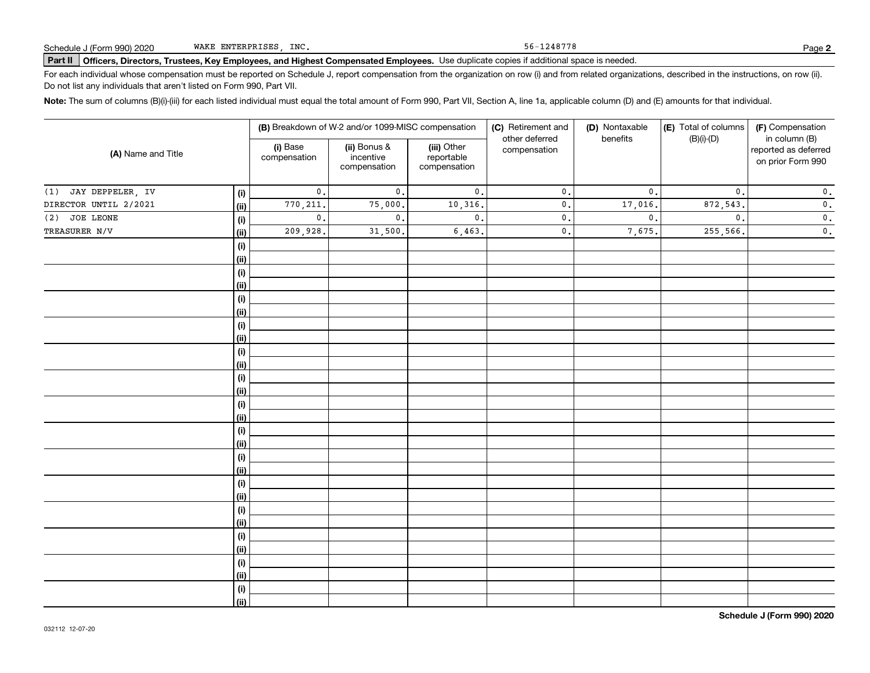56-1248778

## **Part II Officers, Directors, Trustees, Key Employees, and Highest Compensated Employees.**  Schedule J (Form 990) 2020 Page Use duplicate copies if additional space is needed.

For each individual whose compensation must be reported on Schedule J, report compensation from the organization on row (i) and from related organizations, described in the instructions, on row (ii). Do not list any individuals that aren't listed on Form 990, Part VII.

**Note:**  The sum of columns (B)(i)-(iii) for each listed individual must equal the total amount of Form 990, Part VII, Section A, line 1a, applicable column (D) and (E) amounts for that individual.

| (A) Name and Title      |      |                          | (B) Breakdown of W-2 and/or 1099-MISC compensation |                                           | (C) Retirement and             | (D) Nontaxable | (E) Total of columns | (F) Compensation                                           |
|-------------------------|------|--------------------------|----------------------------------------------------|-------------------------------------------|--------------------------------|----------------|----------------------|------------------------------------------------------------|
|                         |      | (i) Base<br>compensation | (ii) Bonus &<br>incentive<br>compensation          | (iii) Other<br>reportable<br>compensation | other deferred<br>compensation | benefits       | $(B)(i)-(D)$         | in column (B)<br>reported as deferred<br>on prior Form 990 |
| JAY DEPPELER, IV<br>(1) | (i)  | $\mathfrak o$ .          | $\mathbf{0}$ .                                     | $\mathbf 0$ .                             | $\mathbf 0$ .                  | $\mathbf{0}$   | $\mathbf{0}$ .       | $\mathbf 0$ .                                              |
| DIRECTOR UNTIL 2/2021   | (ii) | 770, 211.                | 75,000.                                            | 10,316.                                   | $\mathsf{o}\,.$                | 17,016.        | 872,543.             | $\mathbf 0$ .                                              |
| JOE LEONE<br>(2)        | (i)  | $\mathbf{0}$ .           | $\mathbf{0}$ .                                     | $\mathbf{0}$ .                            | $\mathsf{0}$ .                 | $\mathbf{0}$ . | $\mathbf{0}$ .       | $\mathbf 0$ .                                              |
| TREASURER N/V           | (ii) | 209,928.                 | 31,500.                                            | 6,463.                                    | $\mathsf{0}$ .                 | 7,675.         | 255,566.             | $\mathbf 0$ .                                              |
|                         | (i)  |                          |                                                    |                                           |                                |                |                      |                                                            |
|                         | (ii) |                          |                                                    |                                           |                                |                |                      |                                                            |
|                         | (i)  |                          |                                                    |                                           |                                |                |                      |                                                            |
|                         | (ii) |                          |                                                    |                                           |                                |                |                      |                                                            |
|                         | (i)  |                          |                                                    |                                           |                                |                |                      |                                                            |
|                         | (ii) |                          |                                                    |                                           |                                |                |                      |                                                            |
|                         | (i)  |                          |                                                    |                                           |                                |                |                      |                                                            |
|                         | (ii) |                          |                                                    |                                           |                                |                |                      |                                                            |
|                         | (i)  |                          |                                                    |                                           |                                |                |                      |                                                            |
|                         | (ii) |                          |                                                    |                                           |                                |                |                      |                                                            |
|                         | (i)  |                          |                                                    |                                           |                                |                |                      |                                                            |
|                         | (ii) |                          |                                                    |                                           |                                |                |                      |                                                            |
|                         | (i)  |                          |                                                    |                                           |                                |                |                      |                                                            |
|                         | (ii) |                          |                                                    |                                           |                                |                |                      |                                                            |
|                         | (i)  |                          |                                                    |                                           |                                |                |                      |                                                            |
|                         | (ii) |                          |                                                    |                                           |                                |                |                      |                                                            |
|                         | (i)  |                          |                                                    |                                           |                                |                |                      |                                                            |
|                         | (ii) |                          |                                                    |                                           |                                |                |                      |                                                            |
|                         | (i)  |                          |                                                    |                                           |                                |                |                      |                                                            |
|                         | (ii) |                          |                                                    |                                           |                                |                |                      |                                                            |
|                         | (i)  |                          |                                                    |                                           |                                |                |                      |                                                            |
|                         | (ii) |                          |                                                    |                                           |                                |                |                      |                                                            |
|                         | (i)  |                          |                                                    |                                           |                                |                |                      |                                                            |
|                         | (ii) |                          |                                                    |                                           |                                |                |                      |                                                            |
|                         | (i)  |                          |                                                    |                                           |                                |                |                      |                                                            |
|                         | (ii) |                          |                                                    |                                           |                                |                |                      |                                                            |
|                         | (i)  |                          |                                                    |                                           |                                |                |                      |                                                            |
|                         | (ii) |                          |                                                    |                                           |                                |                |                      |                                                            |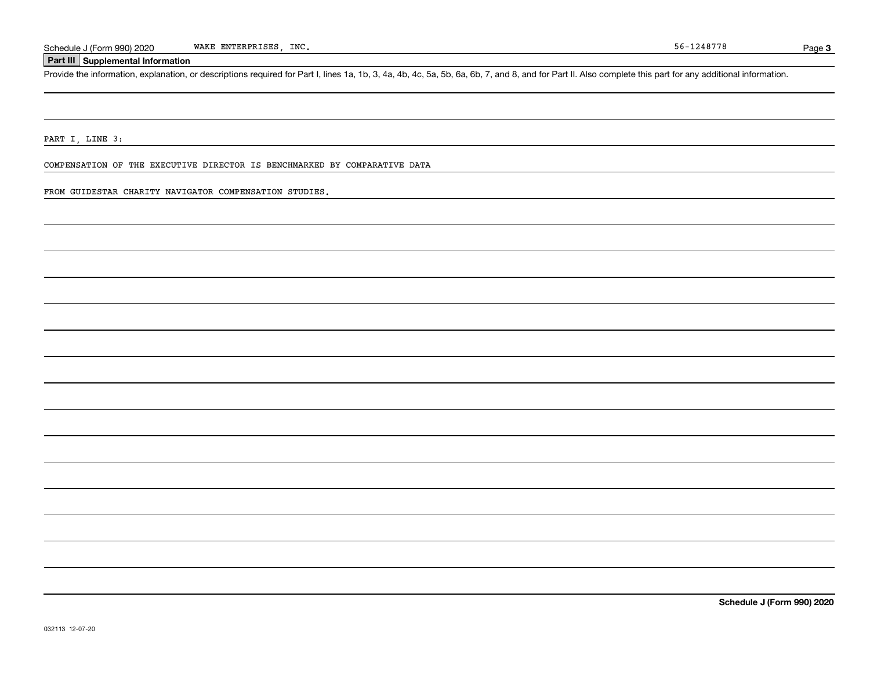### **Part III Supplemental Information**

Schedule J (Form 990) 2020 WAKE ENTERPRISES, INC.<br>Part III Supplemental Information<br>Provide the information, explanation, or descriptions required for Part I, lines 1a, 1b, 3, 4a, 4b, 4c, 5a, 5b, 6a, 6b, 7, and 8, and for

PART I, LINE 3:

COMPENSATION OF THE EXECUTIVE DIRECTOR IS BENCHMARKED BY COMPARATIVE DATA

FROM GUIDESTAR CHARITY NAVIGATOR COMPENSATION STUDIES.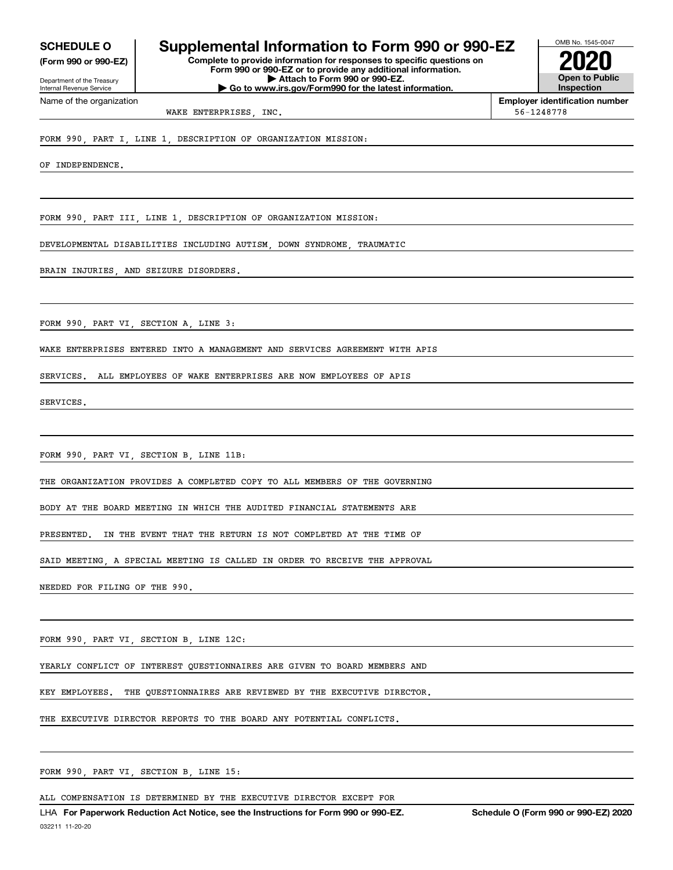**(Form 990 or 990-EZ)**

Department of the Treasury Internal Revenue Service Name of the organization

### **SCHEDULE O Supplemental Information to Form 990 or 990-EZ**

**Complete to provide information for responses to specific questions on Form 990 or 990-EZ or to provide any additional information. | Attach to Form 990 or 990-EZ. | Go to www.irs.gov/Form990 for the latest information.**



**Employer identification number**

WAKE ENTERPRISES INC. THE SERVICE OF SERVICE SERVICE SERVICE SERVICE SERVICE SERVICE SERVICE SERVICE SERVICE S

FORM 990, PART I, LINE 1, DESCRIPTION OF ORGANIZATION MISSION:

OF INDEPENDENCE.

FORM 990, PART III, LINE 1, DESCRIPTION OF ORGANIZATION MISSION:

DEVELOPMENTAL DISABILITIES INCLUDING AUTISM, DOWN SYNDROME, TRAUMATIC

BRAIN INJURIES, AND SEIZURE DISORDERS.

FORM 990, PART VI, SECTION A, LINE 3:

WAKE ENTERPRISES ENTERED INTO A MANAGEMENT AND SERVICES AGREEMENT WITH APIS

SERVICES. ALL EMPLOYEES OF WAKE ENTERPRISES ARE NOW EMPLOYEES OF APIS

SERVICES.

FORM 990, PART VI, SECTION B, LINE 11B:

THE ORGANIZATION PROVIDES A COMPLETED COPY TO ALL MEMBERS OF THE GOVERNING

BODY AT THE BOARD MEETING IN WHICH THE AUDITED FINANCIAL STATEMENTS ARE

PRESENTED. IN THE EVENT THAT THE RETURN IS NOT COMPLETED AT THE TIME OF

SAID MEETING, A SPECIAL MEETING IS CALLED IN ORDER TO RECEIVE THE APPROVAL

NEEDED FOR FILING OF THE 990.

FORM 990, PART VI, SECTION B, LINE 12C:

YEARLY CONFLICT OF INTEREST QUESTIONNAIRES ARE GIVEN TO BOARD MEMBERS AND

KEY EMPLOYEES. THE QUESTIONNAIRES ARE REVIEWED BY THE EXECUTIVE DIRECTOR.

THE EXECUTIVE DIRECTOR REPORTS TO THE BOARD ANY POTENTIAL CONFLICTS.

FORM 990, PART VI, SECTION B, LINE 15:

ALL COMPENSATION IS DETERMINED BY THE EXECUTIVE DIRECTOR EXCEPT FOR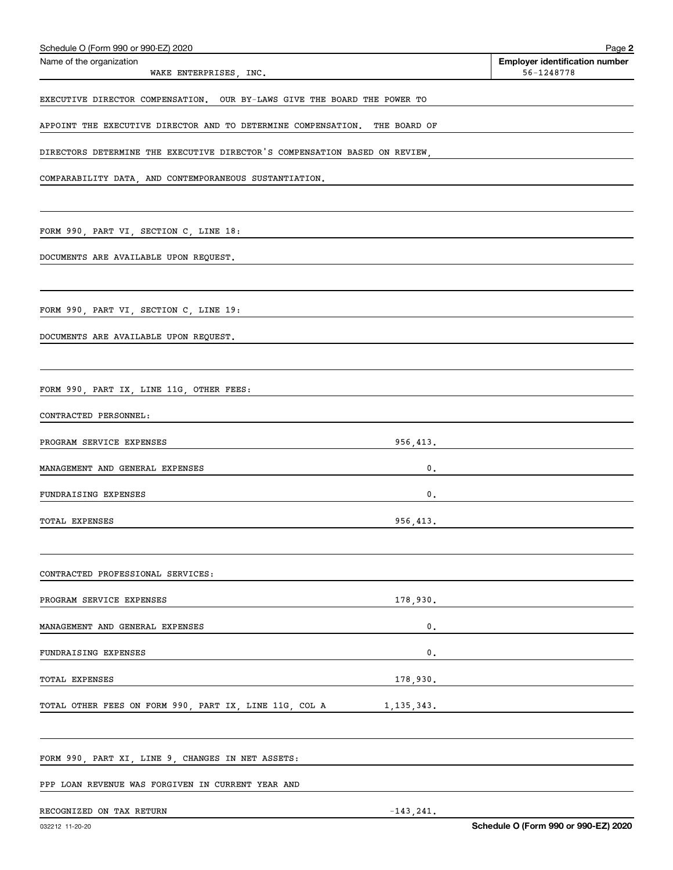| Schedule O (Form 990 or 990-EZ) 2020                                       |                | Page 2                                              |
|----------------------------------------------------------------------------|----------------|-----------------------------------------------------|
| Name of the organization<br>WAKE ENTERPRISES, INC.                         |                | <b>Employer identification number</b><br>56-1248778 |
| EXECUTIVE DIRECTOR COMPENSATION. OUR BY-LAWS GIVE THE BOARD THE POWER TO   |                |                                                     |
| APPOINT THE EXECUTIVE DIRECTOR AND TO DETERMINE COMPENSATION. THE BOARD OF |                |                                                     |
| DIRECTORS DETERMINE THE EXECUTIVE DIRECTOR'S COMPENSATION BASED ON REVIEW, |                |                                                     |
| COMPARABILITY DATA, AND CONTEMPORANEOUS SUSTANTIATION.                     |                |                                                     |
|                                                                            |                |                                                     |
| FORM 990, PART VI, SECTION C, LINE 18:                                     |                |                                                     |
| DOCUMENTS ARE AVAILABLE UPON REQUEST.                                      |                |                                                     |
|                                                                            |                |                                                     |
| FORM 990, PART VI, SECTION C, LINE 19:                                     |                |                                                     |
| DOCUMENTS ARE AVAILABLE UPON REQUEST.                                      |                |                                                     |
|                                                                            |                |                                                     |
| FORM 990, PART IX, LINE 11G, OTHER FEES:                                   |                |                                                     |
| CONTRACTED PERSONNEL:                                                      |                |                                                     |
| PROGRAM SERVICE EXPENSES                                                   | 956,413.       |                                                     |
| MANAGEMENT AND GENERAL EXPENSES                                            | $\mathbf{0}$ . |                                                     |
| FUNDRAISING EXPENSES                                                       | $\mathbf{0}$ . |                                                     |
| TOTAL EXPENSES                                                             | 956,413.       |                                                     |
|                                                                            |                |                                                     |
| CONTRACTED PROFESSIONAL SERVICES:                                          |                |                                                     |
| PROGRAM SERVICE EXPENSES                                                   | 178,930.       |                                                     |
| MANAGEMENT AND GENERAL EXPENSES                                            | 0.             |                                                     |
| FUNDRAISING EXPENSES                                                       | 0.             |                                                     |
| TOTAL EXPENSES                                                             | 178,930.       |                                                     |
| TOTAL OTHER FEES ON FORM 990, PART IX, LINE 11G, COL A                     | 1,135,343.     |                                                     |
|                                                                            |                |                                                     |
| FORM 990, PART XI, LINE 9, CHANGES IN NET ASSETS:                          |                |                                                     |
| PPP LOAN REVENUE WAS FORGIVEN IN CURRENT YEAR AND                          |                |                                                     |
| RECOGNIZED ON TAX RETURN                                                   | $-143, 241.$   |                                                     |

**Schedule O (Form 990 or 990-EZ) 2020**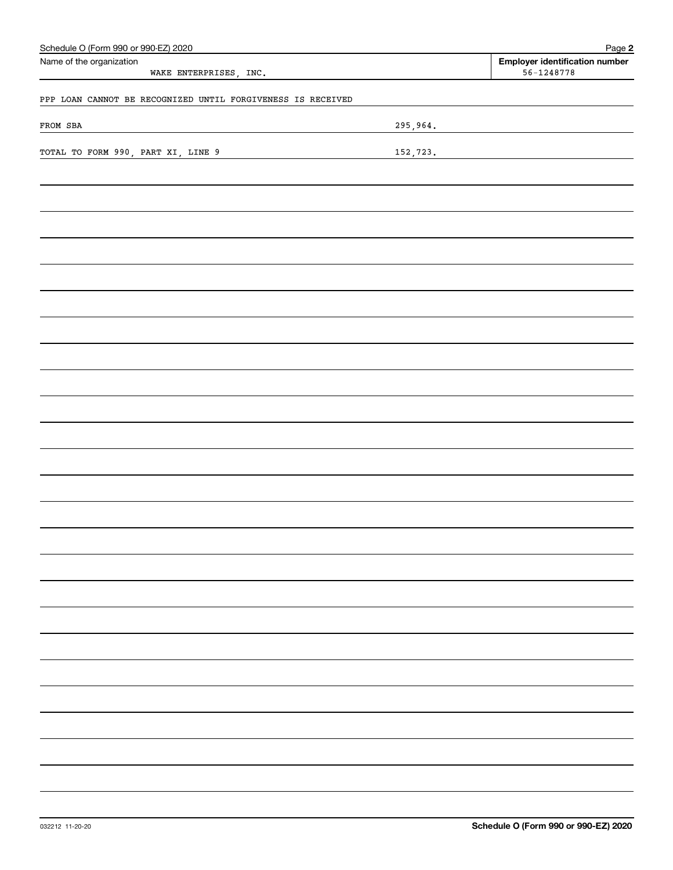| Schedule O (Form 990 or 990-EZ) 2020                        |          | Page 2                                                  |
|-------------------------------------------------------------|----------|---------------------------------------------------------|
| Name of the organization<br>WAKE ENTERPRISES, INC.          |          | <b>Employer identification number</b><br>$56 - 1248778$ |
| PPP LOAN CANNOT BE RECOGNIZED UNTIL FORGIVENESS IS RECEIVED |          |                                                         |
| FROM SBA                                                    | 295,964. |                                                         |
| TOTAL TO FORM 990, PART XI, LINE 9                          | 152,723. |                                                         |
|                                                             |          |                                                         |
|                                                             |          |                                                         |
|                                                             |          |                                                         |
|                                                             |          |                                                         |
|                                                             |          |                                                         |
|                                                             |          |                                                         |
|                                                             |          |                                                         |
|                                                             |          |                                                         |
|                                                             |          |                                                         |
|                                                             |          |                                                         |
|                                                             |          |                                                         |
|                                                             |          |                                                         |
|                                                             |          |                                                         |
|                                                             |          |                                                         |
|                                                             |          |                                                         |
|                                                             |          |                                                         |
|                                                             |          |                                                         |
|                                                             |          |                                                         |
|                                                             |          |                                                         |
|                                                             |          |                                                         |
|                                                             |          |                                                         |
|                                                             |          |                                                         |
|                                                             |          |                                                         |
|                                                             |          |                                                         |
|                                                             |          |                                                         |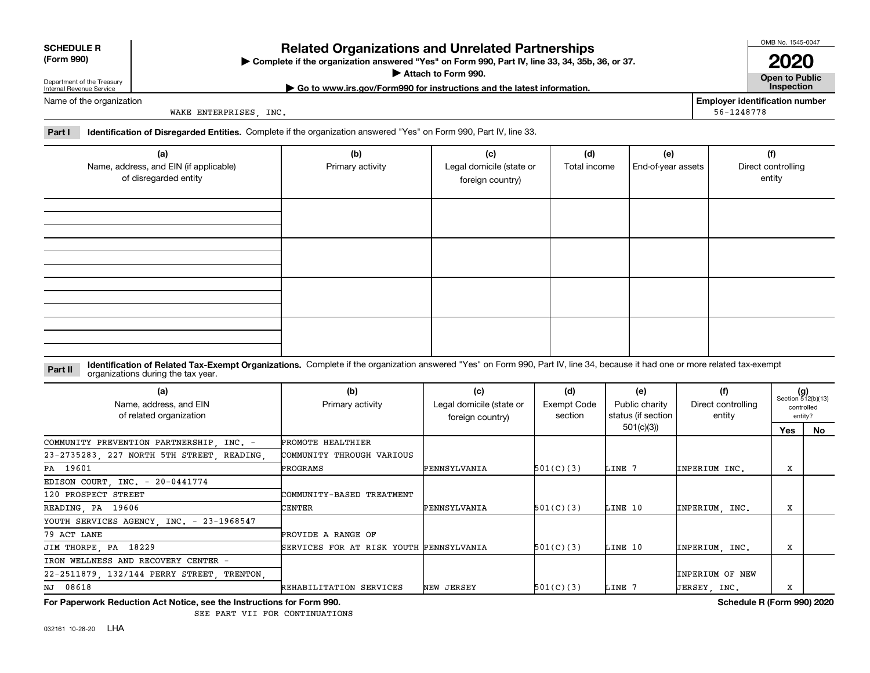| <b>SCHEDULE R</b> |
|-------------------|
|                   |

#### **(Form 990)**

### **Related Organizations and Unrelated Partnerships**

**Complete if the organization answered "Yes" on Form 990, Part IV, line 33, 34, 35b, 36, or 37.** |

**Attach to Form 990.**  |

**2020**

OMB No. 1545-0047

**Open to Public | Go to www.irs.gov/Form990 for instructions and the latest information. Inspection**

Department of the Treasury Internal Revenue Service Name of the organization

WAKE ENTERPRISES, INC.

**Employer identification number** 56-1248778

**Part I Identification of Disregarded Entities.**  Complete if the organization answered "Yes" on Form 990, Part IV, line 33.

| (a)<br>Name, address, and EIN (if applicable)<br>of disregarded entity | (b)<br>Primary activity | (c)<br>Legal domicile (state or<br>foreign country) | (d)<br>Total income | (e)<br>End-of-year assets | (f)<br>Direct controlling<br>entity |
|------------------------------------------------------------------------|-------------------------|-----------------------------------------------------|---------------------|---------------------------|-------------------------------------|
|                                                                        |                         |                                                     |                     |                           |                                     |
|                                                                        |                         |                                                     |                     |                           |                                     |
|                                                                        |                         |                                                     |                     |                           |                                     |
|                                                                        |                         |                                                     |                     |                           |                                     |

**Identification of Related Tax-Exempt Organizations.** Complete if the organization answered "Yes" on Form 990, Part IV, line 34, because it had one or more related tax-exempt **Part II** organizations during the tax year.

| (a)<br>Name, address, and EIN<br>of related organization | (b)<br>Primary activity                 | (c)<br>Legal domicile (state or<br>foreign country) | (d)<br>Exempt Code<br>section | (e)<br>Public charity<br>status (if section | (f)<br>Direct controlling<br>entity | $(g)$<br>Section 512(b)(13)<br>controlled<br>entity? |     |
|----------------------------------------------------------|-----------------------------------------|-----------------------------------------------------|-------------------------------|---------------------------------------------|-------------------------------------|------------------------------------------------------|-----|
|                                                          |                                         |                                                     |                               | 501(c)(3))                                  |                                     | Yes                                                  | No. |
| COMMUNITY PREVENTION PARTNERSHIP, INC. -                 | PROMOTE HEALTHIER                       |                                                     |                               |                                             |                                     |                                                      |     |
| 23-2735283, 227 NORTH 5TH STREET, READING,               | COMMUNITY THROUGH VARIOUS               |                                                     |                               |                                             |                                     |                                                      |     |
| PA 19601                                                 | PROGRAMS                                | PENNSYLVANIA                                        | 501(C)(3)                     | LINE 7                                      | INPERIUM INC.                       | x                                                    |     |
| EDISON COURT, INC. $-20-0441774$                         |                                         |                                                     |                               |                                             |                                     |                                                      |     |
| 120 PROSPECT STREET                                      | COMMUNITY-BASED TREATMENT               |                                                     |                               |                                             |                                     |                                                      |     |
| READING, PA 19606                                        | CENTER                                  | PENNSYLVANIA                                        | 501(C)(3)                     | LINE 10                                     | INPERIUM, INC.                      | x                                                    |     |
| YOUTH SERVICES AGENCY, INC. - 23-1968547                 |                                         |                                                     |                               |                                             |                                     |                                                      |     |
| 79 ACT LANE                                              | PROVIDE A RANGE OF                      |                                                     |                               |                                             |                                     |                                                      |     |
| JIM THORPE, PA 18229                                     | SERVICES FOR AT RISK YOUTH PENNSYLVANIA |                                                     | 501(C)(3)                     | LINE 10                                     | INPERIUM, INC.                      | х                                                    |     |
| IRON WELLNESS AND RECOVERY CENTER -                      |                                         |                                                     |                               |                                             |                                     |                                                      |     |
| 22-2511879, 132/144 PERRY STREET, TRENTON,               |                                         |                                                     |                               |                                             | <b>INPERIUM OF NEW</b>              |                                                      |     |
| NJ 08618                                                 | REHABILITATION SERVICES                 | NEW JERSEY                                          | 501(C)(3)                     | LINE 7                                      | JERSEY, INC.                        | х                                                    |     |

**For Paperwork Reduction Act Notice, see the Instructions for Form 990. Schedule R (Form 990) 2020**

SEE PART VII FOR CONTINUATIONS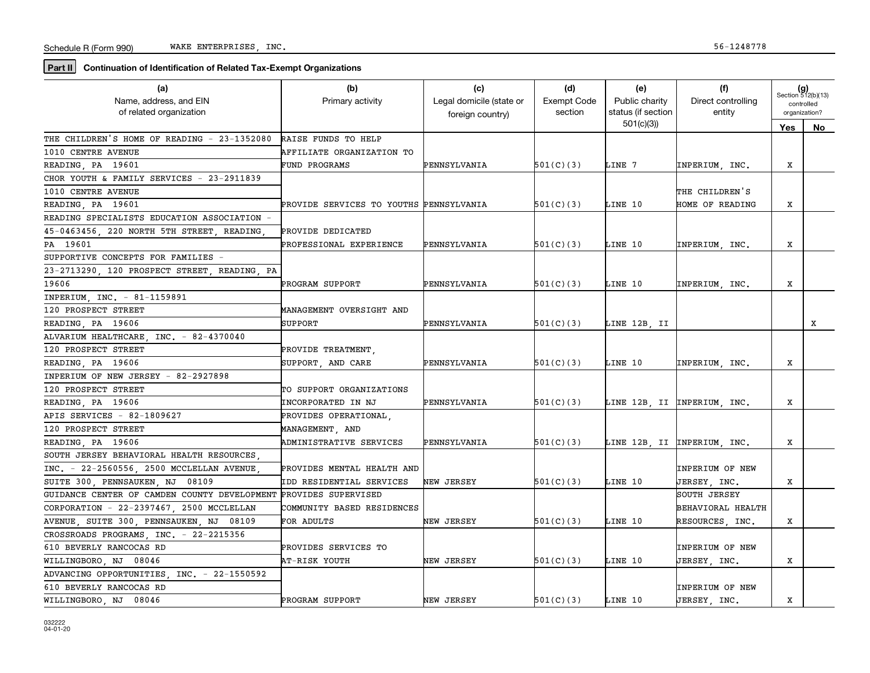**Part II** Continuation of Identification of Related Tax-Exempt Organizations

| (b)<br>(d)<br>(e)<br>(f)<br>(a)<br>(c)<br>$(g)$<br>Section 512(b)(13)<br>Direct controlling<br>Name, address, and EIN<br>Legal domicile (state or<br><b>Exempt Code</b><br>Public charity<br>Primary activity<br>controlled<br>status (if section<br>of related organization<br>section<br>entity<br>organization?<br>foreign country)<br>501(c)(3)<br>Yes<br>No<br>THE CHILDREN'S HOME OF READING - 23-1352080<br>RAISE FUNDS TO HELP<br>1010 CENTRE AVENUE<br>AFFILIATE ORGANIZATION TO<br>READING, PA 19601<br>501(C)(3)<br>LINE 7<br>FUND PROGRAMS<br>PENNSYLVANIA<br>INPERIUM, INC.<br>х<br>CHOR YOUTH & FAMILY SERVICES - 23-2911839<br>1010 CENTRE AVENUE<br>THE CHILDREN'S<br>READING PA 19601<br>501(C)(3)<br>LINE 10<br>HOME OF READING<br>PROVIDE SERVICES TO YOUTHS PENNSYLVANIA<br>х<br>READING SPECIALISTS EDUCATION ASSOCIATION<br>45-0463456, 220 NORTH 5TH STREET, READING<br>PROVIDE DEDICATED<br>PA 19601<br>LINE 10<br>PROFESSIONAL EXPERIENCE<br>PENNSYLVANIA<br>501(C)(3)<br>INPERIUM, INC.<br>Х<br>SUPPORTIVE CONCEPTS FOR FAMILIES -<br>23-2713290, 120 PROSPECT STREET, READING, PA<br>19606<br>LINE 10<br>Х<br>PENNSYLVANIA<br>501(C)(3)<br>INPERIUM, INC.<br>PROGRAM SUPPORT<br>INPERIUM, INC. - 81-1159891<br>120 PROSPECT STREET<br>MANAGEMENT OVERSIGHT AND<br>READING, PA 19606<br>SUPPORT<br>PENNSYLVANIA<br>501(C)(3)<br>LINE 12B, II<br>x<br>ALVARIUM HEALTHCARE, INC. - 82-4370040<br>120 PROSPECT STREET<br>PROVIDE TREATMENT.<br>READING PA 19606<br>LINE 10<br>SUPPORT, AND CARE<br>PENNSYLVANIA<br>501(C)(3)<br>INPERIUM, INC.<br>Х<br>INPERIUM OF NEW JERSEY - 82-2927898<br>120 PROSPECT STREET<br>TO SUPPORT ORGANIZATIONS<br>READING, PA 19606<br>INCORPORATED IN NJ<br>PENNSYLVANIA<br>501(C)(3)<br>LINE 12B, II  INPERIUM, INC.<br>х<br>APIS SERVICES - 82-1809627<br>PROVIDES OPERATIONAL,<br>120 PROSPECT STREET<br>MANAGEMENT, AND<br>READING, PA 19606<br>ADMINISTRATIVE SERVICES<br>PENNSYLVANIA<br>501(C)(3)<br>x<br>LINE 12B, II  INPERIUM, INC.<br>SOUTH JERSEY BEHAVIORAL HEALTH RESOURCES<br>INC. - 22-2560556, 2500 MCCLELLAN AVENUE<br>PROVIDES MENTAL HEALTH AND<br><b>INPERIUM OF NEW</b><br>SUITE 300, PENNSAUKEN, NJ 08109<br>501(C)(3)<br>LINE 10<br>X<br>IDD RESIDENTIAL SERVICES<br>NEW JERSEY<br>JERSEY, INC.<br>GUIDANCE CENTER OF CAMDEN COUNTY DEVELOPMENT<br>PROVIDES SUPERVISED<br>SOUTH JERSEY<br>CORPORATION - 22-2397467, 2500 MCCLELLAN<br>COMMUNITY BASED RESIDENCES<br>BEHAVIORAL HEALTH<br>AVENUE, SUITE 300, PENNSAUKEN, NJ 08109<br>501(C)(3)<br>LINE 10<br>FOR ADULTS<br>NEW JERSEY<br>RESOURCES, INC.<br>Х<br>CROSSROADS PROGRAMS, INC. - 22-2215356<br>610 BEVERLY RANCOCAS RD<br>PROVIDES SERVICES TO<br><b>INPERIUM OF NEW</b><br>WILLINGBORO, NJ 08046<br>NEW JERSEY<br>501(C)(3)<br>LINE 10<br>JERSEY, INC.<br>Х<br>AT-RISK YOUTH<br>ADVANCING OPPORTUNITIES, INC. - 22-1550592<br>610 BEVERLY RANCOCAS RD<br><b>INPERIUM OF NEW</b><br>WILLINGBORO NJ 08046<br>NEW JERSEY<br>501(C)(3)<br>LINE 10<br>JERSEY, INC.<br>x<br>PROGRAM SUPPORT |  |  |  |  |
|----------------------------------------------------------------------------------------------------------------------------------------------------------------------------------------------------------------------------------------------------------------------------------------------------------------------------------------------------------------------------------------------------------------------------------------------------------------------------------------------------------------------------------------------------------------------------------------------------------------------------------------------------------------------------------------------------------------------------------------------------------------------------------------------------------------------------------------------------------------------------------------------------------------------------------------------------------------------------------------------------------------------------------------------------------------------------------------------------------------------------------------------------------------------------------------------------------------------------------------------------------------------------------------------------------------------------------------------------------------------------------------------------------------------------------------------------------------------------------------------------------------------------------------------------------------------------------------------------------------------------------------------------------------------------------------------------------------------------------------------------------------------------------------------------------------------------------------------------------------------------------------------------------------------------------------------------------------------------------------------------------------------------------------------------------------------------------------------------------------------------------------------------------------------------------------------------------------------------------------------------------------------------------------------------------------------------------------------------------------------------------------------------------------------------------------------------------------------------------------------------------------------------------------------------------------------------------------------------------------------------------------------------------------------------------------------------------------------------------------------------------------------------------------------------------------------------------------------------------------------------------------------------------------------------------------------------------------------------------------------------------------------------------|--|--|--|--|
|                                                                                                                                                                                                                                                                                                                                                                                                                                                                                                                                                                                                                                                                                                                                                                                                                                                                                                                                                                                                                                                                                                                                                                                                                                                                                                                                                                                                                                                                                                                                                                                                                                                                                                                                                                                                                                                                                                                                                                                                                                                                                                                                                                                                                                                                                                                                                                                                                                                                                                                                                                                                                                                                                                                                                                                                                                                                                                                                                                                                                                  |  |  |  |  |
|                                                                                                                                                                                                                                                                                                                                                                                                                                                                                                                                                                                                                                                                                                                                                                                                                                                                                                                                                                                                                                                                                                                                                                                                                                                                                                                                                                                                                                                                                                                                                                                                                                                                                                                                                                                                                                                                                                                                                                                                                                                                                                                                                                                                                                                                                                                                                                                                                                                                                                                                                                                                                                                                                                                                                                                                                                                                                                                                                                                                                                  |  |  |  |  |
|                                                                                                                                                                                                                                                                                                                                                                                                                                                                                                                                                                                                                                                                                                                                                                                                                                                                                                                                                                                                                                                                                                                                                                                                                                                                                                                                                                                                                                                                                                                                                                                                                                                                                                                                                                                                                                                                                                                                                                                                                                                                                                                                                                                                                                                                                                                                                                                                                                                                                                                                                                                                                                                                                                                                                                                                                                                                                                                                                                                                                                  |  |  |  |  |
|                                                                                                                                                                                                                                                                                                                                                                                                                                                                                                                                                                                                                                                                                                                                                                                                                                                                                                                                                                                                                                                                                                                                                                                                                                                                                                                                                                                                                                                                                                                                                                                                                                                                                                                                                                                                                                                                                                                                                                                                                                                                                                                                                                                                                                                                                                                                                                                                                                                                                                                                                                                                                                                                                                                                                                                                                                                                                                                                                                                                                                  |  |  |  |  |
|                                                                                                                                                                                                                                                                                                                                                                                                                                                                                                                                                                                                                                                                                                                                                                                                                                                                                                                                                                                                                                                                                                                                                                                                                                                                                                                                                                                                                                                                                                                                                                                                                                                                                                                                                                                                                                                                                                                                                                                                                                                                                                                                                                                                                                                                                                                                                                                                                                                                                                                                                                                                                                                                                                                                                                                                                                                                                                                                                                                                                                  |  |  |  |  |
|                                                                                                                                                                                                                                                                                                                                                                                                                                                                                                                                                                                                                                                                                                                                                                                                                                                                                                                                                                                                                                                                                                                                                                                                                                                                                                                                                                                                                                                                                                                                                                                                                                                                                                                                                                                                                                                                                                                                                                                                                                                                                                                                                                                                                                                                                                                                                                                                                                                                                                                                                                                                                                                                                                                                                                                                                                                                                                                                                                                                                                  |  |  |  |  |
|                                                                                                                                                                                                                                                                                                                                                                                                                                                                                                                                                                                                                                                                                                                                                                                                                                                                                                                                                                                                                                                                                                                                                                                                                                                                                                                                                                                                                                                                                                                                                                                                                                                                                                                                                                                                                                                                                                                                                                                                                                                                                                                                                                                                                                                                                                                                                                                                                                                                                                                                                                                                                                                                                                                                                                                                                                                                                                                                                                                                                                  |  |  |  |  |
|                                                                                                                                                                                                                                                                                                                                                                                                                                                                                                                                                                                                                                                                                                                                                                                                                                                                                                                                                                                                                                                                                                                                                                                                                                                                                                                                                                                                                                                                                                                                                                                                                                                                                                                                                                                                                                                                                                                                                                                                                                                                                                                                                                                                                                                                                                                                                                                                                                                                                                                                                                                                                                                                                                                                                                                                                                                                                                                                                                                                                                  |  |  |  |  |
|                                                                                                                                                                                                                                                                                                                                                                                                                                                                                                                                                                                                                                                                                                                                                                                                                                                                                                                                                                                                                                                                                                                                                                                                                                                                                                                                                                                                                                                                                                                                                                                                                                                                                                                                                                                                                                                                                                                                                                                                                                                                                                                                                                                                                                                                                                                                                                                                                                                                                                                                                                                                                                                                                                                                                                                                                                                                                                                                                                                                                                  |  |  |  |  |
|                                                                                                                                                                                                                                                                                                                                                                                                                                                                                                                                                                                                                                                                                                                                                                                                                                                                                                                                                                                                                                                                                                                                                                                                                                                                                                                                                                                                                                                                                                                                                                                                                                                                                                                                                                                                                                                                                                                                                                                                                                                                                                                                                                                                                                                                                                                                                                                                                                                                                                                                                                                                                                                                                                                                                                                                                                                                                                                                                                                                                                  |  |  |  |  |
|                                                                                                                                                                                                                                                                                                                                                                                                                                                                                                                                                                                                                                                                                                                                                                                                                                                                                                                                                                                                                                                                                                                                                                                                                                                                                                                                                                                                                                                                                                                                                                                                                                                                                                                                                                                                                                                                                                                                                                                                                                                                                                                                                                                                                                                                                                                                                                                                                                                                                                                                                                                                                                                                                                                                                                                                                                                                                                                                                                                                                                  |  |  |  |  |
|                                                                                                                                                                                                                                                                                                                                                                                                                                                                                                                                                                                                                                                                                                                                                                                                                                                                                                                                                                                                                                                                                                                                                                                                                                                                                                                                                                                                                                                                                                                                                                                                                                                                                                                                                                                                                                                                                                                                                                                                                                                                                                                                                                                                                                                                                                                                                                                                                                                                                                                                                                                                                                                                                                                                                                                                                                                                                                                                                                                                                                  |  |  |  |  |
|                                                                                                                                                                                                                                                                                                                                                                                                                                                                                                                                                                                                                                                                                                                                                                                                                                                                                                                                                                                                                                                                                                                                                                                                                                                                                                                                                                                                                                                                                                                                                                                                                                                                                                                                                                                                                                                                                                                                                                                                                                                                                                                                                                                                                                                                                                                                                                                                                                                                                                                                                                                                                                                                                                                                                                                                                                                                                                                                                                                                                                  |  |  |  |  |
|                                                                                                                                                                                                                                                                                                                                                                                                                                                                                                                                                                                                                                                                                                                                                                                                                                                                                                                                                                                                                                                                                                                                                                                                                                                                                                                                                                                                                                                                                                                                                                                                                                                                                                                                                                                                                                                                                                                                                                                                                                                                                                                                                                                                                                                                                                                                                                                                                                                                                                                                                                                                                                                                                                                                                                                                                                                                                                                                                                                                                                  |  |  |  |  |
|                                                                                                                                                                                                                                                                                                                                                                                                                                                                                                                                                                                                                                                                                                                                                                                                                                                                                                                                                                                                                                                                                                                                                                                                                                                                                                                                                                                                                                                                                                                                                                                                                                                                                                                                                                                                                                                                                                                                                                                                                                                                                                                                                                                                                                                                                                                                                                                                                                                                                                                                                                                                                                                                                                                                                                                                                                                                                                                                                                                                                                  |  |  |  |  |
|                                                                                                                                                                                                                                                                                                                                                                                                                                                                                                                                                                                                                                                                                                                                                                                                                                                                                                                                                                                                                                                                                                                                                                                                                                                                                                                                                                                                                                                                                                                                                                                                                                                                                                                                                                                                                                                                                                                                                                                                                                                                                                                                                                                                                                                                                                                                                                                                                                                                                                                                                                                                                                                                                                                                                                                                                                                                                                                                                                                                                                  |  |  |  |  |
|                                                                                                                                                                                                                                                                                                                                                                                                                                                                                                                                                                                                                                                                                                                                                                                                                                                                                                                                                                                                                                                                                                                                                                                                                                                                                                                                                                                                                                                                                                                                                                                                                                                                                                                                                                                                                                                                                                                                                                                                                                                                                                                                                                                                                                                                                                                                                                                                                                                                                                                                                                                                                                                                                                                                                                                                                                                                                                                                                                                                                                  |  |  |  |  |
|                                                                                                                                                                                                                                                                                                                                                                                                                                                                                                                                                                                                                                                                                                                                                                                                                                                                                                                                                                                                                                                                                                                                                                                                                                                                                                                                                                                                                                                                                                                                                                                                                                                                                                                                                                                                                                                                                                                                                                                                                                                                                                                                                                                                                                                                                                                                                                                                                                                                                                                                                                                                                                                                                                                                                                                                                                                                                                                                                                                                                                  |  |  |  |  |
|                                                                                                                                                                                                                                                                                                                                                                                                                                                                                                                                                                                                                                                                                                                                                                                                                                                                                                                                                                                                                                                                                                                                                                                                                                                                                                                                                                                                                                                                                                                                                                                                                                                                                                                                                                                                                                                                                                                                                                                                                                                                                                                                                                                                                                                                                                                                                                                                                                                                                                                                                                                                                                                                                                                                                                                                                                                                                                                                                                                                                                  |  |  |  |  |
|                                                                                                                                                                                                                                                                                                                                                                                                                                                                                                                                                                                                                                                                                                                                                                                                                                                                                                                                                                                                                                                                                                                                                                                                                                                                                                                                                                                                                                                                                                                                                                                                                                                                                                                                                                                                                                                                                                                                                                                                                                                                                                                                                                                                                                                                                                                                                                                                                                                                                                                                                                                                                                                                                                                                                                                                                                                                                                                                                                                                                                  |  |  |  |  |
|                                                                                                                                                                                                                                                                                                                                                                                                                                                                                                                                                                                                                                                                                                                                                                                                                                                                                                                                                                                                                                                                                                                                                                                                                                                                                                                                                                                                                                                                                                                                                                                                                                                                                                                                                                                                                                                                                                                                                                                                                                                                                                                                                                                                                                                                                                                                                                                                                                                                                                                                                                                                                                                                                                                                                                                                                                                                                                                                                                                                                                  |  |  |  |  |
|                                                                                                                                                                                                                                                                                                                                                                                                                                                                                                                                                                                                                                                                                                                                                                                                                                                                                                                                                                                                                                                                                                                                                                                                                                                                                                                                                                                                                                                                                                                                                                                                                                                                                                                                                                                                                                                                                                                                                                                                                                                                                                                                                                                                                                                                                                                                                                                                                                                                                                                                                                                                                                                                                                                                                                                                                                                                                                                                                                                                                                  |  |  |  |  |
|                                                                                                                                                                                                                                                                                                                                                                                                                                                                                                                                                                                                                                                                                                                                                                                                                                                                                                                                                                                                                                                                                                                                                                                                                                                                                                                                                                                                                                                                                                                                                                                                                                                                                                                                                                                                                                                                                                                                                                                                                                                                                                                                                                                                                                                                                                                                                                                                                                                                                                                                                                                                                                                                                                                                                                                                                                                                                                                                                                                                                                  |  |  |  |  |
|                                                                                                                                                                                                                                                                                                                                                                                                                                                                                                                                                                                                                                                                                                                                                                                                                                                                                                                                                                                                                                                                                                                                                                                                                                                                                                                                                                                                                                                                                                                                                                                                                                                                                                                                                                                                                                                                                                                                                                                                                                                                                                                                                                                                                                                                                                                                                                                                                                                                                                                                                                                                                                                                                                                                                                                                                                                                                                                                                                                                                                  |  |  |  |  |
|                                                                                                                                                                                                                                                                                                                                                                                                                                                                                                                                                                                                                                                                                                                                                                                                                                                                                                                                                                                                                                                                                                                                                                                                                                                                                                                                                                                                                                                                                                                                                                                                                                                                                                                                                                                                                                                                                                                                                                                                                                                                                                                                                                                                                                                                                                                                                                                                                                                                                                                                                                                                                                                                                                                                                                                                                                                                                                                                                                                                                                  |  |  |  |  |
|                                                                                                                                                                                                                                                                                                                                                                                                                                                                                                                                                                                                                                                                                                                                                                                                                                                                                                                                                                                                                                                                                                                                                                                                                                                                                                                                                                                                                                                                                                                                                                                                                                                                                                                                                                                                                                                                                                                                                                                                                                                                                                                                                                                                                                                                                                                                                                                                                                                                                                                                                                                                                                                                                                                                                                                                                                                                                                                                                                                                                                  |  |  |  |  |
|                                                                                                                                                                                                                                                                                                                                                                                                                                                                                                                                                                                                                                                                                                                                                                                                                                                                                                                                                                                                                                                                                                                                                                                                                                                                                                                                                                                                                                                                                                                                                                                                                                                                                                                                                                                                                                                                                                                                                                                                                                                                                                                                                                                                                                                                                                                                                                                                                                                                                                                                                                                                                                                                                                                                                                                                                                                                                                                                                                                                                                  |  |  |  |  |
|                                                                                                                                                                                                                                                                                                                                                                                                                                                                                                                                                                                                                                                                                                                                                                                                                                                                                                                                                                                                                                                                                                                                                                                                                                                                                                                                                                                                                                                                                                                                                                                                                                                                                                                                                                                                                                                                                                                                                                                                                                                                                                                                                                                                                                                                                                                                                                                                                                                                                                                                                                                                                                                                                                                                                                                                                                                                                                                                                                                                                                  |  |  |  |  |
|                                                                                                                                                                                                                                                                                                                                                                                                                                                                                                                                                                                                                                                                                                                                                                                                                                                                                                                                                                                                                                                                                                                                                                                                                                                                                                                                                                                                                                                                                                                                                                                                                                                                                                                                                                                                                                                                                                                                                                                                                                                                                                                                                                                                                                                                                                                                                                                                                                                                                                                                                                                                                                                                                                                                                                                                                                                                                                                                                                                                                                  |  |  |  |  |
|                                                                                                                                                                                                                                                                                                                                                                                                                                                                                                                                                                                                                                                                                                                                                                                                                                                                                                                                                                                                                                                                                                                                                                                                                                                                                                                                                                                                                                                                                                                                                                                                                                                                                                                                                                                                                                                                                                                                                                                                                                                                                                                                                                                                                                                                                                                                                                                                                                                                                                                                                                                                                                                                                                                                                                                                                                                                                                                                                                                                                                  |  |  |  |  |
|                                                                                                                                                                                                                                                                                                                                                                                                                                                                                                                                                                                                                                                                                                                                                                                                                                                                                                                                                                                                                                                                                                                                                                                                                                                                                                                                                                                                                                                                                                                                                                                                                                                                                                                                                                                                                                                                                                                                                                                                                                                                                                                                                                                                                                                                                                                                                                                                                                                                                                                                                                                                                                                                                                                                                                                                                                                                                                                                                                                                                                  |  |  |  |  |
|                                                                                                                                                                                                                                                                                                                                                                                                                                                                                                                                                                                                                                                                                                                                                                                                                                                                                                                                                                                                                                                                                                                                                                                                                                                                                                                                                                                                                                                                                                                                                                                                                                                                                                                                                                                                                                                                                                                                                                                                                                                                                                                                                                                                                                                                                                                                                                                                                                                                                                                                                                                                                                                                                                                                                                                                                                                                                                                                                                                                                                  |  |  |  |  |
|                                                                                                                                                                                                                                                                                                                                                                                                                                                                                                                                                                                                                                                                                                                                                                                                                                                                                                                                                                                                                                                                                                                                                                                                                                                                                                                                                                                                                                                                                                                                                                                                                                                                                                                                                                                                                                                                                                                                                                                                                                                                                                                                                                                                                                                                                                                                                                                                                                                                                                                                                                                                                                                                                                                                                                                                                                                                                                                                                                                                                                  |  |  |  |  |
|                                                                                                                                                                                                                                                                                                                                                                                                                                                                                                                                                                                                                                                                                                                                                                                                                                                                                                                                                                                                                                                                                                                                                                                                                                                                                                                                                                                                                                                                                                                                                                                                                                                                                                                                                                                                                                                                                                                                                                                                                                                                                                                                                                                                                                                                                                                                                                                                                                                                                                                                                                                                                                                                                                                                                                                                                                                                                                                                                                                                                                  |  |  |  |  |
|                                                                                                                                                                                                                                                                                                                                                                                                                                                                                                                                                                                                                                                                                                                                                                                                                                                                                                                                                                                                                                                                                                                                                                                                                                                                                                                                                                                                                                                                                                                                                                                                                                                                                                                                                                                                                                                                                                                                                                                                                                                                                                                                                                                                                                                                                                                                                                                                                                                                                                                                                                                                                                                                                                                                                                                                                                                                                                                                                                                                                                  |  |  |  |  |
|                                                                                                                                                                                                                                                                                                                                                                                                                                                                                                                                                                                                                                                                                                                                                                                                                                                                                                                                                                                                                                                                                                                                                                                                                                                                                                                                                                                                                                                                                                                                                                                                                                                                                                                                                                                                                                                                                                                                                                                                                                                                                                                                                                                                                                                                                                                                                                                                                                                                                                                                                                                                                                                                                                                                                                                                                                                                                                                                                                                                                                  |  |  |  |  |
|                                                                                                                                                                                                                                                                                                                                                                                                                                                                                                                                                                                                                                                                                                                                                                                                                                                                                                                                                                                                                                                                                                                                                                                                                                                                                                                                                                                                                                                                                                                                                                                                                                                                                                                                                                                                                                                                                                                                                                                                                                                                                                                                                                                                                                                                                                                                                                                                                                                                                                                                                                                                                                                                                                                                                                                                                                                                                                                                                                                                                                  |  |  |  |  |
|                                                                                                                                                                                                                                                                                                                                                                                                                                                                                                                                                                                                                                                                                                                                                                                                                                                                                                                                                                                                                                                                                                                                                                                                                                                                                                                                                                                                                                                                                                                                                                                                                                                                                                                                                                                                                                                                                                                                                                                                                                                                                                                                                                                                                                                                                                                                                                                                                                                                                                                                                                                                                                                                                                                                                                                                                                                                                                                                                                                                                                  |  |  |  |  |
|                                                                                                                                                                                                                                                                                                                                                                                                                                                                                                                                                                                                                                                                                                                                                                                                                                                                                                                                                                                                                                                                                                                                                                                                                                                                                                                                                                                                                                                                                                                                                                                                                                                                                                                                                                                                                                                                                                                                                                                                                                                                                                                                                                                                                                                                                                                                                                                                                                                                                                                                                                                                                                                                                                                                                                                                                                                                                                                                                                                                                                  |  |  |  |  |
|                                                                                                                                                                                                                                                                                                                                                                                                                                                                                                                                                                                                                                                                                                                                                                                                                                                                                                                                                                                                                                                                                                                                                                                                                                                                                                                                                                                                                                                                                                                                                                                                                                                                                                                                                                                                                                                                                                                                                                                                                                                                                                                                                                                                                                                                                                                                                                                                                                                                                                                                                                                                                                                                                                                                                                                                                                                                                                                                                                                                                                  |  |  |  |  |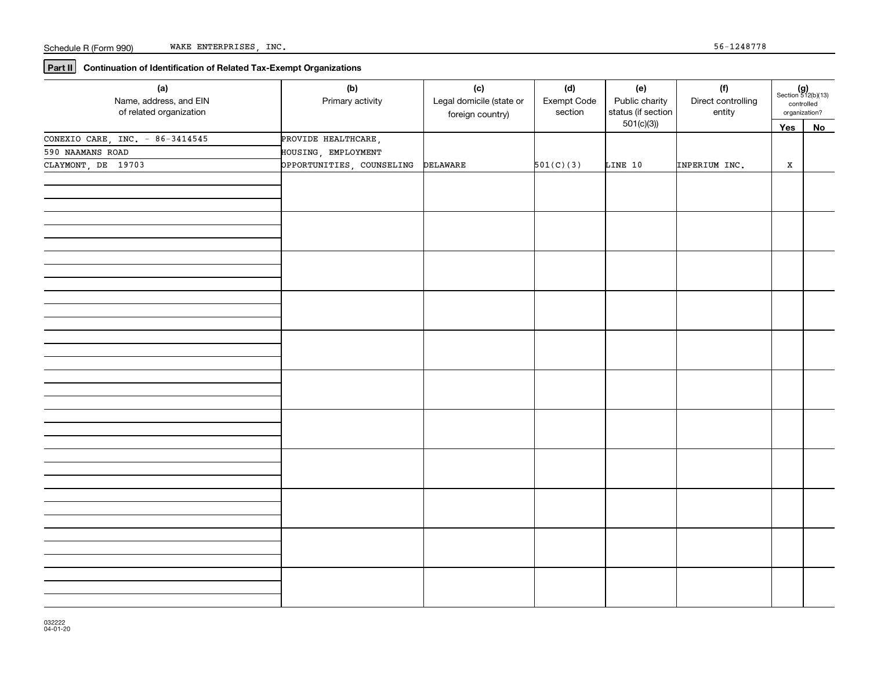**Part II** Continuation of Identification of Related Tax-Exempt Organizations

| (a)<br>Name, address, and EIN<br>of related organization | (b)<br>Primary activity            | (c)<br>Legal domicile (state or<br>foreign country) | (d)<br>Exempt Code<br>section | (e)<br>Public charity<br>status (if section | (f)<br>Direct controlling<br>entity | $(g)$<br>Section 512(b)(13)<br>controlled<br>organization? |           |
|----------------------------------------------------------|------------------------------------|-----------------------------------------------------|-------------------------------|---------------------------------------------|-------------------------------------|------------------------------------------------------------|-----------|
|                                                          |                                    |                                                     |                               | 501(c)(3)                                   |                                     | Yes                                                        | <b>No</b> |
| CONEXIO CARE, INC. $-86-3414545$                         | PROVIDE HEALTHCARE,                |                                                     |                               |                                             |                                     |                                                            |           |
| 590 NAAMANS ROAD                                         | HOUSING, EMPLOYMENT                |                                                     |                               |                                             |                                     |                                                            |           |
| CLAYMONT, DE 19703                                       | OPPORTUNITIES, COUNSELING DELAWARE |                                                     | 501(C)(3)                     | LINE 10                                     | INPERIUM INC.                       | X                                                          |           |
|                                                          |                                    |                                                     |                               |                                             |                                     |                                                            |           |
|                                                          |                                    |                                                     |                               |                                             |                                     |                                                            |           |
|                                                          |                                    |                                                     |                               |                                             |                                     |                                                            |           |
|                                                          |                                    |                                                     |                               |                                             |                                     |                                                            |           |
|                                                          |                                    |                                                     |                               |                                             |                                     |                                                            |           |
|                                                          |                                    |                                                     |                               |                                             |                                     |                                                            |           |
|                                                          |                                    |                                                     |                               |                                             |                                     |                                                            |           |
|                                                          |                                    |                                                     |                               |                                             |                                     |                                                            |           |
|                                                          |                                    |                                                     |                               |                                             |                                     |                                                            |           |
|                                                          |                                    |                                                     |                               |                                             |                                     |                                                            |           |
|                                                          |                                    |                                                     |                               |                                             |                                     |                                                            |           |
|                                                          |                                    |                                                     |                               |                                             |                                     |                                                            |           |
|                                                          |                                    |                                                     |                               |                                             |                                     |                                                            |           |
|                                                          |                                    |                                                     |                               |                                             |                                     |                                                            |           |
|                                                          |                                    |                                                     |                               |                                             |                                     |                                                            |           |
|                                                          |                                    |                                                     |                               |                                             |                                     |                                                            |           |
|                                                          |                                    |                                                     |                               |                                             |                                     |                                                            |           |
|                                                          |                                    |                                                     |                               |                                             |                                     |                                                            |           |
|                                                          |                                    |                                                     |                               |                                             |                                     |                                                            |           |
|                                                          |                                    |                                                     |                               |                                             |                                     |                                                            |           |
|                                                          |                                    |                                                     |                               |                                             |                                     |                                                            |           |
|                                                          |                                    |                                                     |                               |                                             |                                     |                                                            |           |
|                                                          |                                    |                                                     |                               |                                             |                                     |                                                            |           |
|                                                          |                                    |                                                     |                               |                                             |                                     |                                                            |           |
|                                                          |                                    |                                                     |                               |                                             |                                     |                                                            |           |
|                                                          |                                    |                                                     |                               |                                             |                                     |                                                            |           |
|                                                          |                                    |                                                     |                               |                                             |                                     |                                                            |           |
|                                                          |                                    |                                                     |                               |                                             |                                     |                                                            |           |
|                                                          |                                    |                                                     |                               |                                             |                                     |                                                            |           |
|                                                          |                                    |                                                     |                               |                                             |                                     |                                                            |           |
|                                                          |                                    |                                                     |                               |                                             |                                     |                                                            |           |
|                                                          |                                    |                                                     |                               |                                             |                                     |                                                            |           |
|                                                          |                                    |                                                     |                               |                                             |                                     |                                                            |           |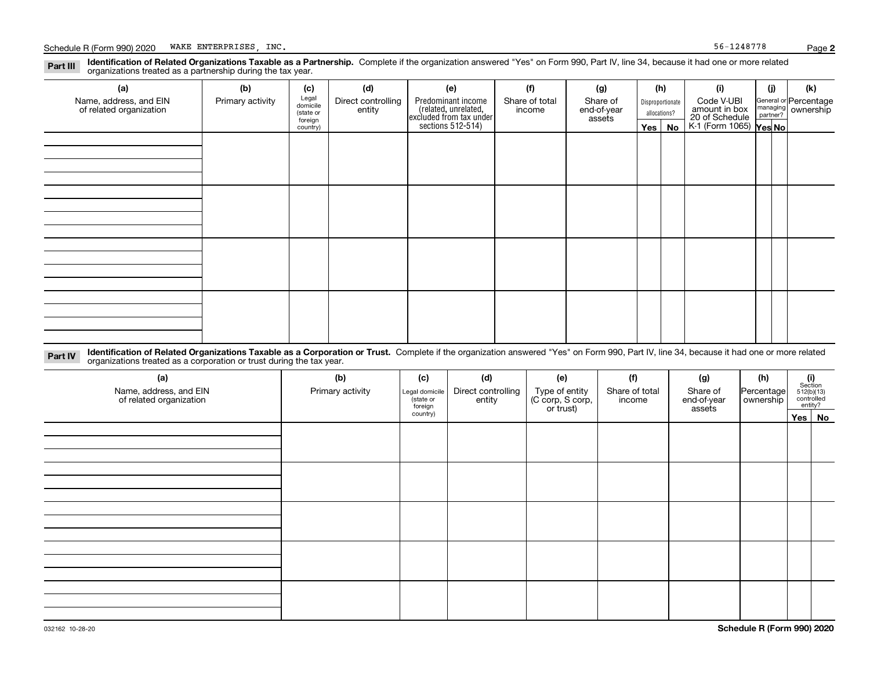#### **Identification of Related Organizations Taxable as a Partnership.** Complete if the organization answered "Yes" on Form 990, Part IV, line 34, because it had one or more related **Part III** organizations treated as a partnership during the tax year.

| (a)                                               | (b)              | (c)                  | (d)                | (e)                                                                                        | (f)            | (g)                   | (h) |                  | (i)                                                       | (i) | (k)                                                     |  |  |  |  |  |  |
|---------------------------------------------------|------------------|----------------------|--------------------|--------------------------------------------------------------------------------------------|----------------|-----------------------|-----|------------------|-----------------------------------------------------------|-----|---------------------------------------------------------|--|--|--|--|--|--|
| Name, address, and EIN<br>of related organization | Primary activity | Legal<br>domicile    | Direct controlling | Predominant income<br>(related, unrelated,<br>excluded from tax under<br>sections 512-514) | Share of total | Share of              |     | Disproportionate | Code V-UBI                                                |     | General or Percentage<br>managing ownership<br>partner? |  |  |  |  |  |  |
|                                                   |                  | (state or<br>foreign | entity             |                                                                                            | income         | end-of-year<br>assets |     | allocations?     |                                                           |     |                                                         |  |  |  |  |  |  |
|                                                   |                  | country)             |                    |                                                                                            |                |                       | Yes | No               | amount in box<br>20 of Schedule<br>K-1 (Form 1065) Yes No |     |                                                         |  |  |  |  |  |  |
|                                                   |                  |                      |                    |                                                                                            |                |                       |     |                  |                                                           |     |                                                         |  |  |  |  |  |  |
|                                                   |                  |                      |                    |                                                                                            |                |                       |     |                  |                                                           |     |                                                         |  |  |  |  |  |  |
|                                                   |                  |                      |                    |                                                                                            |                |                       |     |                  |                                                           |     |                                                         |  |  |  |  |  |  |
|                                                   |                  |                      |                    |                                                                                            |                |                       |     |                  |                                                           |     |                                                         |  |  |  |  |  |  |
|                                                   |                  |                      |                    |                                                                                            |                |                       |     |                  |                                                           |     |                                                         |  |  |  |  |  |  |
|                                                   |                  |                      |                    |                                                                                            |                |                       |     |                  |                                                           |     |                                                         |  |  |  |  |  |  |
|                                                   |                  |                      |                    |                                                                                            |                |                       |     |                  |                                                           |     |                                                         |  |  |  |  |  |  |
|                                                   |                  |                      |                    |                                                                                            |                |                       |     |                  |                                                           |     |                                                         |  |  |  |  |  |  |
|                                                   |                  |                      |                    |                                                                                            |                |                       |     |                  |                                                           |     |                                                         |  |  |  |  |  |  |
|                                                   |                  |                      |                    |                                                                                            |                |                       |     |                  |                                                           |     |                                                         |  |  |  |  |  |  |
|                                                   |                  |                      |                    |                                                                                            |                |                       |     |                  |                                                           |     |                                                         |  |  |  |  |  |  |
|                                                   |                  |                      |                    |                                                                                            |                |                       |     |                  |                                                           |     |                                                         |  |  |  |  |  |  |
|                                                   |                  |                      |                    |                                                                                            |                |                       |     |                  |                                                           |     |                                                         |  |  |  |  |  |  |
|                                                   |                  |                      |                    |                                                                                            |                |                       |     |                  |                                                           |     |                                                         |  |  |  |  |  |  |
|                                                   |                  |                      |                    |                                                                                            |                |                       |     |                  |                                                           |     |                                                         |  |  |  |  |  |  |
|                                                   |                  |                      |                    |                                                                                            |                |                       |     |                  |                                                           |     |                                                         |  |  |  |  |  |  |
|                                                   |                  |                      |                    |                                                                                            |                |                       |     |                  |                                                           |     |                                                         |  |  |  |  |  |  |

**Identification of Related Organizations Taxable as a Corporation or Trust.** Complete if the organization answered "Yes" on Form 990, Part IV, line 34, because it had one or more related **Part IV** organizations treated as a corporation or trust during the tax year.

| (a)<br>Name, address, and EIN<br>of related organization | (b)<br>Primary activity | (c)<br>Legal domicile<br>state or<br>foreign | (d)<br>Direct controlling<br>entity | (f)<br>(e)<br>(g)<br>Type of entity<br>(C corp, S corp,<br>or trust)<br>Share of total<br>Share of<br>end-of-year<br>income<br>assets |  | (h)<br>Percentage<br>ownership | $\begin{array}{c} \textbf{(i)}\\ \text{Section}\\ 512 \text{(b)} \text{(13)}\\ \text{controlled}\\ \text{entity?} \end{array}$ |  |          |
|----------------------------------------------------------|-------------------------|----------------------------------------------|-------------------------------------|---------------------------------------------------------------------------------------------------------------------------------------|--|--------------------------------|--------------------------------------------------------------------------------------------------------------------------------|--|----------|
|                                                          |                         | country)                                     |                                     |                                                                                                                                       |  |                                |                                                                                                                                |  | Yes   No |
|                                                          |                         |                                              |                                     |                                                                                                                                       |  |                                |                                                                                                                                |  |          |
|                                                          |                         |                                              |                                     |                                                                                                                                       |  |                                |                                                                                                                                |  |          |
|                                                          |                         |                                              |                                     |                                                                                                                                       |  |                                |                                                                                                                                |  |          |
|                                                          |                         |                                              |                                     |                                                                                                                                       |  |                                |                                                                                                                                |  |          |
|                                                          |                         |                                              |                                     |                                                                                                                                       |  |                                |                                                                                                                                |  |          |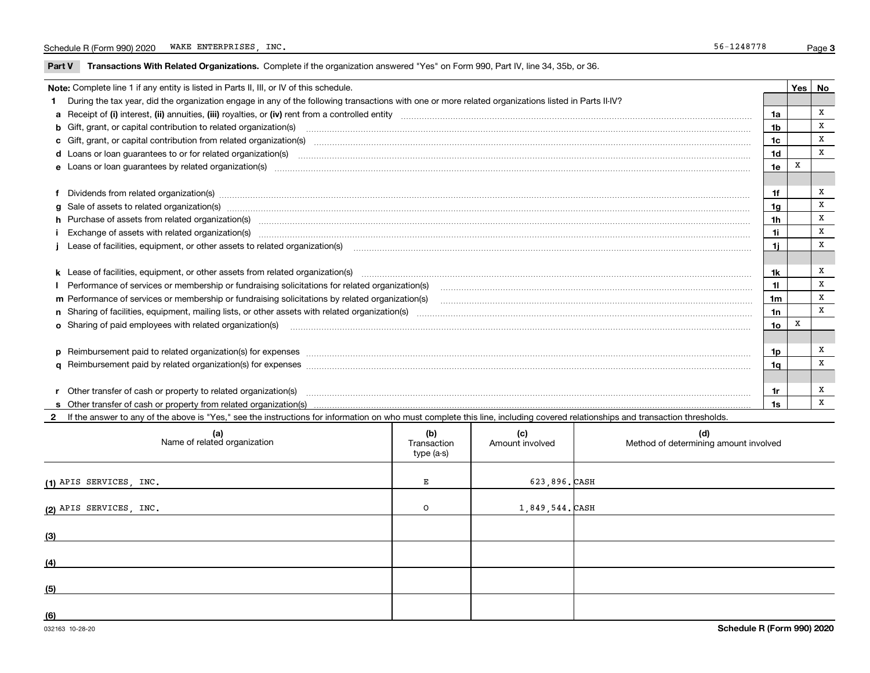$\overline{\phantom{0}}$ 

**Part V** T**ransactions With Related Organizations.** Complete if the organization answered "Yes" on Form 990, Part IV, line 34, 35b, or 36.

| Note: Complete line 1 if any entity is listed in Parts II, III, or IV of this schedule. |                                                                                                                                                                                                                                |                 |   |   |  |
|-----------------------------------------------------------------------------------------|--------------------------------------------------------------------------------------------------------------------------------------------------------------------------------------------------------------------------------|-----------------|---|---|--|
|                                                                                         | During the tax year, did the organization engage in any of the following transactions with one or more related organizations listed in Parts II-IV?                                                                            |                 |   |   |  |
|                                                                                         |                                                                                                                                                                                                                                | 1a              |   | X |  |
|                                                                                         | b Gift, grant, or capital contribution to related organization(s) manufactured contains and contribution to related organization(s)                                                                                            | 1 <sub>b</sub>  |   | X |  |
|                                                                                         | c Gift, grant, or capital contribution from related organization(s) matches contains and content and contribution from related organization(s) matches contains and contribution from related organization(s) matches contains | 1c              |   | X |  |
|                                                                                         | d Loans or loan guarantees to or for related organization(s) committion contracts are constructed as a control or contract or contract or contract or contract or contract or contract or contract or contract or contract or  | 1 <sub>d</sub>  |   | X |  |
|                                                                                         |                                                                                                                                                                                                                                | 1e              |   |   |  |
|                                                                                         |                                                                                                                                                                                                                                |                 |   |   |  |
|                                                                                         | f Dividends from related organization(s) manufactured contains and contained and contained contained and contained and contained and contained and contained and contained and contained and contained and contained and conta | 1f              |   | X |  |
|                                                                                         |                                                                                                                                                                                                                                | 1 <sub>q</sub>  |   | x |  |
|                                                                                         | h Purchase of assets from related organization(s) www.assettion.com/www.assettion.com/www.assettion.com/www.assettion.com/www.assettion.com/www.assettion.com/www.assettion.com/www.assettion.com/www.assettion.com/www.assett | 1h              |   | x |  |
|                                                                                         | i Exchange of assets with related organization(s) www.array.com/marray.com/marray.com/marray-marray-marray-marray-marray-marray-marray-marray-marray-marray-marray-marray-marray-marray-marray-marray-marray-marray-marray-mar | 1i              |   | x |  |
|                                                                                         |                                                                                                                                                                                                                                | 1i              |   | x |  |
|                                                                                         |                                                                                                                                                                                                                                |                 |   |   |  |
|                                                                                         | k Lease of facilities, equipment, or other assets from related organization(s) manufaction content to the content of the content of facilities, equipment, or other assets from related organization(s) manufaction content to | 1k              |   | х |  |
|                                                                                         | I Performance of services or membership or fundraising solicitations for related organization(s)                                                                                                                               | 11              |   | x |  |
|                                                                                         |                                                                                                                                                                                                                                | 1m              |   | x |  |
|                                                                                         |                                                                                                                                                                                                                                | 1n              |   | X |  |
|                                                                                         | o Sharing of paid employees with related organization(s) manufactured and content to the content of the content of the content of the content of the content of the content of the content of the content of the content of th | 10 <sub>o</sub> | X |   |  |
|                                                                                         |                                                                                                                                                                                                                                |                 |   |   |  |
|                                                                                         |                                                                                                                                                                                                                                | 1p              |   | x |  |
|                                                                                         |                                                                                                                                                                                                                                | 1a              |   | X |  |
|                                                                                         |                                                                                                                                                                                                                                |                 |   |   |  |
|                                                                                         | r Other transfer of cash or property to related organization(s)                                                                                                                                                                | 1r              |   | х |  |
|                                                                                         |                                                                                                                                                                                                                                | 1s              |   | X |  |

**2**If the answer to any of the above is "Yes," see the instructions for information on who must complete this line, including covered relationships and transaction thresholds.

| (a)<br>Name of related organization | (b)<br>Transaction<br>type (a-s) | (c)<br>Amount involved | (d)<br>Method of determining amount involved |
|-------------------------------------|----------------------------------|------------------------|----------------------------------------------|
| (1) APIS SERVICES, INC.             | Е                                | $623,896.$ CASH        |                                              |
| (2) APIS SERVICES, INC.             | O                                | $1,849,544.$ CASH      |                                              |
| (3)                                 |                                  |                        |                                              |
| (4)                                 |                                  |                        |                                              |
| (5)                                 |                                  |                        |                                              |
| (6)                                 |                                  |                        |                                              |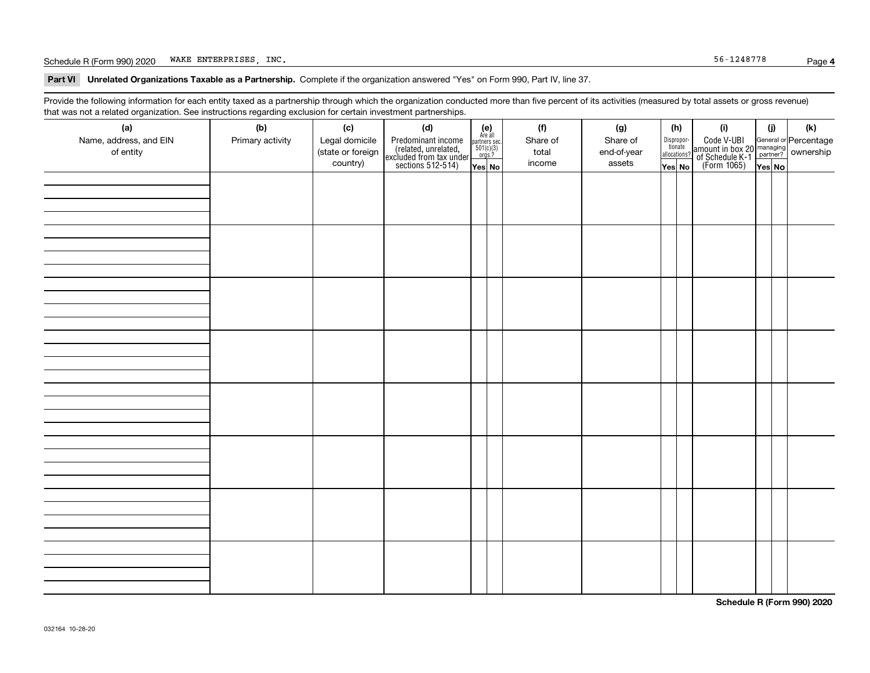#### Schedule R (Form 990) 2020 WAKE ENTERPRISES, INC. WAKE ENTERPRISES, INC.

**Part VI Unrelated Organizations Taxable as a Partnership. Complete if the organization answered "Yes" on Form 990, Part IV, line 37.** 

Provide the following information for each entity taxed as a partnership through which the organization conducted more than five percent of its activities (measured by total assets or gross revenue) that was not a related organization. See instructions regarding exclusion for certain investment partnerships.

| $\overline{\phantom{0}}$<br>(a)<br>Name, address, and EIN<br>of entity | ັ<br>ັ<br>(b)<br>Primary activity | (c)<br>Legal domicile<br>(state or foreign<br>country) | (d)<br>Predominant income<br>(related, unrelated,<br>excluded from tax under<br>sections 512-514) | (e)<br>Are all<br>$\begin{array}{c}\n\text{partners} & \text{sec.} \\ 501(c)(3) & \text{orgs.?} \n\end{array}$<br>Yes No | (f)<br>Share of<br>total<br>income | (g)<br>Share of<br>end-of-year<br>assets | (h)<br>Dispropor-<br>tionate<br>allocations?<br>Yes No | (i)<br>Code V-UBI<br>  amount in box 20 managing<br>  of Schedule K-1 partner? ownership<br>  of Schedule K-1 partner? ownership<br>  Yes No | (i)<br>Yes No | (k) |
|------------------------------------------------------------------------|-----------------------------------|--------------------------------------------------------|---------------------------------------------------------------------------------------------------|--------------------------------------------------------------------------------------------------------------------------|------------------------------------|------------------------------------------|--------------------------------------------------------|----------------------------------------------------------------------------------------------------------------------------------------------|---------------|-----|
|                                                                        |                                   |                                                        |                                                                                                   |                                                                                                                          |                                    |                                          |                                                        |                                                                                                                                              |               |     |
|                                                                        |                                   |                                                        |                                                                                                   |                                                                                                                          |                                    |                                          |                                                        |                                                                                                                                              |               |     |
|                                                                        |                                   |                                                        |                                                                                                   |                                                                                                                          |                                    |                                          |                                                        |                                                                                                                                              |               |     |
|                                                                        |                                   |                                                        |                                                                                                   |                                                                                                                          |                                    |                                          |                                                        |                                                                                                                                              |               |     |
|                                                                        |                                   |                                                        |                                                                                                   |                                                                                                                          |                                    |                                          |                                                        |                                                                                                                                              |               |     |
|                                                                        |                                   |                                                        |                                                                                                   |                                                                                                                          |                                    |                                          |                                                        |                                                                                                                                              |               |     |
|                                                                        |                                   |                                                        |                                                                                                   |                                                                                                                          |                                    |                                          |                                                        |                                                                                                                                              |               |     |
|                                                                        |                                   |                                                        |                                                                                                   |                                                                                                                          |                                    |                                          |                                                        |                                                                                                                                              |               |     |

**Schedule R (Form 990) 2020**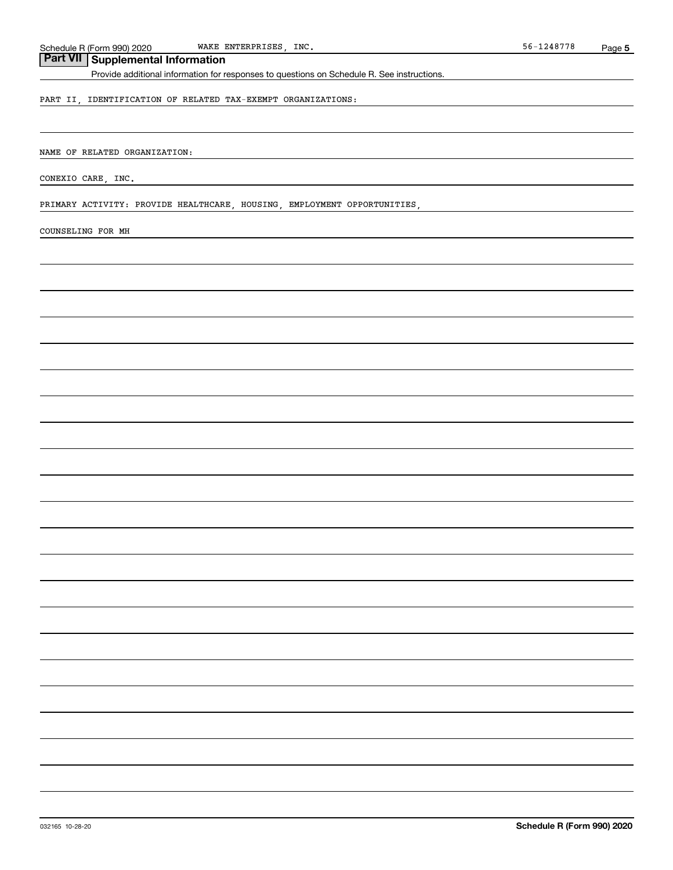### **Part VII Supplemental Information**

Provide additional information for responses to questions on Schedule R. See instructions.

PART II, IDENTIFICATION OF RELATED TAX-EXEMPT ORGANIZATIONS:

NAME OF RELATED ORGANIZATION:

CONEXIO CARE, INC.

PRIMARY ACTIVITY: PROVIDE HEALTHCARE, HOUSING, EMPLOYMENT OPPORTUNITIES,

COUNSELING FOR MH